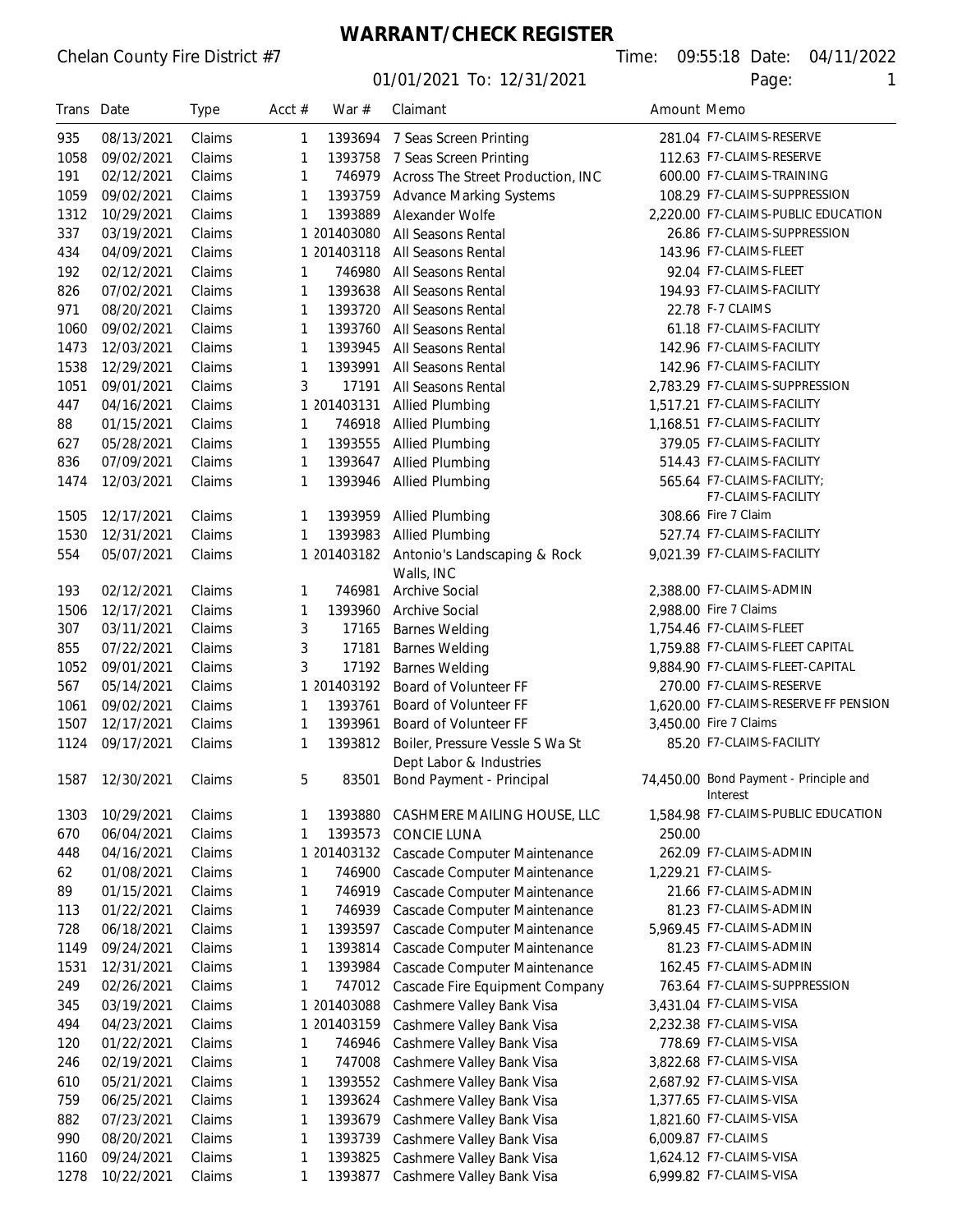# **WARRANT/CHECK REGISTER**

| Trans Date |            | Type   | Acct $#$     | War #       | Claimant                                                   | Amount Memo |                                        |
|------------|------------|--------|--------------|-------------|------------------------------------------------------------|-------------|----------------------------------------|
| 935        | 08/13/2021 | Claims | 1            | 1393694     | 7 Seas Screen Printing                                     |             | 281.04 F7-CLAIMS-RESERVE               |
| 1058       | 09/02/2021 | Claims | 1            | 1393758     | 7 Seas Screen Printing                                     |             | 112.63 F7-CLAIMS-RESERVE               |
| 191        | 02/12/2021 | Claims | 1            | 746979      | Across The Street Production, INC                          |             | 600.00 F7-CLAIMS-TRAINING              |
| 1059       | 09/02/2021 | Claims | 1            | 1393759     | <b>Advance Marking Systems</b>                             |             | 108.29 F7-CLAIMS-SUPPRESSION           |
| 1312       | 10/29/2021 | Claims | 1            | 1393889     | Alexander Wolfe                                            |             | 2.220.00 F7-CLAIMS-PUBLIC EDUCATION    |
| 337        | 03/19/2021 | Claims | 1            | 201403080   | All Seasons Rental                                         |             | 26.86 F7-CLAIMS-SUPPRESSION            |
| 434        | 04/09/2021 | Claims | 1            | 201403118   | All Seasons Rental                                         |             | 143.96 F7-CLAIMS-FLEET                 |
| 192        | 02/12/2021 | Claims | 1            | 746980      | All Seasons Rental                                         |             | 92.04 F7-CLAIMS-FLEET                  |
| 826        | 07/02/2021 | Claims | 1            | 1393638     | All Seasons Rental                                         |             | 194.93 F7-CLAIMS-FACILITY              |
| 971        | 08/20/2021 | Claims | 1            | 1393720     | All Seasons Rental                                         |             | 22.78 F-7 CLAIMS                       |
| 1060       | 09/02/2021 | Claims | 1            | 1393760     | All Seasons Rental                                         |             | 61.18 F7-CLAIMS-FACILITY               |
| 1473       | 12/03/2021 | Claims | 1            | 1393945     | All Seasons Rental                                         |             | 142.96 F7-CLAIMS-FACILITY              |
| 1538       | 12/29/2021 | Claims | 1            | 1393991     | All Seasons Rental                                         |             | 142.96 F7-CLAIMS-FACILITY              |
| 1051       | 09/01/2021 | Claims | 3            | 17191       | All Seasons Rental                                         |             | 2,783.29 F7-CLAIMS-SUPPRESSION         |
| 447        | 04/16/2021 | Claims |              | 1 201403131 | Allied Plumbing                                            |             | 1,517.21 F7-CLAIMS-FACILITY            |
| 88         | 01/15/2021 | Claims | 1            | 746918      | <b>Allied Plumbing</b>                                     |             | 1,168.51 F7-CLAIMS-FACILITY            |
| 627        | 05/28/2021 | Claims | 1            | 1393555     | <b>Allied Plumbing</b>                                     |             | 379.05 F7-CLAIMS-FACILITY              |
| 836        | 07/09/2021 | Claims | 1            | 1393647     | <b>Allied Plumbing</b>                                     |             | 514.43 F7-CLAIMS-FACILITY              |
| 1474       | 12/03/2021 | Claims | 1            | 1393946     | Allied Plumbing                                            |             | 565.64 F7-CLAIMS-FACILITY;             |
|            |            |        |              |             |                                                            |             | F7-CLAIMS-FACILITY                     |
| 1505       | 12/17/2021 | Claims | 1            | 1393959     | <b>Allied Plumbing</b>                                     |             | 308.66 Fire 7 Claim                    |
| 1530       | 12/31/2021 | Claims | 1            | 1393983     | <b>Allied Plumbing</b>                                     |             | 527.74 F7-CLAIMS-FACILITY              |
| 554        | 05/07/2021 | Claims |              |             | 1 201403182 Antonio's Landscaping & Rock                   |             | 9,021.39 F7-CLAIMS-FACILITY            |
|            |            |        |              |             | Walls, INC                                                 |             |                                        |
| 193        | 02/12/2021 | Claims | 1            | 746981      | <b>Archive Social</b>                                      |             | 2,388.00 F7-CLAIMS-ADMIN               |
| 1506       | 12/17/2021 | Claims | 1            | 1393960     | Archive Social                                             |             | 2,988.00 Fire 7 Claims                 |
| 307        | 03/11/2021 | Claims | 3            | 17165       | <b>Barnes Welding</b>                                      |             | 1,754.46 F7-CLAIMS-FLEET               |
| 855        | 07/22/2021 | Claims | 3            | 17181       | <b>Barnes Welding</b>                                      |             | 1,759.88 F7-CLAIMS-FLEET CAPITAL       |
| 1052       | 09/01/2021 | Claims | 3            | 17192       | <b>Barnes Welding</b>                                      |             | 9,884.90 F7-CLAIMS-FLEET-CAPITAL       |
| 567        | 05/14/2021 | Claims | 1            | 201403192   | Board of Volunteer FF                                      |             | 270.00 F7-CLAIMS-RESERVE               |
| 1061       | 09/02/2021 | Claims | 1            | 1393761     | Board of Volunteer FF                                      |             | 1,620.00 F7-CLAIMS-RESERVE FF PENSION  |
| 1507       | 12/17/2021 | Claims | 1            | 1393961     | Board of Volunteer FF                                      |             | 3,450.00 Fire 7 Claims                 |
| 1124       | 09/17/2021 | Claims | 1            | 1393812     | Boiler, Pressure Vessle S Wa St<br>Dept Labor & Industries |             | 85.20 F7-CLAIMS-FACILITY               |
| 1587       | 12/30/2021 | Claims | 5            | 83501       | Bond Payment - Principal                                   |             | 74,450.00 Bond Payment - Principle and |
|            |            |        |              |             |                                                            |             | Interest                               |
| 1303       | 10/29/2021 | Claims | 1            | 1393880     | CASHMERE MAILING HOUSE, LLC                                |             | 1,584.98 F7-CLAIMS-PUBLIC EDUCATION    |
| 670        | 06/04/2021 | Claims | 1            | 1393573     | <b>CONCIE LUNA</b>                                         | 250.00      |                                        |
| 448        | 04/16/2021 | Claims |              | 1 201403132 | Cascade Computer Maintenance                               |             | 262.09 F7-CLAIMS-ADMIN                 |
| 62         | 01/08/2021 | Claims | 1            | 746900      | Cascade Computer Maintenance                               |             | 1,229.21 F7-CLAIMS-                    |
| 89         | 01/15/2021 | Claims | 1            | 746919      | Cascade Computer Maintenance                               |             | 21.66 F7-CLAIMS-ADMIN                  |
| 113        | 01/22/2021 | Claims | 1            | 746939      | Cascade Computer Maintenance                               |             | 81.23 F7-CLAIMS-ADMIN                  |
| 728        | 06/18/2021 | Claims | 1            | 1393597     | Cascade Computer Maintenance                               |             | 5,969.45 F7-CLAIMS-ADMIN               |
| 1149       | 09/24/2021 | Claims | 1            | 1393814     | Cascade Computer Maintenance                               |             | 81.23 F7-CLAIMS-ADMIN                  |
| 1531       | 12/31/2021 | Claims | 1            | 1393984     | Cascade Computer Maintenance                               |             | 162.45 F7-CLAIMS-ADMIN                 |
| 249        | 02/26/2021 | Claims | 1            | 747012      | Cascade Fire Equipment Company                             |             | 763.64 F7-CLAIMS-SUPPRESSION           |
| 345        | 03/19/2021 | Claims |              | 1 201403088 | Cashmere Valley Bank Visa                                  |             | 3,431.04 F7-CLAIMS-VISA                |
| 494        | 04/23/2021 | Claims |              | 1 201403159 | Cashmere Valley Bank Visa                                  |             | 2,232.38 F7-CLAIMS-VISA                |
| 120        | 01/22/2021 | Claims | 1            | 746946      | Cashmere Valley Bank Visa                                  |             | 778.69 F7-CLAIMS-VISA                  |
| 246        | 02/19/2021 | Claims | 1            | 747008      | Cashmere Valley Bank Visa                                  |             | 3,822.68 F7-CLAIMS-VISA                |
| 610        | 05/21/2021 | Claims | 1            | 1393552     | Cashmere Valley Bank Visa                                  |             | 2,687.92 F7-CLAIMS-VISA                |
| 759        | 06/25/2021 | Claims | $\mathbf{1}$ | 1393624     | Cashmere Valley Bank Visa                                  |             | 1,377.65 F7-CLAIMS-VISA                |
| 882        | 07/23/2021 | Claims | $\mathbf{1}$ | 1393679     | Cashmere Valley Bank Visa                                  |             | 1,821.60 F7-CLAIMS-VISA                |
| 990        | 08/20/2021 | Claims | 1            | 1393739     | Cashmere Valley Bank Visa                                  |             | 6,009.87 F7-CLAIMS                     |
| 1160       | 09/24/2021 | Claims | 1            | 1393825     | Cashmere Valley Bank Visa                                  |             | 1,624.12 F7-CLAIMS-VISA                |
| 1278       | 10/22/2021 | Claims | 1            | 1393877     | Cashmere Valley Bank Visa                                  |             | 6,999.82 F7-CLAIMS-VISA                |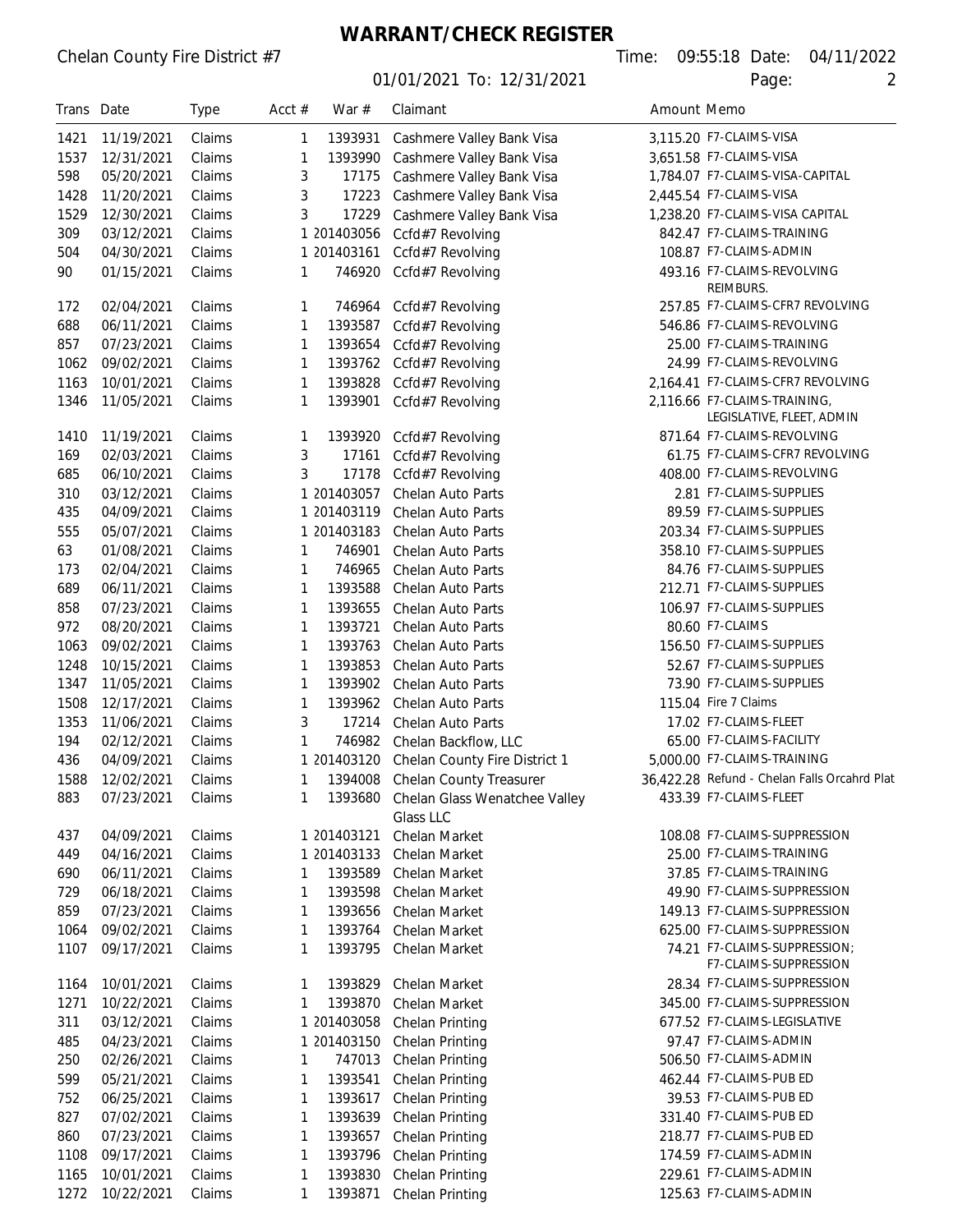**WARRANT/CHECK REGISTER**

| Trans Date |            | <b>Type</b> | Acct $#$ | War #       | Claimant                                   | Amount Memo |                                                           |
|------------|------------|-------------|----------|-------------|--------------------------------------------|-------------|-----------------------------------------------------------|
| 1421       | 11/19/2021 | Claims      | 1        | 1393931     | Cashmere Valley Bank Visa                  |             | 3,115.20 F7-CLAIMS-VISA                                   |
| 1537       | 12/31/2021 | Claims      | 1        | 1393990     | Cashmere Valley Bank Visa                  |             | 3,651.58 F7-CLAIMS-VISA                                   |
| 598        | 05/20/2021 | Claims      | 3        | 17175       | Cashmere Valley Bank Visa                  |             | 1,784.07 F7-CLAIMS-VISA-CAPITAL                           |
| 1428       | 11/20/2021 | Claims      | 3        | 17223       | Cashmere Valley Bank Visa                  |             | 2,445.54 F7-CLAIMS-VISA                                   |
| 1529       | 12/30/2021 | Claims      | 3        | 17229       | Cashmere Valley Bank Visa                  |             | 1,238.20 F7-CLAIMS-VISA CAPITAL                           |
| 309        | 03/12/2021 | Claims      |          | 1 201403056 | Ccfd#7 Revolving                           |             | 842.47 F7-CLAIMS-TRAINING                                 |
| 504        | 04/30/2021 | Claims      |          | 1 201403161 | Ccfd#7 Revolving                           |             | 108.87 F7-CLAIMS-ADMIN                                    |
| 90         | 01/15/2021 | Claims      | 1        | 746920      | Ccfd#7 Revolving                           |             | 493.16 F7-CLAIMS-REVOLVING<br><b>REIMBURS.</b>            |
| 172        | 02/04/2021 | Claims      | 1        | 746964      | Ccfd#7 Revolving                           |             | 257.85 F7-CLAIMS-CFR7 REVOLVING                           |
| 688        | 06/11/2021 | Claims      | 1        | 1393587     | Ccfd#7 Revolving                           |             | 546.86 F7-CLAIMS-REVOLVING                                |
| 857        | 07/23/2021 | Claims      | 1        | 1393654     | Ccfd#7 Revolving                           |             | 25.00 F7-CLAIMS-TRAINING                                  |
| 1062       | 09/02/2021 | Claims      | 1        | 1393762     | Ccfd#7 Revolving                           |             | 24.99 F7-CLAIMS-REVOLVING                                 |
| 1163       | 10/01/2021 | Claims      | 1        | 1393828     | Ccfd#7 Revolving                           |             | 2,164.41 F7-CLAIMS-CFR7 REVOLVING                         |
| 1346       | 11/05/2021 | Claims      | 1        | 1393901     | Ccfd#7 Revolving                           |             | 2,116.66 F7-CLAIMS-TRAINING,<br>LEGISLATIVE, FLEET, ADMIN |
| 1410       | 11/19/2021 | Claims      | 1        | 1393920     | Ccfd#7 Revolving                           |             | 871.64 F7-CLAIMS-REVOLVING                                |
| 169        | 02/03/2021 | Claims      | 3        | 17161       | Ccfd#7 Revolving                           |             | 61.75 F7-CLAIMS-CFR7 REVOLVING                            |
| 685        | 06/10/2021 | Claims      | 3        | 17178       | Ccfd#7 Revolving                           |             | 408.00 F7-CLAIMS-REVOLVING                                |
| 310        | 03/12/2021 | Claims      | 1        | 201403057   | Chelan Auto Parts                          |             | 2.81 F7-CLAIMS-SUPPLIES                                   |
| 435        | 04/09/2021 | Claims      |          | 1 201403119 | Chelan Auto Parts                          |             | 89.59 F7-CLAIMS-SUPPLIES                                  |
| 555        | 05/07/2021 | Claims      |          | 1 201403183 | Chelan Auto Parts                          |             | 203.34 F7-CLAIMS-SUPPLIES                                 |
| 63         | 01/08/2021 | Claims      | 1        | 746901      | Chelan Auto Parts                          |             | 358.10 F7-CLAIMS-SUPPLIES                                 |
| 173        | 02/04/2021 | Claims      | 1        | 746965      | Chelan Auto Parts                          |             | 84.76 F7-CLAIMS-SUPPLIES                                  |
| 689        | 06/11/2021 | Claims      | 1        | 1393588     | Chelan Auto Parts                          |             | 212.71 F7-CLAIMS-SUPPLIES                                 |
|            |            |             |          |             |                                            |             | 106.97 F7-CLAIMS-SUPPLIES                                 |
| 858        | 07/23/2021 | Claims      | 1        | 1393655     | Chelan Auto Parts                          |             |                                                           |
| 972        | 08/20/2021 | Claims      | 1        | 1393721     | Chelan Auto Parts                          |             | 80.60 F7-CLAIMS                                           |
| 1063       | 09/02/2021 | Claims      | 1        | 1393763     | Chelan Auto Parts                          |             | 156.50 F7-CLAIMS-SUPPLIES                                 |
| 1248       | 10/15/2021 | Claims      | 1        | 1393853     | Chelan Auto Parts                          |             | 52.67 F7-CLAIMS-SUPPLIES                                  |
| 1347       | 11/05/2021 | Claims      | 1        | 1393902     | Chelan Auto Parts                          |             | 73.90 F7-CLAIMS-SUPPLIES                                  |
| 1508       | 12/17/2021 | Claims      | 1        | 1393962     | Chelan Auto Parts                          |             | 115.04 Fire 7 Claims                                      |
| 1353       | 11/06/2021 | Claims      | 3        | 17214       | Chelan Auto Parts                          |             | 17.02 F7-CLAIMS-FLEET                                     |
| 194        | 02/12/2021 | Claims      | 1        | 746982      | Chelan Backflow, LLC                       |             | 65.00 F7-CLAIMS-FACILITY                                  |
| 436        | 04/09/2021 | Claims      |          | 1 201403120 | Chelan County Fire District 1              |             | 5,000.00 F7-CLAIMS-TRAINING                               |
| 1588       | 12/02/2021 | Claims      | 1        | 1394008     | Chelan County Treasurer                    |             | 36,422.28 Refund - Chelan Falls Orcahrd Plat              |
| 883        | 07/23/2021 | Claims      | 1        | 1393680     | Chelan Glass Wenatchee Valley<br>Glass LLC |             | 433.39 F7-CLAIMS-FLEET                                    |
| 437        | 04/09/2021 | Claims      |          | 1 201403121 | Chelan Market                              |             | 108.08 F7-CLAIMS-SUPPRESSION                              |
| 449        | 04/16/2021 | Claims      |          | 1 201403133 | Chelan Market                              |             | 25.00 F7-CLAIMS-TRAINING                                  |
| 690        | 06/11/2021 | Claims      | 1        | 1393589     | Chelan Market                              |             | 37.85 F7-CLAIMS-TRAINING                                  |
| 729        | 06/18/2021 | Claims      | 1        | 1393598     | Chelan Market                              |             | 49.90 F7-CLAIMS-SUPPRESSION                               |
| 859        | 07/23/2021 | Claims      | 1        | 1393656     | Chelan Market                              |             | 149.13 F7-CLAIMS-SUPPRESSION                              |
| 1064       | 09/02/2021 | Claims      | 1        | 1393764     | Chelan Market                              |             | 625.00 F7-CLAIMS-SUPPRESSION                              |
| 1107       | 09/17/2021 | Claims      | 1        | 1393795     | Chelan Market                              |             | 74.21 F7-CLAIMS-SUPPRESSION;<br>F7-CLAIMS-SUPPRESSION     |
| 1164       | 10/01/2021 | Claims      | 1        | 1393829     | Chelan Market                              |             | 28.34 F7-CLAIMS-SUPPRESSION                               |
| 1271       | 10/22/2021 | Claims      | 1        | 1393870     | Chelan Market                              |             | 345.00 F7-CLAIMS-SUPPRESSION                              |
| 311        | 03/12/2021 | Claims      |          | 1 201403058 | Chelan Printing                            |             | 677.52 F7-CLAIMS-LEGISLATIVE                              |
| 485        | 04/23/2021 | Claims      |          | 1 201403150 | Chelan Printing                            |             | 97.47 F7-CLAIMS-ADMIN                                     |
| 250        | 02/26/2021 | Claims      | 1        | 747013      | Chelan Printing                            |             | 506.50 F7-CLAIMS-ADMIN                                    |
| 599        | 05/21/2021 | Claims      | 1        | 1393541     | Chelan Printing                            |             | 462.44 F7-CLAIMS-PUB ED                                   |
| 752        | 06/25/2021 | Claims      | 1        | 1393617     | Chelan Printing                            |             | 39.53 F7-CLAIMS-PUB ED                                    |
| 827        | 07/02/2021 | Claims      | 1        | 1393639     | Chelan Printing                            |             | 331.40 F7-CLAIMS-PUB ED                                   |
| 860        | 07/23/2021 | Claims      | 1        | 1393657     | Chelan Printing                            |             | 218.77 F7-CLAIMS-PUB ED                                   |
| 1108       | 09/17/2021 | Claims      | 1        | 1393796     | Chelan Printing                            |             | 174.59 F7-CLAIMS-ADMIN                                    |
| 1165       | 10/01/2021 | Claims      | 1        | 1393830     | Chelan Printing                            |             | 229.61 F7-CLAIMS-ADMIN                                    |
| 1272       | 10/22/2021 | Claims      | 1        | 1393871     | Chelan Printing                            |             | 125.63 F7-CLAIMS-ADMIN                                    |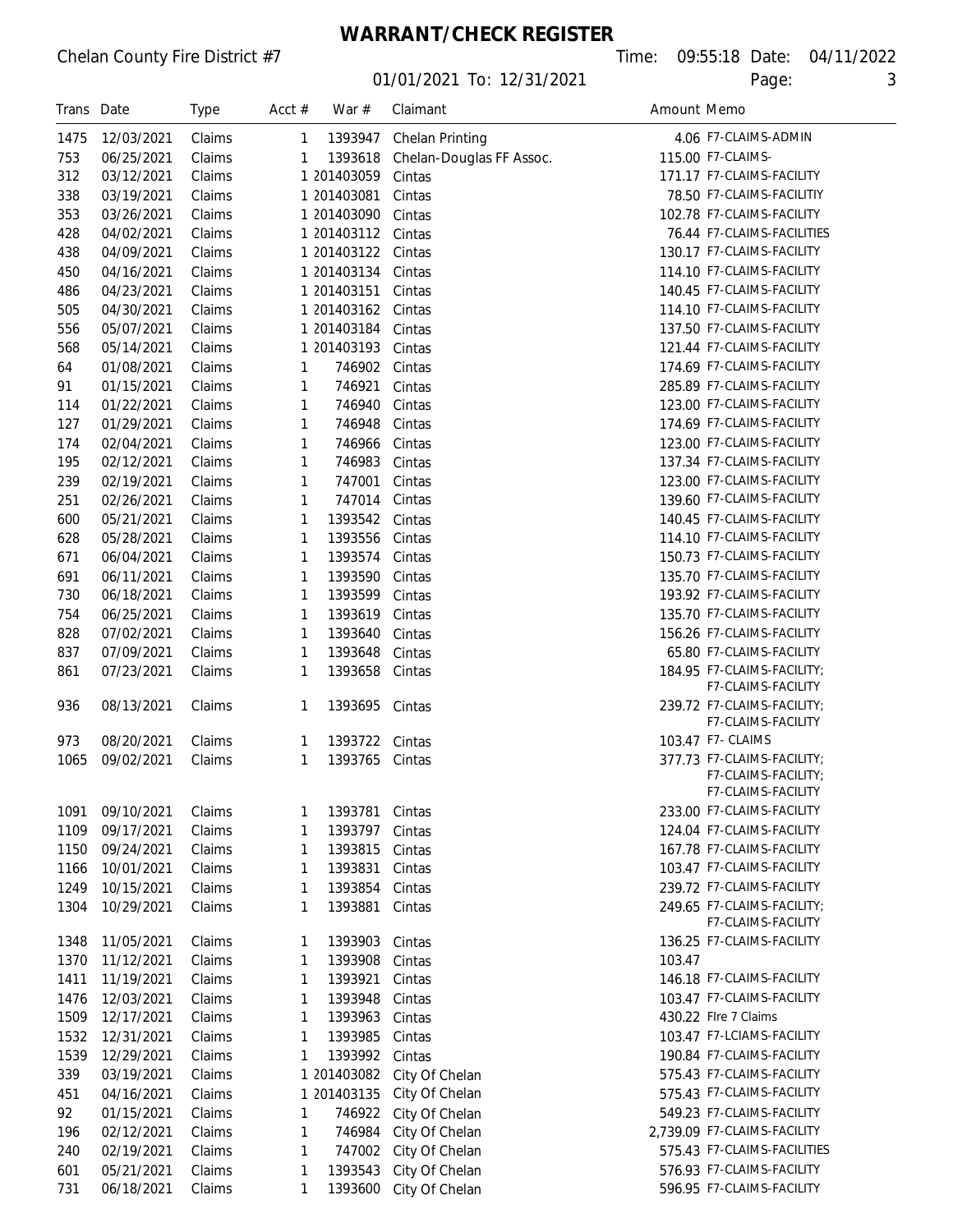### **WARRANT/CHECK REGISTER**

| 4.06 F7-CLAIMS-ADMIN<br>1475<br>12/03/2021<br>Claims<br>1393947<br>Chelan Printing<br>1<br>753<br>06/25/2021<br>Claims<br>115.00 F7-CLAIMS-<br>1393618<br>Chelan-Douglas FF Assoc.<br>1<br>312<br>03/12/2021<br>1 201403059<br>171.17 F7-CLAIMS-FACILITY<br>Claims<br>Cintas<br>78.50 F7-CLAIMS-FACILITIY<br>338<br>03/19/2021<br>Claims<br>1 201403081<br>Cintas<br>102.78 F7-CLAIMS-FACILITY<br>353<br>03/26/2021<br>Claims<br>1 201403090<br>Cintas<br>76.44 F7-CLAIMS-FACILITIES<br>428<br>04/02/2021<br>1 201403112<br>Claims<br>Cintas<br>130.17 F7-CLAIMS-FACILITY<br>438<br>04/09/2021<br>1 201403122<br>Claims<br>Cintas<br>114.10 F7-CLAIMS-FACILITY<br>450<br>04/16/2021<br>1 201403134<br>Claims<br>Cintas<br>486<br>1 201403151<br>140.45 F7-CLAIMS-FACILITY<br>04/23/2021<br>Claims<br>Cintas<br>114.10 F7-CLAIMS-FACILITY<br>505<br>04/30/2021<br>1 201403162<br>Claims<br>Cintas<br>556<br>05/07/2021<br>1 201403184<br>137.50 F7-CLAIMS-FACILITY<br>Claims<br>Cintas<br>121.44 F7-CLAIMS-FACILITY<br>568<br>1 201403193<br>05/14/2021<br>Claims<br>Cintas<br>174.69 F7-CLAIMS-FACILITY<br>64<br>01/08/2021<br>746902<br>Cintas<br>Claims<br>1<br>91<br>01/15/2021<br>746921<br>285.89 F7-CLAIMS-FACILITY<br>Claims<br>Cintas<br>1<br>114<br>01/22/2021<br>746940<br>123.00 F7-CLAIMS-FACILITY<br>Claims<br>1<br>Cintas<br>174.69 F7-CLAIMS-FACILITY<br>127<br>01/29/2021<br>Claims<br>746948<br>1<br>Cintas<br>123.00 F7-CLAIMS-FACILITY<br>174<br>02/04/2021<br>Claims<br>746966<br>1<br>Cintas<br>195<br>137.34 F7-CLAIMS-FACILITY<br>02/12/2021<br>Claims<br>746983<br>1<br>Cintas<br>123.00 F7-CLAIMS-FACILITY<br>239<br>02/19/2021<br>Claims<br>747001<br>1<br>Cintas<br>139.60 F7-CLAIMS-FACILITY<br>251<br>02/26/2021<br>Claims<br>747014<br>1<br>Cintas<br>05/21/2021<br>Claims<br>140.45 F7-CLAIMS-FACILITY<br>600<br>1393542<br>Cintas<br>1<br>114.10 F7-CLAIMS-FACILITY<br>628<br>05/28/2021<br>Claims<br>1393556<br>Cintas<br>1<br>671<br>06/04/2021<br>Claims<br>1393574<br>Cintas<br>150.73 F7-CLAIMS-FACILITY<br>1<br>691<br>06/11/2021<br>Claims<br>1393590<br>135.70 F7-CLAIMS-FACILITY<br>Cintas<br>1<br>730<br>06/18/2021<br>193.92 F7-CLAIMS-FACILITY<br>Claims<br>1393599<br>Cintas<br>1<br>135.70 F7-CLAIMS-FACILITY<br>754<br>06/25/2021<br>Claims<br>1393619<br>Cintas<br>1<br>828<br>07/02/2021<br>Claims<br>1393640<br>156.26 F7-CLAIMS-FACILITY<br>Cintas<br>1<br>837<br>07/09/2021<br>Claims<br>65.80 F7-CLAIMS-FACILITY<br>1393648<br>1<br>Cintas<br>184.95 F7-CLAIMS-FACILITY;<br>861<br>07/23/2021<br>Claims<br>1393658<br>Cintas<br>1<br>F7-CLAIMS-FACILITY<br>239.72 F7-CLAIMS-FACILITY:<br>936<br>08/13/2021<br>Claims<br>1393695<br>Cintas<br>1<br>F7-CLAIMS-FACILITY<br>08/20/2021<br>103.47 F7- CLAIMS<br>973<br>Claims<br>1393722<br>1<br>Cintas<br>377.73 F7-CLAIMS-FACILITY;<br>1065<br>09/02/2021<br>Claims<br>1393765<br>Cintas<br>1<br>F7-CLAIMS-FACILITY:<br>F7-CLAIMS-FACILITY<br>09/10/2021<br>233.00 F7-CLAIMS-FACILITY<br>1091<br>Claims<br>1393781<br>Cintas<br>1<br>1109<br>09/17/2021<br>124.04 F7-CLAIMS-FACILITY<br>Claims<br>1393797<br>1<br>Cintas<br>1150<br>167.78 F7-CLAIMS-FACILITY<br>09/24/2021<br>Claims<br>1393815<br>1<br>Cintas<br>103.47 F7-CLAIMS-FACILITY<br>10/01/2021<br>1166<br>Claims<br>1393831<br>1<br>Cintas<br>1249<br>10/15/2021<br>239.72 F7-CLAIMS-FACILITY<br>Claims<br>1393854<br>1<br>Cintas<br>1304<br>249.65 F7-CLAIMS-FACILITY;<br>10/29/2021<br>Claims<br>1393881<br>1<br>Cintas<br>F7-CLAIMS-FACILITY<br>1348<br>11/05/2021<br>Claims<br>1393903<br>136.25 F7-CLAIMS-FACILITY<br>Cintas<br>1<br>1370<br>11/12/2021<br>Claims<br>1393908<br>103.47<br>1<br>Cintas<br>1411<br>11/19/2021<br>146.18 F7-CLAIMS-FACILITY<br>Claims<br>1393921<br>Cintas<br>1<br>1476<br>12/03/2021<br>103.47 F7-CLAIMS-FACILITY<br>Claims<br>1393948<br>1<br>Cintas<br>1509<br>430.22 Flre 7 Claims<br>12/17/2021<br>Claims<br>1393963<br>1<br>Cintas<br>103.47 F7-LCIAMS-FACILITY<br>1532<br>12/31/2021<br>Claims<br>1393985<br>1<br>Cintas<br>1539<br>190.84 F7-CLAIMS-FACILITY<br>12/29/2021<br>Claims<br>1393992<br>1<br>Cintas<br>339<br>575.43 F7-CLAIMS-FACILITY<br>03/19/2021<br>Claims<br>1 201403082<br>City Of Chelan<br>575.43 F7-CLAIMS-FACILITY<br>451<br>1 201403135<br>City Of Chelan<br>04/16/2021<br>Claims<br>549.23 F7-CLAIMS-FACILITY<br>92<br>01/15/2021<br>746922<br>Claims<br>1<br>City Of Chelan<br>746984<br>2,739.09 F7-CLAIMS-FACILITY<br>196<br>02/12/2021<br>City Of Chelan<br>Claims<br>1<br>575.43 F7-CLAIMS-FACILITIES<br>240<br>747002<br>02/19/2021<br>Claims<br>City Of Chelan<br>1<br>601<br>05/21/2021<br>1393543<br>576.93 F7-CLAIMS-FACILITY<br>Claims<br>City Of Chelan<br>1<br>596.95 F7-CLAIMS-FACILITY<br>731<br>06/18/2021<br>1393600<br>Claims<br>City Of Chelan<br>1 | Trans Date | <b>Type</b> | Acct $#$ | War $#$ | Claimant | Amount Memo |  |
|--------------------------------------------------------------------------------------------------------------------------------------------------------------------------------------------------------------------------------------------------------------------------------------------------------------------------------------------------------------------------------------------------------------------------------------------------------------------------------------------------------------------------------------------------------------------------------------------------------------------------------------------------------------------------------------------------------------------------------------------------------------------------------------------------------------------------------------------------------------------------------------------------------------------------------------------------------------------------------------------------------------------------------------------------------------------------------------------------------------------------------------------------------------------------------------------------------------------------------------------------------------------------------------------------------------------------------------------------------------------------------------------------------------------------------------------------------------------------------------------------------------------------------------------------------------------------------------------------------------------------------------------------------------------------------------------------------------------------------------------------------------------------------------------------------------------------------------------------------------------------------------------------------------------------------------------------------------------------------------------------------------------------------------------------------------------------------------------------------------------------------------------------------------------------------------------------------------------------------------------------------------------------------------------------------------------------------------------------------------------------------------------------------------------------------------------------------------------------------------------------------------------------------------------------------------------------------------------------------------------------------------------------------------------------------------------------------------------------------------------------------------------------------------------------------------------------------------------------------------------------------------------------------------------------------------------------------------------------------------------------------------------------------------------------------------------------------------------------------------------------------------------------------------------------------------------------------------------------------------------------------------------------------------------------------------------------------------------------------------------------------------------------------------------------------------------------------------------------------------------------------------------------------------------------------------------------------------------------------------------------------------------------------------------------------------------------------------------------------------------------------------------------------------------------------------------------------------------------------------------------------------------------------------------------------------------------------------------------------------------------------------------------------------------------------------------------------------------------------------------------------------------------------------------------------------------------------------------------------------------------------------------------------------------------------------------------------------------------------------------------------------------------------------------------------------------------------------------------------------------------------------------------------------------------------------------------------------------------------------------------------------------------------------------------------------------------------------------------------------------------------------------------------------------------------|------------|-------------|----------|---------|----------|-------------|--|
|                                                                                                                                                                                                                                                                                                                                                                                                                                                                                                                                                                                                                                                                                                                                                                                                                                                                                                                                                                                                                                                                                                                                                                                                                                                                                                                                                                                                                                                                                                                                                                                                                                                                                                                                                                                                                                                                                                                                                                                                                                                                                                                                                                                                                                                                                                                                                                                                                                                                                                                                                                                                                                                                                                                                                                                                                                                                                                                                                                                                                                                                                                                                                                                                                                                                                                                                                                                                                                                                                                                                                                                                                                                                                                                                                                                                                                                                                                                                                                                                                                                                                                                                                                                                                                                                                                                                                                                                                                                                                                                                                                                                                                                                                                                                                                                                        |            |             |          |         |          |             |  |
|                                                                                                                                                                                                                                                                                                                                                                                                                                                                                                                                                                                                                                                                                                                                                                                                                                                                                                                                                                                                                                                                                                                                                                                                                                                                                                                                                                                                                                                                                                                                                                                                                                                                                                                                                                                                                                                                                                                                                                                                                                                                                                                                                                                                                                                                                                                                                                                                                                                                                                                                                                                                                                                                                                                                                                                                                                                                                                                                                                                                                                                                                                                                                                                                                                                                                                                                                                                                                                                                                                                                                                                                                                                                                                                                                                                                                                                                                                                                                                                                                                                                                                                                                                                                                                                                                                                                                                                                                                                                                                                                                                                                                                                                                                                                                                                                        |            |             |          |         |          |             |  |
|                                                                                                                                                                                                                                                                                                                                                                                                                                                                                                                                                                                                                                                                                                                                                                                                                                                                                                                                                                                                                                                                                                                                                                                                                                                                                                                                                                                                                                                                                                                                                                                                                                                                                                                                                                                                                                                                                                                                                                                                                                                                                                                                                                                                                                                                                                                                                                                                                                                                                                                                                                                                                                                                                                                                                                                                                                                                                                                                                                                                                                                                                                                                                                                                                                                                                                                                                                                                                                                                                                                                                                                                                                                                                                                                                                                                                                                                                                                                                                                                                                                                                                                                                                                                                                                                                                                                                                                                                                                                                                                                                                                                                                                                                                                                                                                                        |            |             |          |         |          |             |  |
|                                                                                                                                                                                                                                                                                                                                                                                                                                                                                                                                                                                                                                                                                                                                                                                                                                                                                                                                                                                                                                                                                                                                                                                                                                                                                                                                                                                                                                                                                                                                                                                                                                                                                                                                                                                                                                                                                                                                                                                                                                                                                                                                                                                                                                                                                                                                                                                                                                                                                                                                                                                                                                                                                                                                                                                                                                                                                                                                                                                                                                                                                                                                                                                                                                                                                                                                                                                                                                                                                                                                                                                                                                                                                                                                                                                                                                                                                                                                                                                                                                                                                                                                                                                                                                                                                                                                                                                                                                                                                                                                                                                                                                                                                                                                                                                                        |            |             |          |         |          |             |  |
|                                                                                                                                                                                                                                                                                                                                                                                                                                                                                                                                                                                                                                                                                                                                                                                                                                                                                                                                                                                                                                                                                                                                                                                                                                                                                                                                                                                                                                                                                                                                                                                                                                                                                                                                                                                                                                                                                                                                                                                                                                                                                                                                                                                                                                                                                                                                                                                                                                                                                                                                                                                                                                                                                                                                                                                                                                                                                                                                                                                                                                                                                                                                                                                                                                                                                                                                                                                                                                                                                                                                                                                                                                                                                                                                                                                                                                                                                                                                                                                                                                                                                                                                                                                                                                                                                                                                                                                                                                                                                                                                                                                                                                                                                                                                                                                                        |            |             |          |         |          |             |  |
|                                                                                                                                                                                                                                                                                                                                                                                                                                                                                                                                                                                                                                                                                                                                                                                                                                                                                                                                                                                                                                                                                                                                                                                                                                                                                                                                                                                                                                                                                                                                                                                                                                                                                                                                                                                                                                                                                                                                                                                                                                                                                                                                                                                                                                                                                                                                                                                                                                                                                                                                                                                                                                                                                                                                                                                                                                                                                                                                                                                                                                                                                                                                                                                                                                                                                                                                                                                                                                                                                                                                                                                                                                                                                                                                                                                                                                                                                                                                                                                                                                                                                                                                                                                                                                                                                                                                                                                                                                                                                                                                                                                                                                                                                                                                                                                                        |            |             |          |         |          |             |  |
|                                                                                                                                                                                                                                                                                                                                                                                                                                                                                                                                                                                                                                                                                                                                                                                                                                                                                                                                                                                                                                                                                                                                                                                                                                                                                                                                                                                                                                                                                                                                                                                                                                                                                                                                                                                                                                                                                                                                                                                                                                                                                                                                                                                                                                                                                                                                                                                                                                                                                                                                                                                                                                                                                                                                                                                                                                                                                                                                                                                                                                                                                                                                                                                                                                                                                                                                                                                                                                                                                                                                                                                                                                                                                                                                                                                                                                                                                                                                                                                                                                                                                                                                                                                                                                                                                                                                                                                                                                                                                                                                                                                                                                                                                                                                                                                                        |            |             |          |         |          |             |  |
|                                                                                                                                                                                                                                                                                                                                                                                                                                                                                                                                                                                                                                                                                                                                                                                                                                                                                                                                                                                                                                                                                                                                                                                                                                                                                                                                                                                                                                                                                                                                                                                                                                                                                                                                                                                                                                                                                                                                                                                                                                                                                                                                                                                                                                                                                                                                                                                                                                                                                                                                                                                                                                                                                                                                                                                                                                                                                                                                                                                                                                                                                                                                                                                                                                                                                                                                                                                                                                                                                                                                                                                                                                                                                                                                                                                                                                                                                                                                                                                                                                                                                                                                                                                                                                                                                                                                                                                                                                                                                                                                                                                                                                                                                                                                                                                                        |            |             |          |         |          |             |  |
|                                                                                                                                                                                                                                                                                                                                                                                                                                                                                                                                                                                                                                                                                                                                                                                                                                                                                                                                                                                                                                                                                                                                                                                                                                                                                                                                                                                                                                                                                                                                                                                                                                                                                                                                                                                                                                                                                                                                                                                                                                                                                                                                                                                                                                                                                                                                                                                                                                                                                                                                                                                                                                                                                                                                                                                                                                                                                                                                                                                                                                                                                                                                                                                                                                                                                                                                                                                                                                                                                                                                                                                                                                                                                                                                                                                                                                                                                                                                                                                                                                                                                                                                                                                                                                                                                                                                                                                                                                                                                                                                                                                                                                                                                                                                                                                                        |            |             |          |         |          |             |  |
|                                                                                                                                                                                                                                                                                                                                                                                                                                                                                                                                                                                                                                                                                                                                                                                                                                                                                                                                                                                                                                                                                                                                                                                                                                                                                                                                                                                                                                                                                                                                                                                                                                                                                                                                                                                                                                                                                                                                                                                                                                                                                                                                                                                                                                                                                                                                                                                                                                                                                                                                                                                                                                                                                                                                                                                                                                                                                                                                                                                                                                                                                                                                                                                                                                                                                                                                                                                                                                                                                                                                                                                                                                                                                                                                                                                                                                                                                                                                                                                                                                                                                                                                                                                                                                                                                                                                                                                                                                                                                                                                                                                                                                                                                                                                                                                                        |            |             |          |         |          |             |  |
|                                                                                                                                                                                                                                                                                                                                                                                                                                                                                                                                                                                                                                                                                                                                                                                                                                                                                                                                                                                                                                                                                                                                                                                                                                                                                                                                                                                                                                                                                                                                                                                                                                                                                                                                                                                                                                                                                                                                                                                                                                                                                                                                                                                                                                                                                                                                                                                                                                                                                                                                                                                                                                                                                                                                                                                                                                                                                                                                                                                                                                                                                                                                                                                                                                                                                                                                                                                                                                                                                                                                                                                                                                                                                                                                                                                                                                                                                                                                                                                                                                                                                                                                                                                                                                                                                                                                                                                                                                                                                                                                                                                                                                                                                                                                                                                                        |            |             |          |         |          |             |  |
|                                                                                                                                                                                                                                                                                                                                                                                                                                                                                                                                                                                                                                                                                                                                                                                                                                                                                                                                                                                                                                                                                                                                                                                                                                                                                                                                                                                                                                                                                                                                                                                                                                                                                                                                                                                                                                                                                                                                                                                                                                                                                                                                                                                                                                                                                                                                                                                                                                                                                                                                                                                                                                                                                                                                                                                                                                                                                                                                                                                                                                                                                                                                                                                                                                                                                                                                                                                                                                                                                                                                                                                                                                                                                                                                                                                                                                                                                                                                                                                                                                                                                                                                                                                                                                                                                                                                                                                                                                                                                                                                                                                                                                                                                                                                                                                                        |            |             |          |         |          |             |  |
|                                                                                                                                                                                                                                                                                                                                                                                                                                                                                                                                                                                                                                                                                                                                                                                                                                                                                                                                                                                                                                                                                                                                                                                                                                                                                                                                                                                                                                                                                                                                                                                                                                                                                                                                                                                                                                                                                                                                                                                                                                                                                                                                                                                                                                                                                                                                                                                                                                                                                                                                                                                                                                                                                                                                                                                                                                                                                                                                                                                                                                                                                                                                                                                                                                                                                                                                                                                                                                                                                                                                                                                                                                                                                                                                                                                                                                                                                                                                                                                                                                                                                                                                                                                                                                                                                                                                                                                                                                                                                                                                                                                                                                                                                                                                                                                                        |            |             |          |         |          |             |  |
|                                                                                                                                                                                                                                                                                                                                                                                                                                                                                                                                                                                                                                                                                                                                                                                                                                                                                                                                                                                                                                                                                                                                                                                                                                                                                                                                                                                                                                                                                                                                                                                                                                                                                                                                                                                                                                                                                                                                                                                                                                                                                                                                                                                                                                                                                                                                                                                                                                                                                                                                                                                                                                                                                                                                                                                                                                                                                                                                                                                                                                                                                                                                                                                                                                                                                                                                                                                                                                                                                                                                                                                                                                                                                                                                                                                                                                                                                                                                                                                                                                                                                                                                                                                                                                                                                                                                                                                                                                                                                                                                                                                                                                                                                                                                                                                                        |            |             |          |         |          |             |  |
|                                                                                                                                                                                                                                                                                                                                                                                                                                                                                                                                                                                                                                                                                                                                                                                                                                                                                                                                                                                                                                                                                                                                                                                                                                                                                                                                                                                                                                                                                                                                                                                                                                                                                                                                                                                                                                                                                                                                                                                                                                                                                                                                                                                                                                                                                                                                                                                                                                                                                                                                                                                                                                                                                                                                                                                                                                                                                                                                                                                                                                                                                                                                                                                                                                                                                                                                                                                                                                                                                                                                                                                                                                                                                                                                                                                                                                                                                                                                                                                                                                                                                                                                                                                                                                                                                                                                                                                                                                                                                                                                                                                                                                                                                                                                                                                                        |            |             |          |         |          |             |  |
|                                                                                                                                                                                                                                                                                                                                                                                                                                                                                                                                                                                                                                                                                                                                                                                                                                                                                                                                                                                                                                                                                                                                                                                                                                                                                                                                                                                                                                                                                                                                                                                                                                                                                                                                                                                                                                                                                                                                                                                                                                                                                                                                                                                                                                                                                                                                                                                                                                                                                                                                                                                                                                                                                                                                                                                                                                                                                                                                                                                                                                                                                                                                                                                                                                                                                                                                                                                                                                                                                                                                                                                                                                                                                                                                                                                                                                                                                                                                                                                                                                                                                                                                                                                                                                                                                                                                                                                                                                                                                                                                                                                                                                                                                                                                                                                                        |            |             |          |         |          |             |  |
|                                                                                                                                                                                                                                                                                                                                                                                                                                                                                                                                                                                                                                                                                                                                                                                                                                                                                                                                                                                                                                                                                                                                                                                                                                                                                                                                                                                                                                                                                                                                                                                                                                                                                                                                                                                                                                                                                                                                                                                                                                                                                                                                                                                                                                                                                                                                                                                                                                                                                                                                                                                                                                                                                                                                                                                                                                                                                                                                                                                                                                                                                                                                                                                                                                                                                                                                                                                                                                                                                                                                                                                                                                                                                                                                                                                                                                                                                                                                                                                                                                                                                                                                                                                                                                                                                                                                                                                                                                                                                                                                                                                                                                                                                                                                                                                                        |            |             |          |         |          |             |  |
|                                                                                                                                                                                                                                                                                                                                                                                                                                                                                                                                                                                                                                                                                                                                                                                                                                                                                                                                                                                                                                                                                                                                                                                                                                                                                                                                                                                                                                                                                                                                                                                                                                                                                                                                                                                                                                                                                                                                                                                                                                                                                                                                                                                                                                                                                                                                                                                                                                                                                                                                                                                                                                                                                                                                                                                                                                                                                                                                                                                                                                                                                                                                                                                                                                                                                                                                                                                                                                                                                                                                                                                                                                                                                                                                                                                                                                                                                                                                                                                                                                                                                                                                                                                                                                                                                                                                                                                                                                                                                                                                                                                                                                                                                                                                                                                                        |            |             |          |         |          |             |  |
|                                                                                                                                                                                                                                                                                                                                                                                                                                                                                                                                                                                                                                                                                                                                                                                                                                                                                                                                                                                                                                                                                                                                                                                                                                                                                                                                                                                                                                                                                                                                                                                                                                                                                                                                                                                                                                                                                                                                                                                                                                                                                                                                                                                                                                                                                                                                                                                                                                                                                                                                                                                                                                                                                                                                                                                                                                                                                                                                                                                                                                                                                                                                                                                                                                                                                                                                                                                                                                                                                                                                                                                                                                                                                                                                                                                                                                                                                                                                                                                                                                                                                                                                                                                                                                                                                                                                                                                                                                                                                                                                                                                                                                                                                                                                                                                                        |            |             |          |         |          |             |  |
|                                                                                                                                                                                                                                                                                                                                                                                                                                                                                                                                                                                                                                                                                                                                                                                                                                                                                                                                                                                                                                                                                                                                                                                                                                                                                                                                                                                                                                                                                                                                                                                                                                                                                                                                                                                                                                                                                                                                                                                                                                                                                                                                                                                                                                                                                                                                                                                                                                                                                                                                                                                                                                                                                                                                                                                                                                                                                                                                                                                                                                                                                                                                                                                                                                                                                                                                                                                                                                                                                                                                                                                                                                                                                                                                                                                                                                                                                                                                                                                                                                                                                                                                                                                                                                                                                                                                                                                                                                                                                                                                                                                                                                                                                                                                                                                                        |            |             |          |         |          |             |  |
|                                                                                                                                                                                                                                                                                                                                                                                                                                                                                                                                                                                                                                                                                                                                                                                                                                                                                                                                                                                                                                                                                                                                                                                                                                                                                                                                                                                                                                                                                                                                                                                                                                                                                                                                                                                                                                                                                                                                                                                                                                                                                                                                                                                                                                                                                                                                                                                                                                                                                                                                                                                                                                                                                                                                                                                                                                                                                                                                                                                                                                                                                                                                                                                                                                                                                                                                                                                                                                                                                                                                                                                                                                                                                                                                                                                                                                                                                                                                                                                                                                                                                                                                                                                                                                                                                                                                                                                                                                                                                                                                                                                                                                                                                                                                                                                                        |            |             |          |         |          |             |  |
|                                                                                                                                                                                                                                                                                                                                                                                                                                                                                                                                                                                                                                                                                                                                                                                                                                                                                                                                                                                                                                                                                                                                                                                                                                                                                                                                                                                                                                                                                                                                                                                                                                                                                                                                                                                                                                                                                                                                                                                                                                                                                                                                                                                                                                                                                                                                                                                                                                                                                                                                                                                                                                                                                                                                                                                                                                                                                                                                                                                                                                                                                                                                                                                                                                                                                                                                                                                                                                                                                                                                                                                                                                                                                                                                                                                                                                                                                                                                                                                                                                                                                                                                                                                                                                                                                                                                                                                                                                                                                                                                                                                                                                                                                                                                                                                                        |            |             |          |         |          |             |  |
|                                                                                                                                                                                                                                                                                                                                                                                                                                                                                                                                                                                                                                                                                                                                                                                                                                                                                                                                                                                                                                                                                                                                                                                                                                                                                                                                                                                                                                                                                                                                                                                                                                                                                                                                                                                                                                                                                                                                                                                                                                                                                                                                                                                                                                                                                                                                                                                                                                                                                                                                                                                                                                                                                                                                                                                                                                                                                                                                                                                                                                                                                                                                                                                                                                                                                                                                                                                                                                                                                                                                                                                                                                                                                                                                                                                                                                                                                                                                                                                                                                                                                                                                                                                                                                                                                                                                                                                                                                                                                                                                                                                                                                                                                                                                                                                                        |            |             |          |         |          |             |  |
|                                                                                                                                                                                                                                                                                                                                                                                                                                                                                                                                                                                                                                                                                                                                                                                                                                                                                                                                                                                                                                                                                                                                                                                                                                                                                                                                                                                                                                                                                                                                                                                                                                                                                                                                                                                                                                                                                                                                                                                                                                                                                                                                                                                                                                                                                                                                                                                                                                                                                                                                                                                                                                                                                                                                                                                                                                                                                                                                                                                                                                                                                                                                                                                                                                                                                                                                                                                                                                                                                                                                                                                                                                                                                                                                                                                                                                                                                                                                                                                                                                                                                                                                                                                                                                                                                                                                                                                                                                                                                                                                                                                                                                                                                                                                                                                                        |            |             |          |         |          |             |  |
|                                                                                                                                                                                                                                                                                                                                                                                                                                                                                                                                                                                                                                                                                                                                                                                                                                                                                                                                                                                                                                                                                                                                                                                                                                                                                                                                                                                                                                                                                                                                                                                                                                                                                                                                                                                                                                                                                                                                                                                                                                                                                                                                                                                                                                                                                                                                                                                                                                                                                                                                                                                                                                                                                                                                                                                                                                                                                                                                                                                                                                                                                                                                                                                                                                                                                                                                                                                                                                                                                                                                                                                                                                                                                                                                                                                                                                                                                                                                                                                                                                                                                                                                                                                                                                                                                                                                                                                                                                                                                                                                                                                                                                                                                                                                                                                                        |            |             |          |         |          |             |  |
|                                                                                                                                                                                                                                                                                                                                                                                                                                                                                                                                                                                                                                                                                                                                                                                                                                                                                                                                                                                                                                                                                                                                                                                                                                                                                                                                                                                                                                                                                                                                                                                                                                                                                                                                                                                                                                                                                                                                                                                                                                                                                                                                                                                                                                                                                                                                                                                                                                                                                                                                                                                                                                                                                                                                                                                                                                                                                                                                                                                                                                                                                                                                                                                                                                                                                                                                                                                                                                                                                                                                                                                                                                                                                                                                                                                                                                                                                                                                                                                                                                                                                                                                                                                                                                                                                                                                                                                                                                                                                                                                                                                                                                                                                                                                                                                                        |            |             |          |         |          |             |  |
|                                                                                                                                                                                                                                                                                                                                                                                                                                                                                                                                                                                                                                                                                                                                                                                                                                                                                                                                                                                                                                                                                                                                                                                                                                                                                                                                                                                                                                                                                                                                                                                                                                                                                                                                                                                                                                                                                                                                                                                                                                                                                                                                                                                                                                                                                                                                                                                                                                                                                                                                                                                                                                                                                                                                                                                                                                                                                                                                                                                                                                                                                                                                                                                                                                                                                                                                                                                                                                                                                                                                                                                                                                                                                                                                                                                                                                                                                                                                                                                                                                                                                                                                                                                                                                                                                                                                                                                                                                                                                                                                                                                                                                                                                                                                                                                                        |            |             |          |         |          |             |  |
|                                                                                                                                                                                                                                                                                                                                                                                                                                                                                                                                                                                                                                                                                                                                                                                                                                                                                                                                                                                                                                                                                                                                                                                                                                                                                                                                                                                                                                                                                                                                                                                                                                                                                                                                                                                                                                                                                                                                                                                                                                                                                                                                                                                                                                                                                                                                                                                                                                                                                                                                                                                                                                                                                                                                                                                                                                                                                                                                                                                                                                                                                                                                                                                                                                                                                                                                                                                                                                                                                                                                                                                                                                                                                                                                                                                                                                                                                                                                                                                                                                                                                                                                                                                                                                                                                                                                                                                                                                                                                                                                                                                                                                                                                                                                                                                                        |            |             |          |         |          |             |  |
|                                                                                                                                                                                                                                                                                                                                                                                                                                                                                                                                                                                                                                                                                                                                                                                                                                                                                                                                                                                                                                                                                                                                                                                                                                                                                                                                                                                                                                                                                                                                                                                                                                                                                                                                                                                                                                                                                                                                                                                                                                                                                                                                                                                                                                                                                                                                                                                                                                                                                                                                                                                                                                                                                                                                                                                                                                                                                                                                                                                                                                                                                                                                                                                                                                                                                                                                                                                                                                                                                                                                                                                                                                                                                                                                                                                                                                                                                                                                                                                                                                                                                                                                                                                                                                                                                                                                                                                                                                                                                                                                                                                                                                                                                                                                                                                                        |            |             |          |         |          |             |  |
|                                                                                                                                                                                                                                                                                                                                                                                                                                                                                                                                                                                                                                                                                                                                                                                                                                                                                                                                                                                                                                                                                                                                                                                                                                                                                                                                                                                                                                                                                                                                                                                                                                                                                                                                                                                                                                                                                                                                                                                                                                                                                                                                                                                                                                                                                                                                                                                                                                                                                                                                                                                                                                                                                                                                                                                                                                                                                                                                                                                                                                                                                                                                                                                                                                                                                                                                                                                                                                                                                                                                                                                                                                                                                                                                                                                                                                                                                                                                                                                                                                                                                                                                                                                                                                                                                                                                                                                                                                                                                                                                                                                                                                                                                                                                                                                                        |            |             |          |         |          |             |  |
|                                                                                                                                                                                                                                                                                                                                                                                                                                                                                                                                                                                                                                                                                                                                                                                                                                                                                                                                                                                                                                                                                                                                                                                                                                                                                                                                                                                                                                                                                                                                                                                                                                                                                                                                                                                                                                                                                                                                                                                                                                                                                                                                                                                                                                                                                                                                                                                                                                                                                                                                                                                                                                                                                                                                                                                                                                                                                                                                                                                                                                                                                                                                                                                                                                                                                                                                                                                                                                                                                                                                                                                                                                                                                                                                                                                                                                                                                                                                                                                                                                                                                                                                                                                                                                                                                                                                                                                                                                                                                                                                                                                                                                                                                                                                                                                                        |            |             |          |         |          |             |  |
|                                                                                                                                                                                                                                                                                                                                                                                                                                                                                                                                                                                                                                                                                                                                                                                                                                                                                                                                                                                                                                                                                                                                                                                                                                                                                                                                                                                                                                                                                                                                                                                                                                                                                                                                                                                                                                                                                                                                                                                                                                                                                                                                                                                                                                                                                                                                                                                                                                                                                                                                                                                                                                                                                                                                                                                                                                                                                                                                                                                                                                                                                                                                                                                                                                                                                                                                                                                                                                                                                                                                                                                                                                                                                                                                                                                                                                                                                                                                                                                                                                                                                                                                                                                                                                                                                                                                                                                                                                                                                                                                                                                                                                                                                                                                                                                                        |            |             |          |         |          |             |  |
|                                                                                                                                                                                                                                                                                                                                                                                                                                                                                                                                                                                                                                                                                                                                                                                                                                                                                                                                                                                                                                                                                                                                                                                                                                                                                                                                                                                                                                                                                                                                                                                                                                                                                                                                                                                                                                                                                                                                                                                                                                                                                                                                                                                                                                                                                                                                                                                                                                                                                                                                                                                                                                                                                                                                                                                                                                                                                                                                                                                                                                                                                                                                                                                                                                                                                                                                                                                                                                                                                                                                                                                                                                                                                                                                                                                                                                                                                                                                                                                                                                                                                                                                                                                                                                                                                                                                                                                                                                                                                                                                                                                                                                                                                                                                                                                                        |            |             |          |         |          |             |  |
|                                                                                                                                                                                                                                                                                                                                                                                                                                                                                                                                                                                                                                                                                                                                                                                                                                                                                                                                                                                                                                                                                                                                                                                                                                                                                                                                                                                                                                                                                                                                                                                                                                                                                                                                                                                                                                                                                                                                                                                                                                                                                                                                                                                                                                                                                                                                                                                                                                                                                                                                                                                                                                                                                                                                                                                                                                                                                                                                                                                                                                                                                                                                                                                                                                                                                                                                                                                                                                                                                                                                                                                                                                                                                                                                                                                                                                                                                                                                                                                                                                                                                                                                                                                                                                                                                                                                                                                                                                                                                                                                                                                                                                                                                                                                                                                                        |            |             |          |         |          |             |  |
|                                                                                                                                                                                                                                                                                                                                                                                                                                                                                                                                                                                                                                                                                                                                                                                                                                                                                                                                                                                                                                                                                                                                                                                                                                                                                                                                                                                                                                                                                                                                                                                                                                                                                                                                                                                                                                                                                                                                                                                                                                                                                                                                                                                                                                                                                                                                                                                                                                                                                                                                                                                                                                                                                                                                                                                                                                                                                                                                                                                                                                                                                                                                                                                                                                                                                                                                                                                                                                                                                                                                                                                                                                                                                                                                                                                                                                                                                                                                                                                                                                                                                                                                                                                                                                                                                                                                                                                                                                                                                                                                                                                                                                                                                                                                                                                                        |            |             |          |         |          |             |  |
|                                                                                                                                                                                                                                                                                                                                                                                                                                                                                                                                                                                                                                                                                                                                                                                                                                                                                                                                                                                                                                                                                                                                                                                                                                                                                                                                                                                                                                                                                                                                                                                                                                                                                                                                                                                                                                                                                                                                                                                                                                                                                                                                                                                                                                                                                                                                                                                                                                                                                                                                                                                                                                                                                                                                                                                                                                                                                                                                                                                                                                                                                                                                                                                                                                                                                                                                                                                                                                                                                                                                                                                                                                                                                                                                                                                                                                                                                                                                                                                                                                                                                                                                                                                                                                                                                                                                                                                                                                                                                                                                                                                                                                                                                                                                                                                                        |            |             |          |         |          |             |  |
|                                                                                                                                                                                                                                                                                                                                                                                                                                                                                                                                                                                                                                                                                                                                                                                                                                                                                                                                                                                                                                                                                                                                                                                                                                                                                                                                                                                                                                                                                                                                                                                                                                                                                                                                                                                                                                                                                                                                                                                                                                                                                                                                                                                                                                                                                                                                                                                                                                                                                                                                                                                                                                                                                                                                                                                                                                                                                                                                                                                                                                                                                                                                                                                                                                                                                                                                                                                                                                                                                                                                                                                                                                                                                                                                                                                                                                                                                                                                                                                                                                                                                                                                                                                                                                                                                                                                                                                                                                                                                                                                                                                                                                                                                                                                                                                                        |            |             |          |         |          |             |  |
|                                                                                                                                                                                                                                                                                                                                                                                                                                                                                                                                                                                                                                                                                                                                                                                                                                                                                                                                                                                                                                                                                                                                                                                                                                                                                                                                                                                                                                                                                                                                                                                                                                                                                                                                                                                                                                                                                                                                                                                                                                                                                                                                                                                                                                                                                                                                                                                                                                                                                                                                                                                                                                                                                                                                                                                                                                                                                                                                                                                                                                                                                                                                                                                                                                                                                                                                                                                                                                                                                                                                                                                                                                                                                                                                                                                                                                                                                                                                                                                                                                                                                                                                                                                                                                                                                                                                                                                                                                                                                                                                                                                                                                                                                                                                                                                                        |            |             |          |         |          |             |  |
|                                                                                                                                                                                                                                                                                                                                                                                                                                                                                                                                                                                                                                                                                                                                                                                                                                                                                                                                                                                                                                                                                                                                                                                                                                                                                                                                                                                                                                                                                                                                                                                                                                                                                                                                                                                                                                                                                                                                                                                                                                                                                                                                                                                                                                                                                                                                                                                                                                                                                                                                                                                                                                                                                                                                                                                                                                                                                                                                                                                                                                                                                                                                                                                                                                                                                                                                                                                                                                                                                                                                                                                                                                                                                                                                                                                                                                                                                                                                                                                                                                                                                                                                                                                                                                                                                                                                                                                                                                                                                                                                                                                                                                                                                                                                                                                                        |            |             |          |         |          |             |  |
|                                                                                                                                                                                                                                                                                                                                                                                                                                                                                                                                                                                                                                                                                                                                                                                                                                                                                                                                                                                                                                                                                                                                                                                                                                                                                                                                                                                                                                                                                                                                                                                                                                                                                                                                                                                                                                                                                                                                                                                                                                                                                                                                                                                                                                                                                                                                                                                                                                                                                                                                                                                                                                                                                                                                                                                                                                                                                                                                                                                                                                                                                                                                                                                                                                                                                                                                                                                                                                                                                                                                                                                                                                                                                                                                                                                                                                                                                                                                                                                                                                                                                                                                                                                                                                                                                                                                                                                                                                                                                                                                                                                                                                                                                                                                                                                                        |            |             |          |         |          |             |  |
|                                                                                                                                                                                                                                                                                                                                                                                                                                                                                                                                                                                                                                                                                                                                                                                                                                                                                                                                                                                                                                                                                                                                                                                                                                                                                                                                                                                                                                                                                                                                                                                                                                                                                                                                                                                                                                                                                                                                                                                                                                                                                                                                                                                                                                                                                                                                                                                                                                                                                                                                                                                                                                                                                                                                                                                                                                                                                                                                                                                                                                                                                                                                                                                                                                                                                                                                                                                                                                                                                                                                                                                                                                                                                                                                                                                                                                                                                                                                                                                                                                                                                                                                                                                                                                                                                                                                                                                                                                                                                                                                                                                                                                                                                                                                                                                                        |            |             |          |         |          |             |  |
|                                                                                                                                                                                                                                                                                                                                                                                                                                                                                                                                                                                                                                                                                                                                                                                                                                                                                                                                                                                                                                                                                                                                                                                                                                                                                                                                                                                                                                                                                                                                                                                                                                                                                                                                                                                                                                                                                                                                                                                                                                                                                                                                                                                                                                                                                                                                                                                                                                                                                                                                                                                                                                                                                                                                                                                                                                                                                                                                                                                                                                                                                                                                                                                                                                                                                                                                                                                                                                                                                                                                                                                                                                                                                                                                                                                                                                                                                                                                                                                                                                                                                                                                                                                                                                                                                                                                                                                                                                                                                                                                                                                                                                                                                                                                                                                                        |            |             |          |         |          |             |  |
|                                                                                                                                                                                                                                                                                                                                                                                                                                                                                                                                                                                                                                                                                                                                                                                                                                                                                                                                                                                                                                                                                                                                                                                                                                                                                                                                                                                                                                                                                                                                                                                                                                                                                                                                                                                                                                                                                                                                                                                                                                                                                                                                                                                                                                                                                                                                                                                                                                                                                                                                                                                                                                                                                                                                                                                                                                                                                                                                                                                                                                                                                                                                                                                                                                                                                                                                                                                                                                                                                                                                                                                                                                                                                                                                                                                                                                                                                                                                                                                                                                                                                                                                                                                                                                                                                                                                                                                                                                                                                                                                                                                                                                                                                                                                                                                                        |            |             |          |         |          |             |  |
|                                                                                                                                                                                                                                                                                                                                                                                                                                                                                                                                                                                                                                                                                                                                                                                                                                                                                                                                                                                                                                                                                                                                                                                                                                                                                                                                                                                                                                                                                                                                                                                                                                                                                                                                                                                                                                                                                                                                                                                                                                                                                                                                                                                                                                                                                                                                                                                                                                                                                                                                                                                                                                                                                                                                                                                                                                                                                                                                                                                                                                                                                                                                                                                                                                                                                                                                                                                                                                                                                                                                                                                                                                                                                                                                                                                                                                                                                                                                                                                                                                                                                                                                                                                                                                                                                                                                                                                                                                                                                                                                                                                                                                                                                                                                                                                                        |            |             |          |         |          |             |  |
|                                                                                                                                                                                                                                                                                                                                                                                                                                                                                                                                                                                                                                                                                                                                                                                                                                                                                                                                                                                                                                                                                                                                                                                                                                                                                                                                                                                                                                                                                                                                                                                                                                                                                                                                                                                                                                                                                                                                                                                                                                                                                                                                                                                                                                                                                                                                                                                                                                                                                                                                                                                                                                                                                                                                                                                                                                                                                                                                                                                                                                                                                                                                                                                                                                                                                                                                                                                                                                                                                                                                                                                                                                                                                                                                                                                                                                                                                                                                                                                                                                                                                                                                                                                                                                                                                                                                                                                                                                                                                                                                                                                                                                                                                                                                                                                                        |            |             |          |         |          |             |  |
|                                                                                                                                                                                                                                                                                                                                                                                                                                                                                                                                                                                                                                                                                                                                                                                                                                                                                                                                                                                                                                                                                                                                                                                                                                                                                                                                                                                                                                                                                                                                                                                                                                                                                                                                                                                                                                                                                                                                                                                                                                                                                                                                                                                                                                                                                                                                                                                                                                                                                                                                                                                                                                                                                                                                                                                                                                                                                                                                                                                                                                                                                                                                                                                                                                                                                                                                                                                                                                                                                                                                                                                                                                                                                                                                                                                                                                                                                                                                                                                                                                                                                                                                                                                                                                                                                                                                                                                                                                                                                                                                                                                                                                                                                                                                                                                                        |            |             |          |         |          |             |  |
|                                                                                                                                                                                                                                                                                                                                                                                                                                                                                                                                                                                                                                                                                                                                                                                                                                                                                                                                                                                                                                                                                                                                                                                                                                                                                                                                                                                                                                                                                                                                                                                                                                                                                                                                                                                                                                                                                                                                                                                                                                                                                                                                                                                                                                                                                                                                                                                                                                                                                                                                                                                                                                                                                                                                                                                                                                                                                                                                                                                                                                                                                                                                                                                                                                                                                                                                                                                                                                                                                                                                                                                                                                                                                                                                                                                                                                                                                                                                                                                                                                                                                                                                                                                                                                                                                                                                                                                                                                                                                                                                                                                                                                                                                                                                                                                                        |            |             |          |         |          |             |  |
|                                                                                                                                                                                                                                                                                                                                                                                                                                                                                                                                                                                                                                                                                                                                                                                                                                                                                                                                                                                                                                                                                                                                                                                                                                                                                                                                                                                                                                                                                                                                                                                                                                                                                                                                                                                                                                                                                                                                                                                                                                                                                                                                                                                                                                                                                                                                                                                                                                                                                                                                                                                                                                                                                                                                                                                                                                                                                                                                                                                                                                                                                                                                                                                                                                                                                                                                                                                                                                                                                                                                                                                                                                                                                                                                                                                                                                                                                                                                                                                                                                                                                                                                                                                                                                                                                                                                                                                                                                                                                                                                                                                                                                                                                                                                                                                                        |            |             |          |         |          |             |  |
|                                                                                                                                                                                                                                                                                                                                                                                                                                                                                                                                                                                                                                                                                                                                                                                                                                                                                                                                                                                                                                                                                                                                                                                                                                                                                                                                                                                                                                                                                                                                                                                                                                                                                                                                                                                                                                                                                                                                                                                                                                                                                                                                                                                                                                                                                                                                                                                                                                                                                                                                                                                                                                                                                                                                                                                                                                                                                                                                                                                                                                                                                                                                                                                                                                                                                                                                                                                                                                                                                                                                                                                                                                                                                                                                                                                                                                                                                                                                                                                                                                                                                                                                                                                                                                                                                                                                                                                                                                                                                                                                                                                                                                                                                                                                                                                                        |            |             |          |         |          |             |  |
|                                                                                                                                                                                                                                                                                                                                                                                                                                                                                                                                                                                                                                                                                                                                                                                                                                                                                                                                                                                                                                                                                                                                                                                                                                                                                                                                                                                                                                                                                                                                                                                                                                                                                                                                                                                                                                                                                                                                                                                                                                                                                                                                                                                                                                                                                                                                                                                                                                                                                                                                                                                                                                                                                                                                                                                                                                                                                                                                                                                                                                                                                                                                                                                                                                                                                                                                                                                                                                                                                                                                                                                                                                                                                                                                                                                                                                                                                                                                                                                                                                                                                                                                                                                                                                                                                                                                                                                                                                                                                                                                                                                                                                                                                                                                                                                                        |            |             |          |         |          |             |  |
|                                                                                                                                                                                                                                                                                                                                                                                                                                                                                                                                                                                                                                                                                                                                                                                                                                                                                                                                                                                                                                                                                                                                                                                                                                                                                                                                                                                                                                                                                                                                                                                                                                                                                                                                                                                                                                                                                                                                                                                                                                                                                                                                                                                                                                                                                                                                                                                                                                                                                                                                                                                                                                                                                                                                                                                                                                                                                                                                                                                                                                                                                                                                                                                                                                                                                                                                                                                                                                                                                                                                                                                                                                                                                                                                                                                                                                                                                                                                                                                                                                                                                                                                                                                                                                                                                                                                                                                                                                                                                                                                                                                                                                                                                                                                                                                                        |            |             |          |         |          |             |  |
|                                                                                                                                                                                                                                                                                                                                                                                                                                                                                                                                                                                                                                                                                                                                                                                                                                                                                                                                                                                                                                                                                                                                                                                                                                                                                                                                                                                                                                                                                                                                                                                                                                                                                                                                                                                                                                                                                                                                                                                                                                                                                                                                                                                                                                                                                                                                                                                                                                                                                                                                                                                                                                                                                                                                                                                                                                                                                                                                                                                                                                                                                                                                                                                                                                                                                                                                                                                                                                                                                                                                                                                                                                                                                                                                                                                                                                                                                                                                                                                                                                                                                                                                                                                                                                                                                                                                                                                                                                                                                                                                                                                                                                                                                                                                                                                                        |            |             |          |         |          |             |  |
|                                                                                                                                                                                                                                                                                                                                                                                                                                                                                                                                                                                                                                                                                                                                                                                                                                                                                                                                                                                                                                                                                                                                                                                                                                                                                                                                                                                                                                                                                                                                                                                                                                                                                                                                                                                                                                                                                                                                                                                                                                                                                                                                                                                                                                                                                                                                                                                                                                                                                                                                                                                                                                                                                                                                                                                                                                                                                                                                                                                                                                                                                                                                                                                                                                                                                                                                                                                                                                                                                                                                                                                                                                                                                                                                                                                                                                                                                                                                                                                                                                                                                                                                                                                                                                                                                                                                                                                                                                                                                                                                                                                                                                                                                                                                                                                                        |            |             |          |         |          |             |  |
|                                                                                                                                                                                                                                                                                                                                                                                                                                                                                                                                                                                                                                                                                                                                                                                                                                                                                                                                                                                                                                                                                                                                                                                                                                                                                                                                                                                                                                                                                                                                                                                                                                                                                                                                                                                                                                                                                                                                                                                                                                                                                                                                                                                                                                                                                                                                                                                                                                                                                                                                                                                                                                                                                                                                                                                                                                                                                                                                                                                                                                                                                                                                                                                                                                                                                                                                                                                                                                                                                                                                                                                                                                                                                                                                                                                                                                                                                                                                                                                                                                                                                                                                                                                                                                                                                                                                                                                                                                                                                                                                                                                                                                                                                                                                                                                                        |            |             |          |         |          |             |  |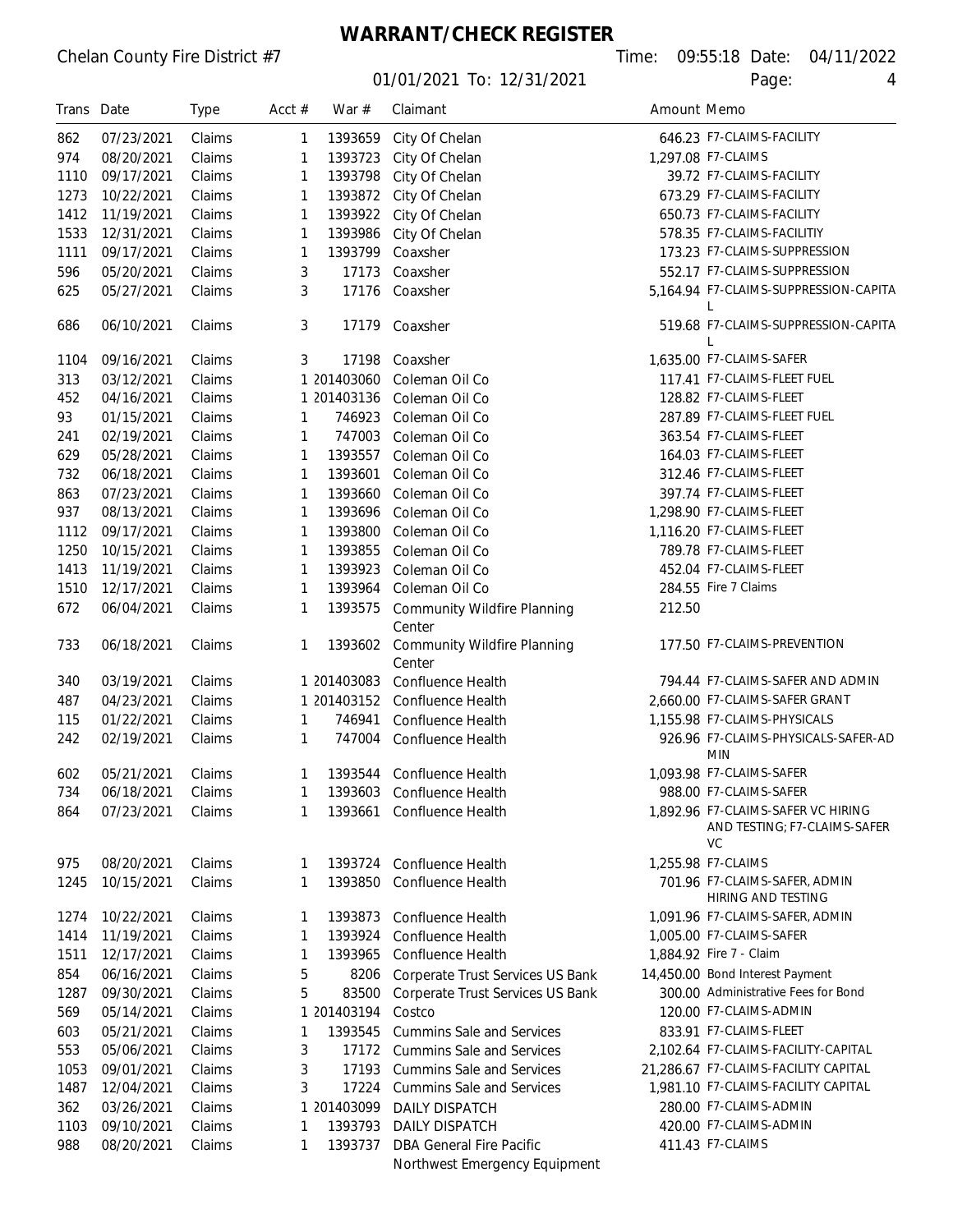01/01/2021 To: 12/31/2021 Page: 4

Chelan County Fire District #7 Time: 09:55:18 Date: 04/11/2022

| Trans Date |            | <b>Type</b> | Acct $#$ | War $#$     | Claimant                                     | Amount Memo |                                                                                 |
|------------|------------|-------------|----------|-------------|----------------------------------------------|-------------|---------------------------------------------------------------------------------|
| 862        | 07/23/2021 | Claims      | 1        | 1393659     | City Of Chelan                               |             | 646.23 F7-CLAIMS-FACILITY                                                       |
| 974        | 08/20/2021 | Claims      | 1        | 1393723     | City Of Chelan                               |             | 1,297.08 F7-CLAIMS                                                              |
| 1110       | 09/17/2021 | Claims      | 1        | 1393798     | City Of Chelan                               |             | 39.72 F7-CLAIMS-FACILITY                                                        |
| 1273       | 10/22/2021 | Claims      | 1        | 1393872     | City Of Chelan                               |             | 673.29 F7-CLAIMS-FACILITY                                                       |
| 1412       | 11/19/2021 | Claims      | 1        | 1393922     | City Of Chelan                               |             | 650.73 F7-CLAIMS-FACILITY                                                       |
| 1533       | 12/31/2021 | Claims      | 1        | 1393986     | City Of Chelan                               |             | 578.35 F7-CLAIMS-FACILITIY                                                      |
| 1111       | 09/17/2021 | Claims      | 1        | 1393799     | Coaxsher                                     |             | 173.23 F7-CLAIMS-SUPPRESSION                                                    |
| 596        | 05/20/2021 | Claims      | 3        | 17173       | Coaxsher                                     |             | 552.17 F7-CLAIMS-SUPPRESSION                                                    |
| 625        | 05/27/2021 | Claims      | 3        | 17176       | Coaxsher                                     |             | 5,164.94 F7-CLAIMS-SUPPRESSION-CAPITA<br>L                                      |
| 686        | 06/10/2021 | Claims      | 3        | 17179       | Coaxsher                                     |             | 519.68 F7-CLAIMS-SUPPRESSION-CAPITA                                             |
| 1104       | 09/16/2021 | Claims      | 3        | 17198       | Coaxsher                                     |             | 1,635.00 F7-CLAIMS-SAFER                                                        |
| 313        | 03/12/2021 | Claims      |          | 1 201403060 | Coleman Oil Co                               |             | 117.41 F7-CLAIMS-FLEET FUEL                                                     |
| 452        | 04/16/2021 | Claims      |          | 1 201403136 | Coleman Oil Co                               |             | 128.82 F7-CLAIMS-FLEET                                                          |
| 93         | 01/15/2021 | Claims      | 1        | 746923      | Coleman Oil Co                               |             | 287.89 F7-CLAIMS-FLEET FUEL                                                     |
| 241        | 02/19/2021 | Claims      | 1        | 747003      | Coleman Oil Co                               |             | 363.54 F7-CLAIMS-FLEET                                                          |
| 629        | 05/28/2021 | Claims      | 1        | 1393557     | Coleman Oil Co                               |             | 164.03 F7-CLAIMS-FLEET                                                          |
| 732        | 06/18/2021 | Claims      | 1        | 1393601     | Coleman Oil Co                               |             | 312.46 F7-CLAIMS-FLEET                                                          |
| 863        | 07/23/2021 | Claims      | 1        | 1393660     | Coleman Oil Co                               |             | 397.74 F7-CLAIMS-FLEET                                                          |
| 937        | 08/13/2021 | Claims      | 1        | 1393696     | Coleman Oil Co                               |             | 1.298.90 F7-CLAIMS-FLEET                                                        |
| 1112       | 09/17/2021 | Claims      | 1        | 1393800     | Coleman Oil Co                               |             | 1,116.20 F7-CLAIMS-FLEET                                                        |
| 1250       | 10/15/2021 | Claims      | 1        | 1393855     | Coleman Oil Co                               |             | 789.78 F7-CLAIMS-FLEET                                                          |
| 1413       | 11/19/2021 | Claims      | 1        | 1393923     | Coleman Oil Co                               |             | 452.04 F7-CLAIMS-FLEET                                                          |
| 1510       | 12/17/2021 | Claims      | 1        | 1393964     | Coleman Oil Co                               |             | 284.55 Fire 7 Claims                                                            |
| 672        | 06/04/2021 | Claims      | 1        | 1393575     | <b>Community Wildfire Planning</b><br>Center | 212.50      |                                                                                 |
| 733        | 06/18/2021 | Claims      | 1        | 1393602     | <b>Community Wildfire Planning</b><br>Center |             | 177.50 F7-CLAIMS-PREVENTION                                                     |
| 340        | 03/19/2021 | Claims      |          | 1 201403083 | Confluence Health                            |             | 794.44 F7-CLAIMS-SAFER AND ADMIN                                                |
| 487        | 04/23/2021 | Claims      |          | 1 201403152 | Confluence Health                            |             | 2,660.00 F7-CLAIMS-SAFER GRANT                                                  |
| 115        | 01/22/2021 | Claims      | 1        | 746941      | <b>Confluence Health</b>                     |             | 1,155.98 F7-CLAIMS-PHYSICALS                                                    |
| 242        | 02/19/2021 | Claims      | 1        | 747004      | <b>Confluence Health</b>                     |             | 926.96 F7-CLAIMS-PHYSICALS-SAFER-AD<br><b>MIN</b>                               |
| 602        | 05/21/2021 | Claims      | 1        |             | 1393544 Confluence Health                    |             | 1,093.98 F7-CLAIMS-SAFER                                                        |
| 734        | 06/18/2021 | Claims      | 1        |             | 1393603 Confluence Health                    |             | 988.00 F7-CLAIMS-SAFER                                                          |
| 864        | 07/23/2021 | Claims      | 1        |             | 1393661 Confluence Health                    |             | 1,892.96 F7-CLAIMS-SAFER VC HIRING<br>AND TESTING; F7-CLAIMS-SAFER<br><b>VC</b> |
| 975        | 08/20/2021 | Claims      | 1        | 1393724     | Confluence Health                            |             | 1.255.98 F7-CLAIMS                                                              |
| 1245       | 10/15/2021 | Claims      | 1        | 1393850     | <b>Confluence Health</b>                     |             | 701.96 F7-CLAIMS-SAFER, ADMIN<br>HIRING AND TESTING                             |
| 1274       | 10/22/2021 | Claims      | 1        | 1393873     | Confluence Health                            |             | 1,091.96 F7-CLAIMS-SAFER, ADMIN                                                 |
| 1414       | 11/19/2021 | Claims      | 1        | 1393924     | <b>Confluence Health</b>                     |             | 1,005.00 F7-CLAIMS-SAFER                                                        |
| 1511       | 12/17/2021 | Claims      | 1        | 1393965     | <b>Confluence Health</b>                     |             | 1,884.92 Fire 7 - Claim                                                         |
| 854        | 06/16/2021 | Claims      | 5        | 8206        | Corperate Trust Services US Bank             |             | 14,450.00 Bond Interest Payment                                                 |
| 1287       | 09/30/2021 | Claims      | 5        | 83500       | Corperate Trust Services US Bank             |             | 300.00 Administrative Fees for Bond                                             |
| 569        | 05/14/2021 | Claims      |          | 1 201403194 | Costco                                       |             | 120.00 F7-CLAIMS-ADMIN                                                          |
| 603        | 05/21/2021 | Claims      | 1        | 1393545     | <b>Cummins Sale and Services</b>             |             | 833.91 F7-CLAIMS-FLEET                                                          |
| 553        | 05/06/2021 | Claims      | 3        | 17172       | <b>Cummins Sale and Services</b>             |             | 2,102.64 F7-CLAIMS-FACILITY-CAPITAL                                             |
| 1053       | 09/01/2021 | Claims      | 3        | 17193       | <b>Cummins Sale and Services</b>             |             | 21,286.67 F7-CLAIMS-FACILITY CAPITAL                                            |
| 1487       | 12/04/2021 | Claims      | 3        | 17224       | <b>Cummins Sale and Services</b>             |             | 1.981.10 F7-CLAIMS-FACILITY CAPITAL                                             |
| 362        | 03/26/2021 | Claims      |          | 1 201403099 | <b>DAILY DISPATCH</b>                        |             | 280.00 F7-CLAIMS-ADMIN                                                          |
| 1103       | 09/10/2021 | Claims      | 1        | 1393793     | DAILY DISPATCH                               |             | 420.00 F7-CLAIMS-ADMIN                                                          |
| 988        | 08/20/2021 | Claims      | 1        | 1393737     | DBA General Fire Pacific                     |             | 411.43 F7-CLAIMS                                                                |
|            |            |             |          |             | Northwest Emergency Equipment                |             |                                                                                 |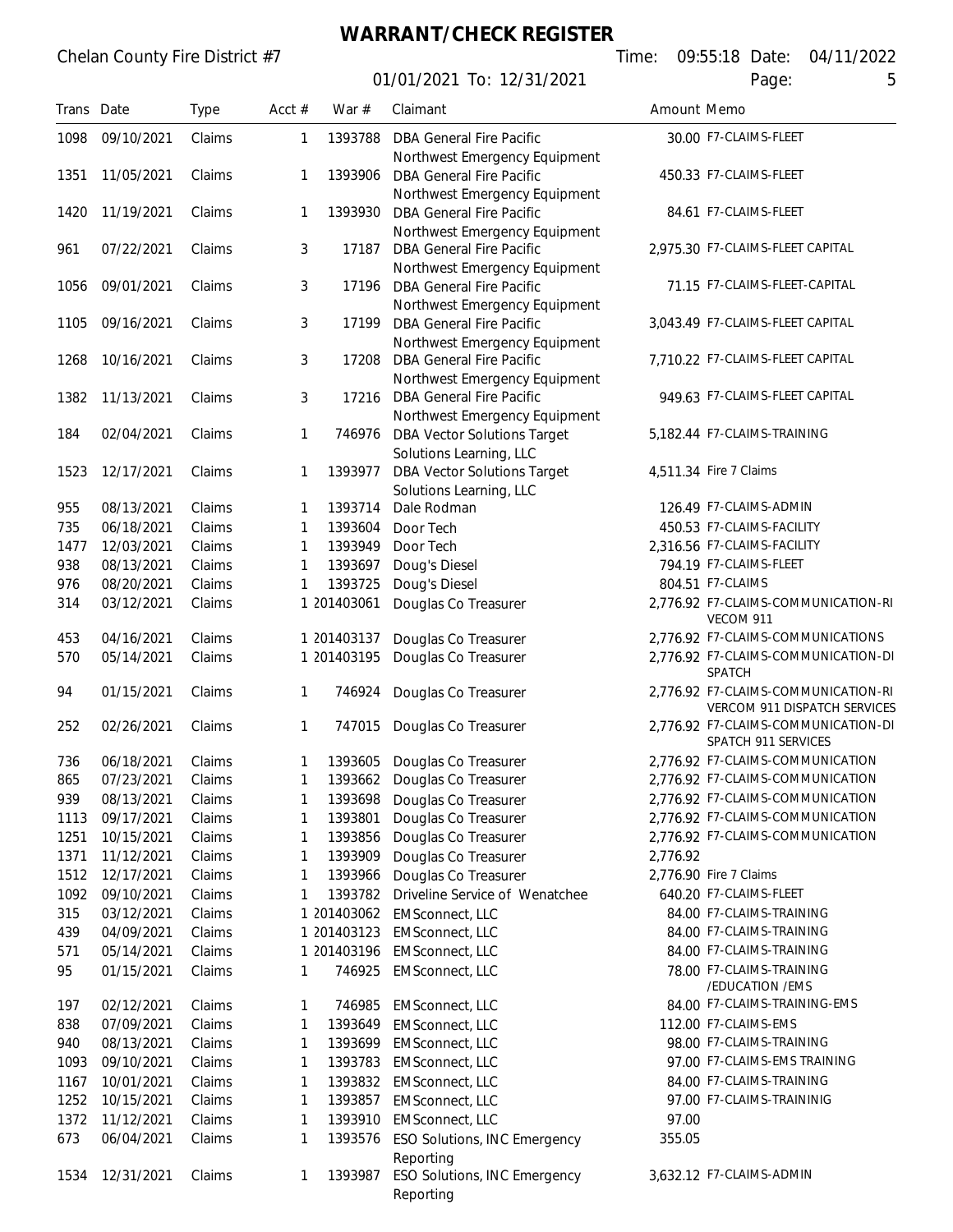| Trans Date |            | <b>Type</b> | Acct $#$ | War $#$     | Claimant                            | Amount Memo |                                     |
|------------|------------|-------------|----------|-------------|-------------------------------------|-------------|-------------------------------------|
| 1098       | 09/10/2021 | Claims      | 1        | 1393788     | <b>DBA General Fire Pacific</b>     |             | 30.00 F7-CLAIMS-FLEET               |
|            |            |             |          |             | Northwest Emergency Equipment       |             |                                     |
| 1351       | 11/05/2021 | Claims      | 1        | 1393906     | <b>DBA General Fire Pacific</b>     |             | 450.33 F7-CLAIMS-FLEET              |
|            |            |             |          |             | Northwest Emergency Equipment       |             |                                     |
| 1420       | 11/19/2021 | Claims      | 1        | 1393930     | <b>DBA General Fire Pacific</b>     |             | 84.61 F7-CLAIMS-FLEET               |
|            |            |             |          |             | Northwest Emergency Equipment       |             |                                     |
| 961        | 07/22/2021 | Claims      | 3        | 17187       | <b>DBA General Fire Pacific</b>     |             | 2,975.30 F7-CLAIMS-FLEET CAPITAL    |
|            |            |             |          |             | Northwest Emergency Equipment       |             |                                     |
| 1056       | 09/01/2021 | Claims      | 3        | 17196       | <b>DBA General Fire Pacific</b>     |             | 71.15 F7-CLAIMS-FLEET-CAPITAL       |
|            |            |             |          |             | Northwest Emergency Equipment       |             |                                     |
| 1105       | 09/16/2021 | Claims      | 3        | 17199       | <b>DBA General Fire Pacific</b>     |             | 3,043.49 F7-CLAIMS-FLEET CAPITAL    |
|            |            |             |          |             | Northwest Emergency Equipment       |             |                                     |
| 1268       | 10/16/2021 | Claims      | 3        | 17208       | <b>DBA General Fire Pacific</b>     |             | 7,710.22 F7-CLAIMS-FLEET CAPITAL    |
|            |            |             |          |             | Northwest Emergency Equipment       |             |                                     |
| 1382       | 11/13/2021 | Claims      | 3        | 17216       | <b>DBA General Fire Pacific</b>     |             | 949.63 F7-CLAIMS-FLEET CAPITAL      |
|            |            |             |          |             | Northwest Emergency Equipment       |             |                                     |
| 184        | 02/04/2021 | Claims      | 1        | 746976      | <b>DBA Vector Solutions Target</b>  |             | 5,182.44 F7-CLAIMS-TRAINING         |
|            |            |             |          |             | Solutions Learning, LLC             |             |                                     |
| 1523       | 12/17/2021 | Claims      | 1        | 1393977     | <b>DBA Vector Solutions Target</b>  |             | 4,511.34 Fire 7 Claims              |
|            |            |             |          |             | Solutions Learning, LLC             |             |                                     |
| 955        | 08/13/2021 | Claims      | 1        | 1393714     | Dale Rodman                         |             | 126.49 F7-CLAIMS-ADMIN              |
| 735        | 06/18/2021 | Claims      | 1        | 1393604     | Door Tech                           |             | 450.53 F7-CLAIMS-FACILITY           |
| 1477       | 12/03/2021 | Claims      | 1        | 1393949     | Door Tech                           |             | 2,316.56 F7-CLAIMS-FACILITY         |
| 938        | 08/13/2021 | Claims      | 1        | 1393697     | Doug's Diesel                       |             | 794.19 F7-CLAIMS-FLEET              |
| 976        | 08/20/2021 | Claims      | 1        | 1393725     | Doug's Diesel                       |             | 804.51 F7-CLAIMS                    |
| 314        | 03/12/2021 | Claims      |          | 1 201403061 | Douglas Co Treasurer                |             | 2,776.92 F7-CLAIMS-COMMUNICATION-RI |
|            |            |             |          |             |                                     |             | VECOM 911                           |
| 453        | 04/16/2021 | Claims      |          | 1 201403137 | Douglas Co Treasurer                |             | 2,776.92 F7-CLAIMS-COMMUNICATIONS   |
| 570        | 05/14/2021 | Claims      |          | 1 201403195 | Douglas Co Treasurer                |             | 2,776.92 F7-CLAIMS-COMMUNICATION-DI |
|            |            |             |          |             |                                     |             | SPATCH                              |
| 94         | 01/15/2021 | Claims      | 1        | 746924      | Douglas Co Treasurer                |             | 2.776.92 F7-CLAIMS-COMMUNICATION-RI |
|            |            |             |          |             |                                     |             | VERCOM 911 DISPATCH SERVICES        |
| 252        | 02/26/2021 | Claims      | 1        | 747015      | Douglas Co Treasurer                |             | 2,776.92 F7-CLAIMS-COMMUNICATION-DI |
|            |            |             |          |             |                                     |             | SPATCH 911 SERVICES                 |
| 736        | 06/18/2021 | Claims      | 1        | 1393605     | Douglas Co Treasurer                |             | 2,776.92 F7-CLAIMS-COMMUNICATION    |
| 865        | 07/23/2021 | Claims      | 1        | 1393662     | Douglas Co Treasurer                |             | 2,776.92 F7-CLAIMS-COMMUNICATION    |
| 939        | 08/13/2021 | Claims      | 1        | 1393698     | Douglas Co Treasurer                |             | 2.776.92 F7-CLAIMS-COMMUNICATION    |
| 1113       | 09/17/2021 | Claims      | 1        | 1393801     | Douglas Co Treasurer                |             | 2.776.92 F7-CLAIMS-COMMUNICATION    |
| 1251       | 10/15/2021 | Claims      | 1        | 1393856     | Douglas Co Treasurer                |             | 2.776.92 F7-CLAIMS-COMMUNICATION    |
| 1371       | 11/12/2021 | Claims      | 1        | 1393909     | Douglas Co Treasurer                | 2.776.92    |                                     |
| 1512       | 12/17/2021 | Claims      | 1        | 1393966     | Douglas Co Treasurer                |             | 2,776.90 Fire 7 Claims              |
| 1092       | 09/10/2021 | Claims      | 1        | 1393782     | Driveline Service of Wenatchee      |             | 640.20 F7-CLAIMS-FLEET              |
| 315        | 03/12/2021 | Claims      |          | 1 201403062 | <b>EMSconnect, LLC</b>              |             | 84.00 F7-CLAIMS-TRAINING            |
| 439        | 04/09/2021 | Claims      |          | 1 201403123 | <b>EMSconnect, LLC</b>              |             | 84.00 F7-CLAIMS-TRAINING            |
| 571        | 05/14/2021 | Claims      |          | 1 201403196 | <b>EMSconnect, LLC</b>              |             | 84.00 F7-CLAIMS-TRAINING            |
| 95         | 01/15/2021 | Claims      | 1        | 746925      | <b>EMSconnect, LLC</b>              |             | 78.00 F7-CLAIMS-TRAINING            |
|            |            |             |          |             |                                     |             | /EDUCATION / EMS                    |
| 197        | 02/12/2021 | Claims      | 1        | 746985      | <b>EMSconnect, LLC</b>              |             | 84.00 F7-CLAIMS-TRAINING-EMS        |
| 838        | 07/09/2021 | Claims      | 1        | 1393649     | <b>EMSconnect, LLC</b>              |             | 112.00 F7-CLAIMS-EMS                |
| 940        | 08/13/2021 | Claims      | 1        | 1393699     | <b>EMSconnect, LLC</b>              |             | 98.00 F7-CLAIMS-TRAINING            |
| 1093       | 09/10/2021 | Claims      | 1        | 1393783     | <b>EMSconnect, LLC</b>              |             | 97.00 F7-CLAIMS-EMS TRAINING        |
| 1167       | 10/01/2021 | Claims      | 1        | 1393832     | <b>EMSconnect, LLC</b>              |             | 84.00 F7-CLAIMS-TRAINING            |
| 1252       | 10/15/2021 | Claims      | 1        | 1393857     | <b>EMSconnect, LLC</b>              |             | 97.00 F7-CLAIMS-TRAININIG           |
| 1372       | 11/12/2021 | Claims      | 1        | 1393910     | <b>EMSconnect, LLC</b>              | 97.00       |                                     |
| 673        | 06/04/2021 | Claims      | 1        | 1393576     | ESO Solutions, INC Emergency        | 355.05      |                                     |
|            |            |             |          |             | Reporting                           |             |                                     |
| 1534       | 12/31/2021 | Claims      | 1        | 1393987     | <b>ESO Solutions, INC Emergency</b> |             | 3,632.12 F7-CLAIMS-ADMIN            |
|            |            |             |          |             | Reporting                           |             |                                     |
|            |            |             |          |             |                                     |             |                                     |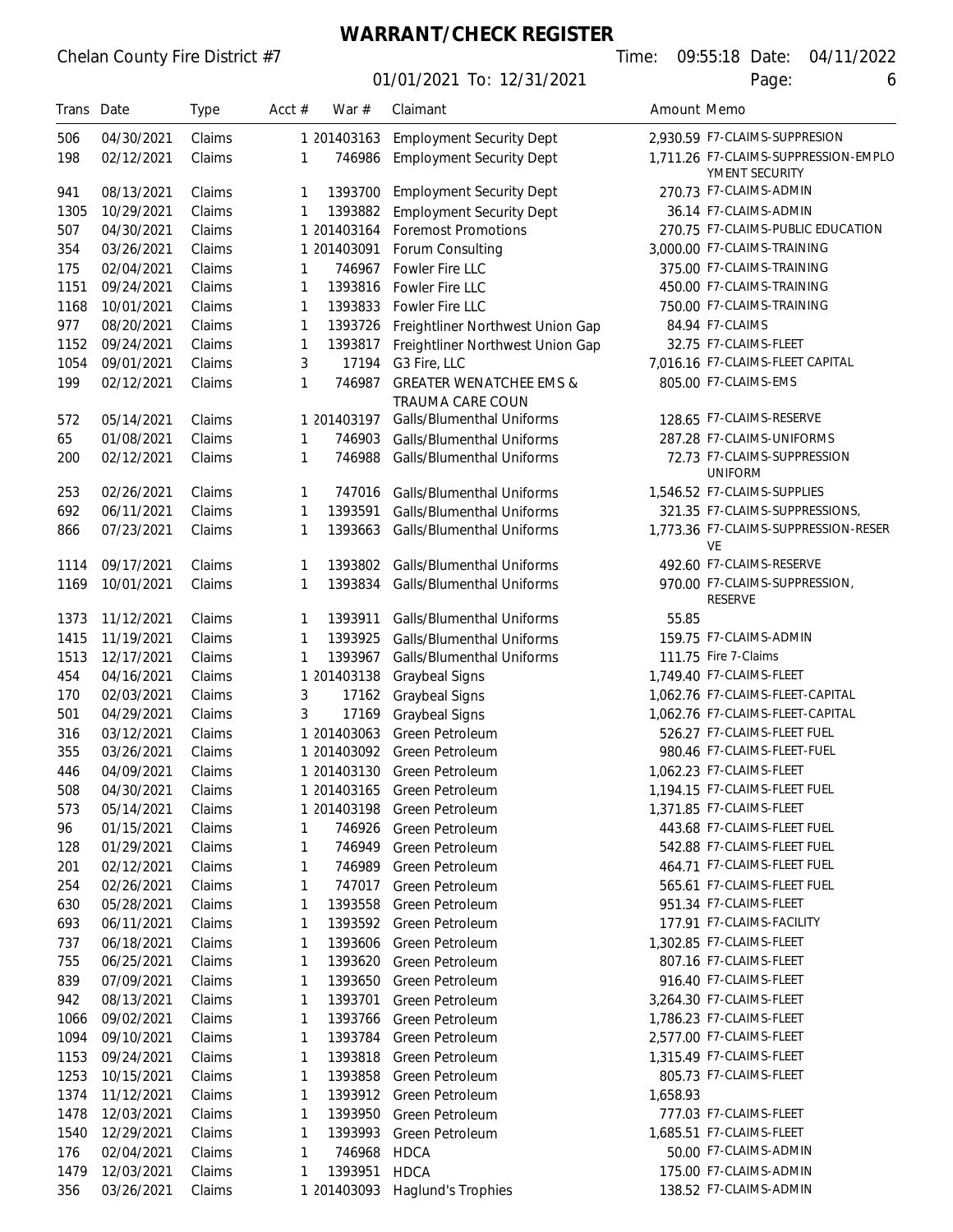### Chelan County Fire District #7

# **WARRANT/CHECK REGISTER**

|  |       | ne: 09:55:18 Date: 04/11/2022 |
|--|-------|-------------------------------|
|  | Page: |                               |

| Trans Date |            | <b>Type</b> | Acct $#$ | War $#$     | Claimant                                                      | Amount Memo |                                                        |
|------------|------------|-------------|----------|-------------|---------------------------------------------------------------|-------------|--------------------------------------------------------|
| 506        | 04/30/2021 | Claims      |          | 1 201403163 | <b>Employment Security Dept</b>                               |             | 2,930.59 F7-CLAIMS-SUPPRESION                          |
| 198        | 02/12/2021 | Claims      | 1        | 746986      | <b>Employment Security Dept</b>                               |             | 1,711.26 F7-CLAIMS-SUPPRESSION-EMPLO<br>YMENT SECURITY |
| 941        | 08/13/2021 | Claims      | 1        | 1393700     | <b>Employment Security Dept</b>                               |             | 270.73 F7-CLAIMS-ADMIN                                 |
| 1305       | 10/29/2021 | Claims      | 1        | 1393882     | <b>Employment Security Dept</b>                               |             | 36.14 F7-CLAIMS-ADMIN                                  |
| 507        | 04/30/2021 | Claims      |          | 1 201403164 | <b>Foremost Promotions</b>                                    |             | 270.75 F7-CLAIMS-PUBLIC EDUCATION                      |
| 354        | 03/26/2021 | Claims      |          | 1 201403091 | Forum Consulting                                              |             | 3,000.00 F7-CLAIMS-TRAINING                            |
| 175        | 02/04/2021 | Claims      | 1        | 746967      | Fowler Fire LLC                                               |             | 375.00 F7-CLAIMS-TRAINING                              |
| 1151       | 09/24/2021 | Claims      | 1        | 1393816     | Fowler Fire LLC                                               |             | 450.00 F7-CLAIMS-TRAINING                              |
| 1168       | 10/01/2021 | Claims      | 1        | 1393833     | Fowler Fire LLC                                               |             | 750.00 F7-CLAIMS-TRAINING                              |
| 977        | 08/20/2021 | Claims      | 1        | 1393726     | Freightliner Northwest Union Gap                              |             | 84.94 F7-CLAIMS                                        |
| 1152       | 09/24/2021 | Claims      | 1        | 1393817     | Freightliner Northwest Union Gap                              |             | 32.75 F7-CLAIMS-FLEET                                  |
| 1054       | 09/01/2021 | Claims      | 3        | 17194       | G3 Fire, LLC                                                  |             | 7,016.16 F7-CLAIMS-FLEET CAPITAL                       |
| 199        | 02/12/2021 | Claims      | 1        | 746987      | <b>GREATER WENATCHEE EMS &amp;</b><br><b>TRAUMA CARE COUN</b> |             | 805.00 F7-CLAIMS-EMS                                   |
| 572        | 05/14/2021 | Claims      |          | 1 201403197 | Galls/Blumenthal Uniforms                                     |             | 128.65 F7-CLAIMS-RESERVE                               |
| 65         | 01/08/2021 | Claims      | 1        | 746903      | Galls/Blumenthal Uniforms                                     |             | 287.28 F7-CLAIMS-UNIFORMS                              |
| 200        | 02/12/2021 | Claims      | 1        | 746988      | Galls/Blumenthal Uniforms                                     |             | 72.73 F7-CLAIMS-SUPPRESSION<br><b>UNIFORM</b>          |
| 253        | 02/26/2021 | Claims      | 1        | 747016      | Galls/Blumenthal Uniforms                                     |             | 1,546.52 F7-CLAIMS-SUPPLIES                            |
| 692        | 06/11/2021 | Claims      | 1        | 1393591     | Galls/Blumenthal Uniforms                                     |             | 321.35 F7-CLAIMS-SUPPRESSIONS,                         |
| 866        | 07/23/2021 | Claims      | 1        | 1393663     | Galls/Blumenthal Uniforms                                     |             | 1,773.36 F7-CLAIMS-SUPPRESSION-RESER<br>VE             |
| 1114       | 09/17/2021 | Claims      | 1        | 1393802     | Galls/Blumenthal Uniforms                                     |             | 492.60 F7-CLAIMS-RESERVE                               |
| 1169       | 10/01/2021 | Claims      | 1        | 1393834     | Galls/Blumenthal Uniforms                                     |             | 970.00 F7-CLAIMS-SUPPRESSION,<br><b>RESERVE</b>        |
| 1373       | 11/12/2021 | Claims      | 1        | 1393911     | Galls/Blumenthal Uniforms                                     | 55.85       |                                                        |
| 1415       | 11/19/2021 | Claims      | 1        | 1393925     | Galls/Blumenthal Uniforms                                     |             | 159.75 F7-CLAIMS-ADMIN                                 |
| 1513       | 12/17/2021 | Claims      | 1        | 1393967     | Galls/Blumenthal Uniforms                                     |             | 111.75 Fire 7-Claims                                   |
| 454        | 04/16/2021 | Claims      |          | 1 201403138 | Graybeal Signs                                                |             | 1,749.40 F7-CLAIMS-FLEET                               |
| 170        | 02/03/2021 | Claims      | 3        | 17162       | <b>Graybeal Signs</b>                                         |             | 1.062.76 F7-CLAIMS-FLEET-CAPITAL                       |
| 501        | 04/29/2021 | Claims      | 3        | 17169       | <b>Graybeal Signs</b>                                         |             | 1,062.76 F7-CLAIMS-FLEET-CAPITAL                       |
| 316        | 03/12/2021 | Claims      |          | 1 201403063 | Green Petroleum                                               |             | 526.27 F7-CLAIMS-FLEET FUEL                            |
| 355        | 03/26/2021 | Claims      |          | 1 201403092 | Green Petroleum                                               |             | 980.46 F7-CLAIMS-FLEET-FUEL                            |
| 446        | 04/09/2021 | Claims      |          | 1 201403130 | Green Petroleum                                               |             | 1,062.23 F7-CLAIMS-FLEET                               |
| 508        | 04/30/2021 | Claims      |          | 1 201403165 | Green Petroleum                                               |             | 1,194.15 F7-CLAIMS-FLEET FUEL                          |
| 573        | 05/14/2021 | Claims      |          | 1 201403198 | Green Petroleum                                               |             | 1,371.85 F7-CLAIMS-FLEET                               |
| 96         | 01/15/2021 | Claims      | 1        | 746926      | Green Petroleum                                               |             | 443.68 F7-CLAIMS-FLEET FUEL                            |
| 128        | 01/29/2021 | Claims      | 1        | 746949      | Green Petroleum                                               |             | 542.88 F7-CLAIMS-FLEET FUEL                            |
| 201        | 02/12/2021 | Claims      | 1        | 746989      | Green Petroleum                                               |             | 464.71 F7-CLAIMS-FLEET FUEL                            |
| 254        | 02/26/2021 | Claims      | 1        | 747017      | Green Petroleum                                               |             | 565.61 F7-CLAIMS-FLEET FUEL                            |
| 630        | 05/28/2021 | Claims      | 1        | 1393558     | Green Petroleum                                               |             | 951.34 F7-CLAIMS-FLEET                                 |
| 693        | 06/11/2021 | Claims      | 1        | 1393592     | Green Petroleum                                               |             | 177.91 F7-CLAIMS-FACILITY                              |
| 737        | 06/18/2021 | Claims      | 1        | 1393606     | Green Petroleum                                               |             | 1,302.85 F7-CLAIMS-FLEET                               |
| 755        | 06/25/2021 | Claims      | 1        | 1393620     | Green Petroleum                                               |             | 807.16 F7-CLAIMS-FLEET                                 |
| 839        | 07/09/2021 | Claims      | 1        | 1393650     | Green Petroleum                                               |             | 916.40 F7-CLAIMS-FLEET                                 |
| 942        | 08/13/2021 | Claims      | 1        | 1393701     | Green Petroleum                                               |             | 3,264.30 F7-CLAIMS-FLEET                               |
| 1066       | 09/02/2021 | Claims      | 1        | 1393766     | Green Petroleum                                               |             | 1,786.23 F7-CLAIMS-FLEET                               |
| 1094       | 09/10/2021 | Claims      | 1        | 1393784     | Green Petroleum                                               |             | 2,577.00 F7-CLAIMS-FLEET                               |
| 1153       | 09/24/2021 | Claims      | 1        | 1393818     | Green Petroleum                                               |             | 1,315.49 F7-CLAIMS-FLEET                               |
| 1253       | 10/15/2021 | Claims      | 1        | 1393858     | Green Petroleum                                               |             | 805.73 F7-CLAIMS-FLEET                                 |
| 1374       | 11/12/2021 | Claims      | 1        | 1393912     | Green Petroleum                                               | 1,658.93    |                                                        |
| 1478       | 12/03/2021 | Claims      | 1        | 1393950     | Green Petroleum                                               |             | 777.03 F7-CLAIMS-FLEET                                 |
| 1540       | 12/29/2021 | Claims      | 1        | 1393993     | Green Petroleum                                               |             | 1,685.51 F7-CLAIMS-FLEET                               |
| 176        | 02/04/2021 | Claims      | 1        | 746968      | <b>HDCA</b>                                                   |             | 50.00 F7-CLAIMS-ADMIN                                  |
| 1479       | 12/03/2021 | Claims      | 1        | 1393951     | <b>HDCA</b>                                                   |             | 175.00 F7-CLAIMS-ADMIN                                 |
| 356        | 03/26/2021 | Claims      |          | 1 201403093 | Haglund's Trophies                                            |             | 138.52 F7-CLAIMS-ADMIN                                 |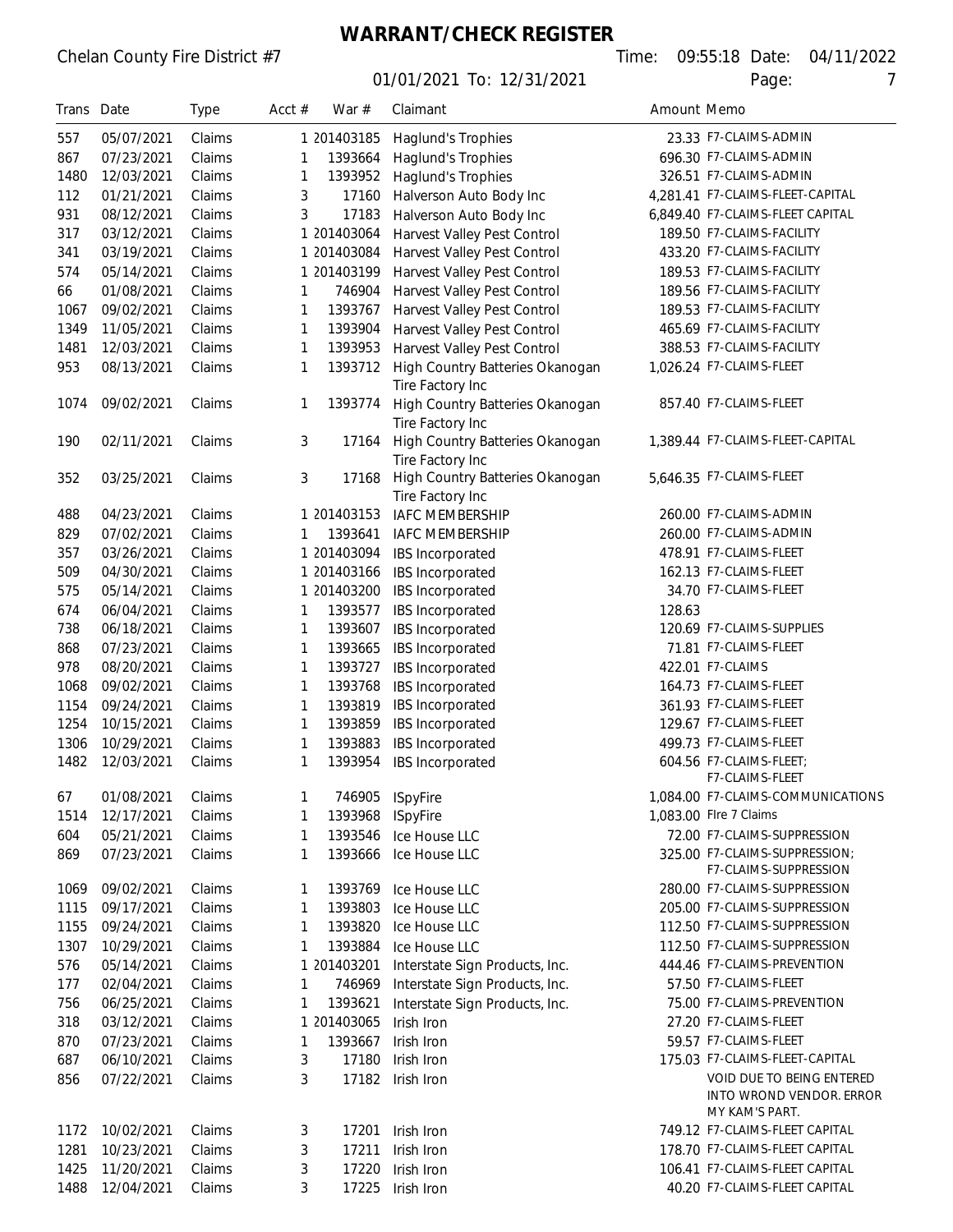# **WARRANT/CHECK REGISTER**

|--|

| Trans Date |            | <b>Type</b> | Acct $#$ | War #       | Claimant                        | Amount Memo |                                            |
|------------|------------|-------------|----------|-------------|---------------------------------|-------------|--------------------------------------------|
| 557        | 05/07/2021 | Claims      |          | 1 201403185 | Haglund's Trophies              |             | 23.33 F7-CLAIMS-ADMIN                      |
| 867        | 07/23/2021 | Claims      | 1        | 1393664     | Haglund's Trophies              |             | 696.30 F7-CLAIMS-ADMIN                     |
| 1480       | 12/03/2021 | Claims      | 1        | 1393952     | Haglund's Trophies              |             | 326.51 F7-CLAIMS-ADMIN                     |
| 112        | 01/21/2021 | Claims      | 3        | 17160       | Halverson Auto Body Inc         |             | 4,281.41 F7-CLAIMS-FLEET-CAPITAL           |
| 931        | 08/12/2021 | Claims      | 3        | 17183       | Halverson Auto Body Inc         |             | 6,849.40 F7-CLAIMS-FLEET CAPITAL           |
| 317        | 03/12/2021 | Claims      |          | 1 201403064 | Harvest Valley Pest Control     |             | 189.50 F7-CLAIMS-FACILITY                  |
| 341        | 03/19/2021 | Claims      |          | 1 201403084 | Harvest Valley Pest Control     |             | 433.20 F7-CLAIMS-FACILITY                  |
| 574        | 05/14/2021 | Claims      |          | 1 201403199 | Harvest Valley Pest Control     |             | 189.53 F7-CLAIMS-FACILITY                  |
| 66         | 01/08/2021 | Claims      | 1        | 746904      | Harvest Valley Pest Control     |             | 189.56 F7-CLAIMS-FACILITY                  |
| 1067       | 09/02/2021 | Claims      | 1        | 1393767     | Harvest Valley Pest Control     |             | 189.53 F7-CLAIMS-FACILITY                  |
| 1349       | 11/05/2021 | Claims      | 1        | 1393904     | Harvest Valley Pest Control     |             | 465.69 F7-CLAIMS-FACILITY                  |
| 1481       | 12/03/2021 | Claims      | 1        | 1393953     | Harvest Valley Pest Control     |             | 388.53 F7-CLAIMS-FACILITY                  |
| 953        | 08/13/2021 | Claims      | 1        | 1393712     | High Country Batteries Okanogan |             | 1,026.24 F7-CLAIMS-FLEET                   |
|            |            |             |          |             | Tire Factory Inc                |             |                                            |
| 1074       | 09/02/2021 | Claims      | 1        | 1393774     | High Country Batteries Okanogan |             | 857.40 F7-CLAIMS-FLEET                     |
|            |            |             |          |             | Tire Factory Inc                |             |                                            |
| 190        | 02/11/2021 | Claims      | 3        | 17164       | High Country Batteries Okanogan |             | 1,389.44 F7-CLAIMS-FLEET-CAPITAL           |
|            |            |             |          |             | Tire Factory Inc                |             |                                            |
| 352        | 03/25/2021 | Claims      | 3        | 17168       | High Country Batteries Okanogan |             | 5,646.35 F7-CLAIMS-FLEET                   |
|            |            |             |          |             | Tire Factory Inc                |             |                                            |
| 488        | 04/23/2021 | Claims      |          | 1 201403153 | <b>IAFC MEMBERSHIP</b>          |             | 260.00 F7-CLAIMS-ADMIN                     |
| 829        | 07/02/2021 | Claims      |          | 1393641     | <b>IAFC MEMBERSHIP</b>          |             | 260.00 F7-CLAIMS-ADMIN                     |
| 357        | 03/26/2021 | Claims      |          | 1 201403094 | IBS Incorporated                |             | 478.91 F7-CLAIMS-FLEET                     |
| 509        | 04/30/2021 | Claims      |          | 1 201403166 | IBS Incorporated                |             | 162.13 F7-CLAIMS-FLEET                     |
| 575        | 05/14/2021 | Claims      |          | 1 201403200 | IBS Incorporated                |             | 34.70 F7-CLAIMS-FLEET                      |
| 674        | 06/04/2021 | Claims      | 1        | 1393577     | IBS Incorporated                | 128.63      |                                            |
| 738        | 06/18/2021 | Claims      | 1        | 1393607     | IBS Incorporated                |             | 120.69 F7-CLAIMS-SUPPLIES                  |
| 868        | 07/23/2021 | Claims      | 1        | 1393665     | IBS Incorporated                |             | 71.81 F7-CLAIMS-FLEET                      |
| 978        | 08/20/2021 | Claims      | 1        | 1393727     | IBS Incorporated                |             | 422.01 F7-CLAIMS                           |
| 1068       | 09/02/2021 | Claims      | 1        | 1393768     | IBS Incorporated                |             | 164.73 F7-CLAIMS-FLEET                     |
| 1154       | 09/24/2021 | Claims      | 1        | 1393819     | IBS Incorporated                |             | 361.93 F7-CLAIMS-FLEET                     |
| 1254       | 10/15/2021 | Claims      | 1        | 1393859     | IBS Incorporated                |             | 129.67 F7-CLAIMS-FLEET                     |
| 1306       | 10/29/2021 | Claims      | 1        | 1393883     | IBS Incorporated                |             | 499.73 F7-CLAIMS-FLEET                     |
| 1482       | 12/03/2021 | Claims      | 1        | 1393954     | IBS Incorporated                |             | 604.56 F7-CLAIMS-FLEET;                    |
|            |            |             |          |             |                                 |             | F7-CLAIMS-FLEET                            |
| 67         | 01/08/2021 | Claims      |          | 746905      | <b>ISpyFire</b>                 |             | 1,084.00 F7-CLAIMS-COMMUNICATIONS          |
| 1514       | 12/17/2021 | Claims      | 1        | 1393968     | <b>ISpyFire</b>                 |             | 1,083.00 Flre 7 Claims                     |
| 604        | 05/21/2021 | Claims      | 1        | 1393546     | Ice House LLC                   |             | 72.00 F7-CLAIMS-SUPPRESSION                |
| 869        | 07/23/2021 | Claims      | 1        | 1393666     | Ice House LLC                   |             | 325.00 F7-CLAIMS-SUPPRESSION;              |
|            |            |             |          |             |                                 |             | F7-CLAIMS-SUPPRESSION                      |
| 1069       | 09/02/2021 | Claims      | 1        | 1393769     | Ice House LLC                   |             | 280.00 F7-CLAIMS-SUPPRESSION               |
| 1115       | 09/17/2021 | Claims      | 1        | 1393803     | Ice House LLC                   |             | 205.00 F7-CLAIMS-SUPPRESSION               |
| 1155       | 09/24/2021 | Claims      | 1        | 1393820     | Ice House LLC                   |             | 112.50 F7-CLAIMS-SUPPRESSION               |
| 1307       | 10/29/2021 | Claims      | 1        | 1393884     | Ice House LLC                   |             | 112.50 F7-CLAIMS-SUPPRESSION               |
| 576        | 05/14/2021 | Claims      |          | 1 201403201 | Interstate Sign Products, Inc.  |             | 444.46 F7-CLAIMS-PREVENTION                |
| 177        | 02/04/2021 | Claims      | 1        | 746969      | Interstate Sign Products, Inc.  |             | 57.50 F7-CLAIMS-FLEET                      |
| 756        | 06/25/2021 | Claims      | 1        | 1393621     | Interstate Sign Products, Inc.  |             | 75.00 F7-CLAIMS-PREVENTION                 |
| 318        | 03/12/2021 | Claims      |          | 1 201403065 | Irish Iron                      |             | 27.20 F7-CLAIMS-FLEET                      |
| 870        | 07/23/2021 | Claims      | 1        | 1393667     | Irish Iron                      |             | 59.57 F7-CLAIMS-FLEET                      |
| 687        | 06/10/2021 | Claims      | 3        | 17180       | Irish Iron                      |             | 175.03 F7-CLAIMS-FLEET-CAPITAL             |
| 856        | 07/22/2021 | Claims      | 3        | 17182       | Irish Iron                      |             | VOID DUE TO BEING ENTERED                  |
|            |            |             |          |             |                                 |             | INTO WROND VENDOR. ERROR<br>MY KAM'S PART. |
| 1172       | 10/02/2021 | Claims      | 3        | 17201       | Irish Iron                      |             | 749.12 F7-CLAIMS-FLEET CAPITAL             |
| 1281       | 10/23/2021 | Claims      | 3        | 17211       | Irish Iron                      |             | 178.70 F7-CLAIMS-FLEET CAPITAL             |
| 1425       | 11/20/2021 | Claims      | 3        | 17220       | Irish Iron                      |             | 106.41 F7-CLAIMS-FLEET CAPITAL             |
| 1488       | 12/04/2021 | Claims      | 3        | 17225       | Irish Iron                      |             | 40.20 F7-CLAIMS-FLEET CAPITAL              |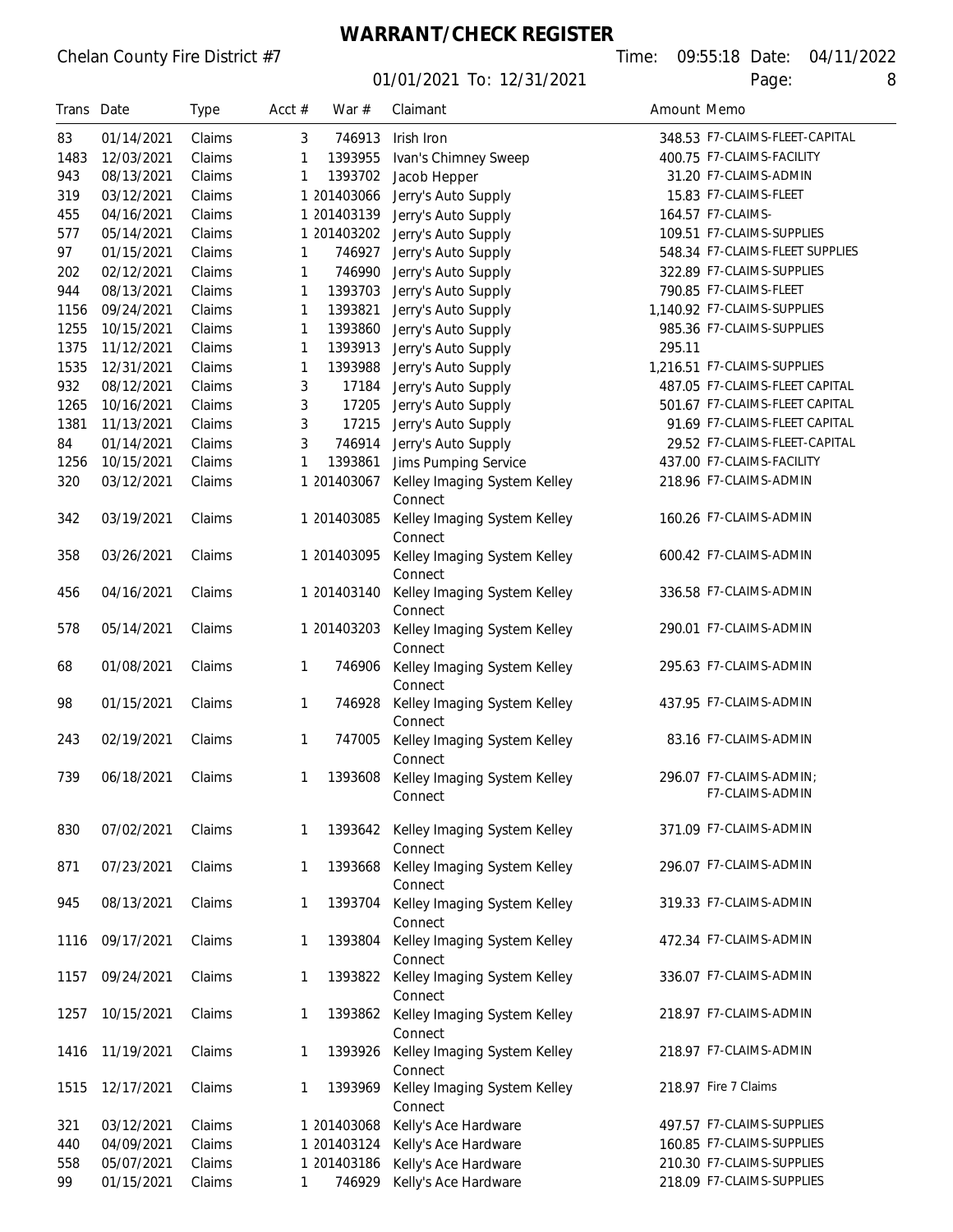#### **WARRANT/CHECK REGISTER**

| Trans Date |            | Type   | Acct $#$ | War #       | Claimant                                | Amount Memo |                                 |
|------------|------------|--------|----------|-------------|-----------------------------------------|-------------|---------------------------------|
| 83         | 01/14/2021 | Claims | 3        | 746913      | Irish Iron                              |             | 348.53 F7-CLAIMS-FLEET-CAPITAL  |
| 1483       | 12/03/2021 | Claims | 1        | 1393955     | Ivan's Chimney Sweep                    |             | 400.75 F7-CLAIMS-FACILITY       |
| 943        | 08/13/2021 | Claims | 1        | 1393702     | Jacob Hepper                            |             | 31.20 F7-CLAIMS-ADMIN           |
| 319        | 03/12/2021 | Claims |          | 1 201403066 | Jerry's Auto Supply                     |             | 15.83 F7-CLAIMS-FLEET           |
| 455        | 04/16/2021 | Claims |          | 1 201403139 | Jerry's Auto Supply                     |             | 164.57 F7-CLAIMS-               |
| 577        | 05/14/2021 | Claims |          | 1 201403202 | Jerry's Auto Supply                     |             | 109.51 F7-CLAIMS-SUPPLIES       |
| 97         | 01/15/2021 | Claims |          | 746927      | Jerry's Auto Supply                     |             | 548.34 F7-CLAIMS-FLEET SUPPLIES |
| 202        | 02/12/2021 | Claims | 1        | 746990      | Jerry's Auto Supply                     |             | 322.89 F7-CLAIMS-SUPPLIES       |
| 944        | 08/13/2021 | Claims | 1        | 1393703     | Jerry's Auto Supply                     |             | 790.85 F7-CLAIMS-FLEET          |
| 1156       | 09/24/2021 | Claims | 1        | 1393821     | Jerry's Auto Supply                     |             | 1,140.92 F7-CLAIMS-SUPPLIES     |
| 1255       | 10/15/2021 | Claims | 1        | 1393860     | Jerry's Auto Supply                     |             | 985.36 F7-CLAIMS-SUPPLIES       |
| 1375       | 11/12/2021 | Claims | 1        | 1393913     | Jerry's Auto Supply                     | 295.11      |                                 |
| 1535       | 12/31/2021 | Claims | 1        | 1393988     | Jerry's Auto Supply                     |             | 1,216.51 F7-CLAIMS-SUPPLIES     |
| 932        | 08/12/2021 | Claims |          | 17184       |                                         |             | 487.05 F7-CLAIMS-FLEET CAPITAL  |
| 1265       | 10/16/2021 | Claims | 3        | 17205       | Jerry's Auto Supply                     |             | 501.67 F7-CLAIMS-FLEET CAPITAL  |
|            |            | Claims | 3        |             | Jerry's Auto Supply                     |             | 91.69 F7-CLAIMS-FLEET CAPITAL   |
| 1381       | 11/13/2021 | Claims | 3        | 17215       | Jerry's Auto Supply                     |             |                                 |
| 84         | 01/14/2021 |        | 3        | 746914      | Jerry's Auto Supply                     |             | 29.52 F7-CLAIMS-FLEET-CAPITAL   |
| 1256       | 10/15/2021 | Claims | 1        | 1393861     | Jims Pumping Service                    |             | 437.00 F7-CLAIMS-FACILITY       |
| 320        | 03/12/2021 | Claims |          | 1 201403067 | Kelley Imaging System Kelley<br>Connect |             | 218.96 F7-CLAIMS-ADMIN          |
| 342        | 03/19/2021 | Claims |          | 1 201403085 | Kelley Imaging System Kelley<br>Connect |             | 160.26 F7-CLAIMS-ADMIN          |
| 358        | 03/26/2021 | Claims |          | 1 201403095 | Kelley Imaging System Kelley<br>Connect |             | 600.42 F7-CLAIMS-ADMIN          |
| 456        | 04/16/2021 | Claims |          | 1 201403140 | Kelley Imaging System Kelley<br>Connect |             | 336.58 F7-CLAIMS-ADMIN          |
| 578        | 05/14/2021 | Claims |          | 1 201403203 | Kelley Imaging System Kelley            |             | 290.01 F7-CLAIMS-ADMIN          |
| 68         | 01/08/2021 | Claims | 1        | 746906      | Connect<br>Kelley Imaging System Kelley |             | 295.63 F7-CLAIMS-ADMIN          |
| 98         | 01/15/2021 | Claims | 1        | 746928      | Connect<br>Kelley Imaging System Kelley |             | 437.95 F7-CLAIMS-ADMIN          |
| 243        | 02/19/2021 | Claims | 1        | 747005      | Connect<br>Kelley Imaging System Kelley |             | 83.16 F7-CLAIMS-ADMIN           |
| 739        | 06/18/2021 | Claims | 1        | 1393608     | Connect<br>Kelley Imaging System Kelley |             | 296.07 F7-CLAIMS-ADMIN;         |
|            |            |        |          |             | Connect                                 |             | F7-CLAIMS-ADMIN                 |
| 830        | 07/02/2021 | Claims | 1        | 1393642     | Kelley Imaging System Kelley<br>Connect |             | 371.09 F7-CLAIMS-ADMIN          |
| 871        | 07/23/2021 | Claims | 1        | 1393668     | Kelley Imaging System Kelley<br>Connect |             | 296.07 F7-CLAIMS-ADMIN          |
| 945        | 08/13/2021 | Claims | 1        | 1393704     | Kelley Imaging System Kelley<br>Connect |             | 319.33 F7-CLAIMS-ADMIN          |
| 1116       | 09/17/2021 | Claims | 1        | 1393804     | Kelley Imaging System Kelley<br>Connect |             | 472.34 F7-CLAIMS-ADMIN          |
| 1157       | 09/24/2021 | Claims | 1        | 1393822     | Kelley Imaging System Kelley<br>Connect |             | 336.07 F7-CLAIMS-ADMIN          |
| 1257       | 10/15/2021 | Claims | 1        | 1393862     | Kelley Imaging System Kelley<br>Connect |             | 218.97 F7-CLAIMS-ADMIN          |
| 1416       | 11/19/2021 | Claims | 1        | 1393926     | Kelley Imaging System Kelley<br>Connect |             | 218.97 F7-CLAIMS-ADMIN          |
| 1515       | 12/17/2021 | Claims | 1        | 1393969     | Kelley Imaging System Kelley<br>Connect |             | 218.97 Fire 7 Claims            |
| 321        | 03/12/2021 | Claims |          | 1 201403068 | Kelly's Ace Hardware                    |             | 497.57 F7-CLAIMS-SUPPLIES       |
| 440        | 04/09/2021 | Claims |          | 1 201403124 | Kelly's Ace Hardware                    |             | 160.85 F7-CLAIMS-SUPPLIES       |
| 558        | 05/07/2021 | Claims |          | 1 201403186 | Kelly's Ace Hardware                    |             | 210.30 F7-CLAIMS-SUPPLIES       |
| 99         | 01/15/2021 | Claims | 1        | 746929      | Kelly's Ace Hardware                    |             | 218.09 F7-CLAIMS-SUPPLIES       |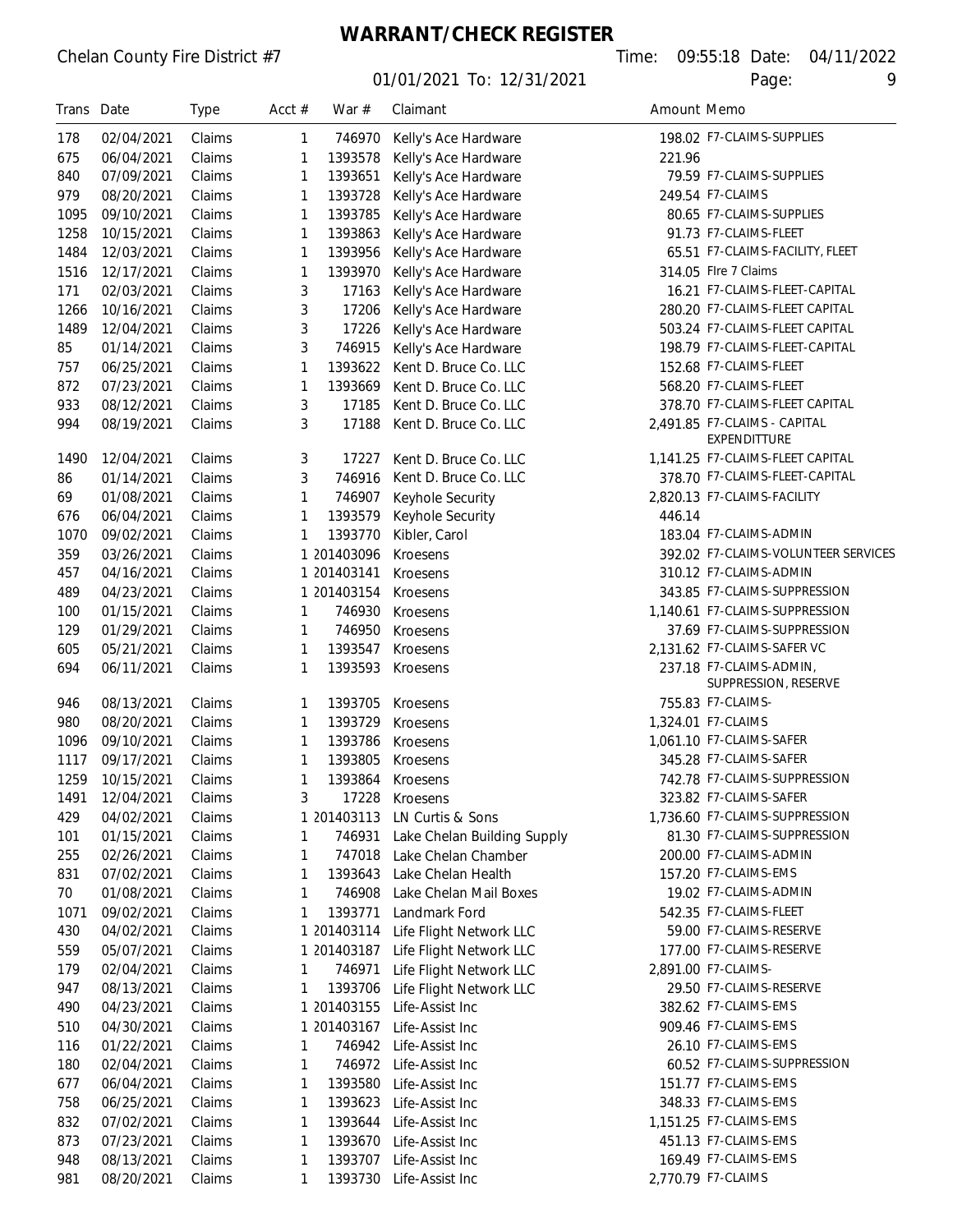# **WARRANT/CHECK REGISTER**

| Trans Date |            | <b>Type</b> | Acct $#$ | War #       | Claimant                           | Amount Memo |                                                 |
|------------|------------|-------------|----------|-------------|------------------------------------|-------------|-------------------------------------------------|
| 178        | 02/04/2021 | Claims      | 1        | 746970      | Kelly's Ace Hardware               |             | 198.02 F7-CLAIMS-SUPPLIES                       |
| 675        | 06/04/2021 | Claims      | 1        | 1393578     | Kelly's Ace Hardware               | 221.96      |                                                 |
| 840        | 07/09/2021 | Claims      | 1        | 1393651     | Kelly's Ace Hardware               |             | 79.59 F7-CLAIMS-SUPPLIES                        |
| 979        | 08/20/2021 | Claims      | 1        | 1393728     | Kelly's Ace Hardware               |             | 249.54 F7-CLAIMS                                |
| 1095       | 09/10/2021 | Claims      | 1        | 1393785     | Kelly's Ace Hardware               |             | 80.65 F7-CLAIMS-SUPPLIES                        |
| 1258       | 10/15/2021 | Claims      | 1        | 1393863     | Kelly's Ace Hardware               |             | 91.73 F7-CLAIMS-FLEET                           |
| 1484       | 12/03/2021 | Claims      | 1        | 1393956     | Kelly's Ace Hardware               |             | 65.51 F7-CLAIMS-FACILITY, FLEET                 |
| 1516       | 12/17/2021 | Claims      | 1        | 1393970     | Kelly's Ace Hardware               |             | 314.05 Flre 7 Claims                            |
| 171        | 02/03/2021 | Claims      | 3        | 17163       | Kelly's Ace Hardware               |             | 16.21 F7-CLAIMS-FLEET-CAPITAL                   |
| 1266       | 10/16/2021 | Claims      | 3        | 17206       | Kelly's Ace Hardware               |             | 280.20 F7-CLAIMS-FLEET CAPITAL                  |
| 1489       | 12/04/2021 | Claims      | 3        | 17226       | Kelly's Ace Hardware               |             | 503.24 F7-CLAIMS-FLEET CAPITAL                  |
| 85         | 01/14/2021 | Claims      | 3        | 746915      | Kelly's Ace Hardware               |             | 198.79 F7-CLAIMS-FLEET-CAPITAL                  |
| 757        | 06/25/2021 | Claims      | 1        | 1393622     | Kent D. Bruce Co. LLC              |             | 152.68 F7-CLAIMS-FLEET                          |
| 872        | 07/23/2021 | Claims      | 1        | 1393669     | Kent D. Bruce Co. LLC              |             | 568.20 F7-CLAIMS-FLEET                          |
| 933        | 08/12/2021 | Claims      | 3        | 17185       | Kent D. Bruce Co. LLC              |             | 378.70 F7-CLAIMS-FLEET CAPITAL                  |
| 994        | 08/19/2021 | Claims      | 3        | 17188       | Kent D. Bruce Co. LLC              |             | 2,491.85 F7-CLAIMS - CAPITAL<br>EXPENDITTURE    |
| 1490       | 12/04/2021 | Claims      | 3        | 17227       | Kent D. Bruce Co. LLC              |             | 1,141.25 F7-CLAIMS-FLEET CAPITAL                |
| 86         | 01/14/2021 | Claims      | 3        | 746916      | Kent D. Bruce Co. LLC              |             | 378.70 F7-CLAIMS-FLEET-CAPITAL                  |
| 69         | 01/08/2021 | Claims      | 1        | 746907      | Keyhole Security                   |             | 2,820.13 F7-CLAIMS-FACILITY                     |
| 676        | 06/04/2021 | Claims      | 1        | 1393579     | Keyhole Security                   | 446.14      |                                                 |
| 1070       | 09/02/2021 | Claims      | 1        | 1393770     | Kibler, Carol                      |             | 183.04 F7-CLAIMS-ADMIN                          |
| 359        | 03/26/2021 | Claims      |          | 1 201403096 | Kroesens                           |             | 392.02 F7-CLAIMS-VOLUNTEER SERVICES             |
| 457        | 04/16/2021 | Claims      |          | 1 201403141 | Kroesens                           |             | 310.12 F7-CLAIMS-ADMIN                          |
| 489        | 04/23/2021 | Claims      |          | 1 201403154 | Kroesens                           |             | 343.85 F7-CLAIMS-SUPPRESSION                    |
| 100        | 01/15/2021 | Claims      | 1        | 746930      | Kroesens                           |             | 1,140.61 F7-CLAIMS-SUPPRESSION                  |
| 129        | 01/29/2021 | Claims      | 1        | 746950      | Kroesens                           |             | 37.69 F7-CLAIMS-SUPPRESSION                     |
| 605        | 05/21/2021 | Claims      | 1        | 1393547     | Kroesens                           |             | 2,131.62 F7-CLAIMS-SAFER VC                     |
| 694        | 06/11/2021 | Claims      | 1        | 1393593     | Kroesens                           |             | 237.18 F7-CLAIMS-ADMIN,<br>SUPPRESSION, RESERVE |
| 946        | 08/13/2021 | Claims      | 1        | 1393705     | Kroesens                           |             | 755.83 F7-CLAIMS-                               |
| 980        | 08/20/2021 | Claims      | 1        | 1393729     | Kroesens                           |             | 1,324.01 F7-CLAIMS                              |
| 1096       | 09/10/2021 | Claims      | 1        | 1393786     | Kroesens                           |             | 1,061.10 F7-CLAIMS-SAFER                        |
| 1117       | 09/17/2021 | Claims      | 1        | 1393805     | Kroesens                           |             | 345.28 F7-CLAIMS-SAFER                          |
| 1259       | 10/15/2021 | Claims      | 1        | 1393864     | Kroesens                           |             | 742.78 F7-CLAIMS-SUPPRESSION                    |
| 1491       | 12/04/2021 | Claims      | 3        | 17228       | Kroesens                           |             | 323.82 F7-CLAIMS-SAFER                          |
| 429        | 04/02/2021 | Claims      |          | 1 201403113 | LN Curtis & Sons                   |             | 1,736.60 F7-CLAIMS-SUPPRESSION                  |
| 101        | 01/15/2021 | Claims      | 1        | 746931      | Lake Chelan Building Supply        |             | 81.30 F7-CLAIMS-SUPPRESSION                     |
| 255        | 02/26/2021 | Claims      | 1        | 747018      | Lake Chelan Chamber                |             | 200.00 F7-CLAIMS-ADMIN                          |
| 831        | 07/02/2021 | Claims      | 1        | 1393643     | Lake Chelan Health                 |             | 157.20 F7-CLAIMS-EMS                            |
| 70         | 01/08/2021 | Claims      | 1        | 746908      | Lake Chelan Mail Boxes             |             | 19.02 F7-CLAIMS-ADMIN                           |
| 1071       | 09/02/2021 | Claims      | 1        | 1393771     | Landmark Ford                      |             | 542.35 F7-CLAIMS-FLEET                          |
| 430        | 04/02/2021 | Claims      |          | 1 201403114 | Life Flight Network LLC            |             | 59.00 F7-CLAIMS-RESERVE                         |
| 559        | 05/07/2021 | Claims      |          | 1 201403187 | Life Flight Network LLC            |             | 177.00 F7-CLAIMS-RESERVE                        |
| 179        | 02/04/2021 | Claims      | 1        | 746971      | Life Flight Network LLC            |             | 2,891.00 F7-CLAIMS-                             |
| 947        | 08/13/2021 | Claims      | 1        | 1393706     | Life Flight Network LLC            |             | 29.50 F7-CLAIMS-RESERVE                         |
| 490        | 04/23/2021 | Claims      |          | 1 201403155 | Life-Assist Inc                    |             | 382.62 F7-CLAIMS-EMS                            |
| 510        | 04/30/2021 | Claims      |          | 1 201403167 | Life-Assist Inc                    |             | 909.46 F7-CLAIMS-EMS                            |
| 116        | 01/22/2021 | Claims      | 1        | 746942      | Life-Assist Inc                    |             | 26.10 F7-CLAIMS-EMS                             |
| 180        | 02/04/2021 | Claims      | 1        | 746972      | Life-Assist Inc                    |             | 60.52 F7-CLAIMS-SUPPRESSION                     |
| 677        | 06/04/2021 | Claims      | 1        | 1393580     | Life-Assist Inc                    |             | 151.77 F7-CLAIMS-EMS                            |
| 758        | 06/25/2021 | Claims      | 1        | 1393623     | Life-Assist Inc                    |             | 348.33 F7-CLAIMS-EMS                            |
| 832        | 07/02/2021 | Claims      | 1        | 1393644     | Life-Assist Inc                    |             | 1,151.25 F7-CLAIMS-EMS                          |
| 873        | 07/23/2021 | Claims      | 1        | 1393670     |                                    |             | 451.13 F7-CLAIMS-EMS                            |
| 948        | 08/13/2021 | Claims      | 1        | 1393707     | Life-Assist Inc<br>Life-Assist Inc |             | 169.49 F7-CLAIMS-EMS                            |
| 981        | 08/20/2021 | Claims      | 1        | 1393730     | Life-Assist Inc                    |             | 2,770.79 F7-CLAIMS                              |
|            |            |             |          |             |                                    |             |                                                 |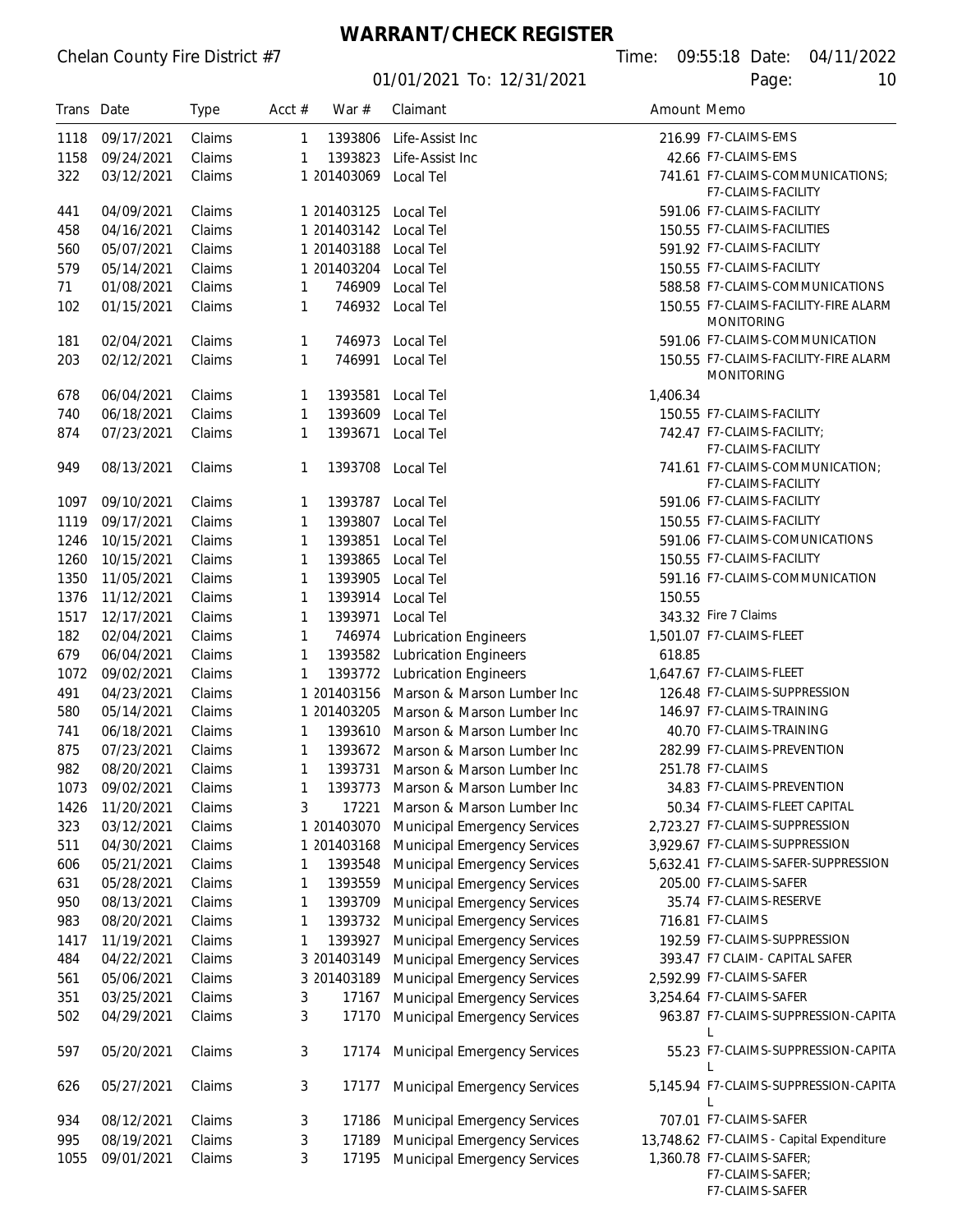**WARRANT/CHECK REGISTER**

01/01/2021 To: 12/31/2021 Page: 10

F7-CLAIMS-SAFER

| Trans Date |            | <b>Type</b> | Acct $#$     | War $#$               | Claimant                            | Amount Memo |                                                               |
|------------|------------|-------------|--------------|-----------------------|-------------------------------------|-------------|---------------------------------------------------------------|
| 1118       | 09/17/2021 | Claims      | $\mathbf{1}$ | 1393806               | Life-Assist Inc                     |             | 216.99 F7-CLAIMS-EMS                                          |
| 1158       | 09/24/2021 | Claims      | 1            | 1393823               | Life-Assist Inc                     |             | 42.66 F7-CLAIMS-EMS                                           |
| 322        | 03/12/2021 | Claims      |              | 1 201403069           | Local Tel                           |             | 741.61 F7-CLAIMS-COMMUNICATIONS;<br><b>F7-CLAIMS-FACILITY</b> |
| 441        | 04/09/2021 | Claims      |              | 1 201403125           | Local Tel                           |             | 591.06 F7-CLAIMS-FACILITY                                     |
| 458        | 04/16/2021 | Claims      |              | 1 201403142 Local Tel |                                     |             | 150.55 F7-CLAIMS-FACILITIES                                   |
| 560        | 05/07/2021 | Claims      |              | 1 201403188           | Local Tel                           |             | 591.92 F7-CLAIMS-FACILITY                                     |
| 579        | 05/14/2021 | Claims      |              | 1 201403204           | Local Tel                           |             | 150.55 F7-CLAIMS-FACILITY                                     |
| 71         | 01/08/2021 | Claims      | 1            | 746909                | Local Tel                           |             | 588.58 F7-CLAIMS-COMMUNICATIONS                               |
| 102        | 01/15/2021 | Claims      | 1            |                       | 746932 Local Tel                    |             | 150.55 F7-CLAIMS-FACILITY-FIRE ALARM<br><b>MONITORING</b>     |
| 181        | 02/04/2021 | Claims      | 1            | 746973                | Local Tel                           |             | 591.06 F7-CLAIMS-COMMUNICATION                                |
| 203        | 02/12/2021 | Claims      | 1            | 746991                | Local Tel                           |             | 150.55 F7-CLAIMS-FACILITY-FIRE ALARM                          |
|            |            |             |              |                       |                                     |             | <b>MONITORING</b>                                             |
| 678        | 06/04/2021 | Claims      | 1            | 1393581               | Local Tel                           | 1,406.34    |                                                               |
| 740        | 06/18/2021 | Claims      | 1            | 1393609               | Local Tel                           |             | 150.55 F7-CLAIMS-FACILITY                                     |
| 874        | 07/23/2021 | Claims      | 1            | 1393671               | Local Tel                           |             | 742.47 F7-CLAIMS-FACILITY;<br><b>F7-CLAIMS-FACILITY</b>       |
| 949        | 08/13/2021 | Claims      | 1            | 1393708               | Local Tel                           |             | 741.61 F7-CLAIMS-COMMUNICATION;<br>F7-CLAIMS-FACILITY         |
| 1097       | 09/10/2021 | Claims      | 1            |                       | 1393787 Local Tel                   |             | 591.06 F7-CLAIMS-FACILITY                                     |
| 1119       | 09/17/2021 | Claims      | 1            | 1393807               | Local Tel                           |             | 150.55 F7-CLAIMS-FACILITY                                     |
| 1246       | 10/15/2021 | Claims      | 1            | 1393851               | Local Tel                           |             | 591.06 F7-CLAIMS-COMUNICATIONS                                |
| 1260       | 10/15/2021 | Claims      | 1            | 1393865               | Local Tel                           |             | 150.55 F7-CLAIMS-FACILITY                                     |
| 1350       | 11/05/2021 | Claims      | 1            | 1393905               | Local Tel                           |             | 591.16 F7-CLAIMS-COMMUNICATION                                |
| 1376       | 11/12/2021 | Claims      | 1            | 1393914               | Local Tel                           | 150.55      |                                                               |
| 1517       | 12/17/2021 | Claims      | 1            | 1393971               | Local Tel                           |             | 343.32 Fire 7 Claims                                          |
| 182        | 02/04/2021 | Claims      | $\mathbf{1}$ | 746974                | <b>Lubrication Engineers</b>        |             | 1,501.07 F7-CLAIMS-FLEET                                      |
| 679        | 06/04/2021 | Claims      | $\mathbf{1}$ | 1393582               | <b>Lubrication Engineers</b>        | 618.85      |                                                               |
| 1072       | 09/02/2021 | Claims      | 1            | 1393772               | <b>Lubrication Engineers</b>        |             | 1,647.67 F7-CLAIMS-FLEET                                      |
| 491        | 04/23/2021 | Claims      |              | 1 201403156           | Marson & Marson Lumber Inc          |             | 126.48 F7-CLAIMS-SUPPRESSION                                  |
| 580        | 05/14/2021 | Claims      |              | 1 201403205           | Marson & Marson Lumber Inc          |             | 146.97 F7-CLAIMS-TRAINING                                     |
| 741        | 06/18/2021 | Claims      | $\mathbf{1}$ | 1393610               | Marson & Marson Lumber Inc          |             | 40.70 F7-CLAIMS-TRAINING                                      |
| 875        | 07/23/2021 | Claims      | $\mathbf{1}$ |                       | 1393672 Marson & Marson Lumber Inc  |             | 282.99 F7-CLAIMS-PREVENTION                                   |
| 982        | 08/20/2021 | Claims      | $\mathbf{1}$ | 1393731               | Marson & Marson Lumber Inc          |             | 251.78 F7-CLAIMS                                              |
| 1073       | 09/02/2021 | Claims      | 1.           |                       | 1393773 Marson & Marson Lumber Inc  |             | 34.83 F7-CLAIMS-PREVENTION                                    |
| 1426       | 11/20/2021 | Claims      | 3            | 17221                 | Marson & Marson Lumber Inc          |             | 50.34 F7-CLAIMS-FLEET CAPITAL                                 |
| 323        | 03/12/2021 | Claims      |              | 1 201403070           | <b>Municipal Emergency Services</b> |             | 2,723.27 F7-CLAIMS-SUPPRESSION                                |
| 511        | 04/30/2021 | Claims      |              | 1 201403168           | <b>Municipal Emergency Services</b> |             | 3,929.67 F7-CLAIMS-SUPPRESSION                                |
| 606        | 05/21/2021 | Claims      | 1            | 1393548               | <b>Municipal Emergency Services</b> |             | 5,632.41 F7-CLAIMS-SAFER-SUPPRESSION                          |
| 631        | 05/28/2021 | Claims      | 1            | 1393559               | <b>Municipal Emergency Services</b> |             | 205.00 F7-CLAIMS-SAFER                                        |
| 950        | 08/13/2021 | Claims      | 1            | 1393709               | <b>Municipal Emergency Services</b> |             | 35.74 F7-CLAIMS-RESERVE                                       |
| 983        | 08/20/2021 | Claims      | 1            | 1393732               | <b>Municipal Emergency Services</b> |             | 716.81 F7-CLAIMS                                              |
| 1417       | 11/19/2021 | Claims      | 1            | 1393927               | <b>Municipal Emergency Services</b> |             | 192.59 F7-CLAIMS-SUPPRESSION                                  |
| 484        | 04/22/2021 | Claims      |              | 3 201403149           | <b>Municipal Emergency Services</b> |             | 393.47 F7 CLAIM- CAPITAL SAFER                                |
| 561        | 05/06/2021 | Claims      |              | 3 201403189           | <b>Municipal Emergency Services</b> |             | 2,592.99 F7-CLAIMS-SAFER                                      |
| 351        | 03/25/2021 | Claims      | 3            | 17167                 | <b>Municipal Emergency Services</b> |             | 3,254.64 F7-CLAIMS-SAFER                                      |
| 502        | 04/29/2021 | Claims      | 3            | 17170                 | <b>Municipal Emergency Services</b> |             | 963.87 F7-CLAIMS-SUPPRESSION-CAPITA<br>L                      |
| 597        | 05/20/2021 | Claims      | 3            | 17174                 | <b>Municipal Emergency Services</b> |             | 55.23 F7-CLAIMS-SUPPRESSION-CAPITA                            |
| 626        | 05/27/2021 | Claims      | 3            | 17177                 | <b>Municipal Emergency Services</b> |             | 5,145.94 F7-CLAIMS-SUPPRESSION-CAPITA                         |
| 934        | 08/12/2021 | Claims      | 3            | 17186                 | <b>Municipal Emergency Services</b> |             | 707.01 F7-CLAIMS-SAFER                                        |
| 995        | 08/19/2021 | Claims      | 3            | 17189                 | <b>Municipal Emergency Services</b> |             | 13,748.62 F7-CLAIMS - Capital Expenditure                     |
| 1055       | 09/01/2021 | Claims      | 3            | 17195                 | <b>Municipal Emergency Services</b> |             | 1,360.78 F7-CLAIMS-SAFER;<br>F7-CLAIMS-SAFER;                 |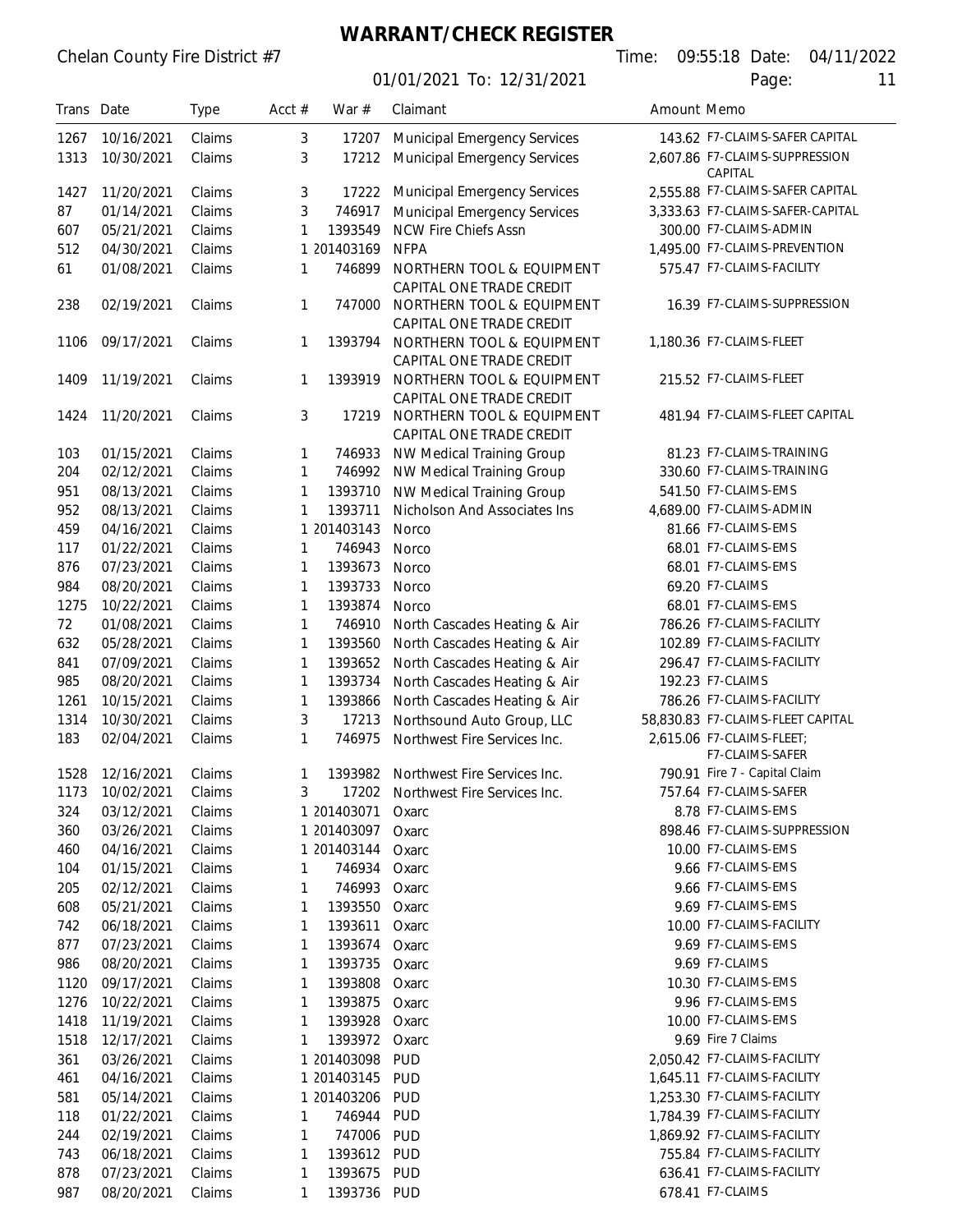# Chelan County Fire District #7

# **WARRANT/CHECK REGISTER**

01/01/2021 To: 12/31/2021

|  |       | ne: 09:55:18 Date: 04/11/2022 |
|--|-------|-------------------------------|
|  | Page: | 11                            |
|  |       |                               |

| Trans Date |                 | Type   | Acct $#$ | War $#$     | Claimant                                              |  | Amount Memo                                  |
|------------|-----------------|--------|----------|-------------|-------------------------------------------------------|--|----------------------------------------------|
| 1267       | 10/16/2021      | Claims | 3        | 17207       | <b>Municipal Emergency Services</b>                   |  | 143.62 F7-CLAIMS-SAFER CAPITAL               |
| 1313       | 10/30/2021      | Claims | 3        | 17212       | <b>Municipal Emergency Services</b>                   |  | 2,607.86 F7-CLAIMS-SUPPRESSION<br>CAPITAL    |
| 1427       | 11/20/2021      | Claims | 3        | 17222       | <b>Municipal Emergency Services</b>                   |  | 2,555.88 F7-CLAIMS-SAFER CAPITAL             |
| 87         | 01/14/2021      | Claims | 3        | 746917      | <b>Municipal Emergency Services</b>                   |  | 3,333.63 F7-CLAIMS-SAFER-CAPITAL             |
| 607        | 05/21/2021      | Claims | 1        | 1393549     | <b>NCW Fire Chiefs Assn</b>                           |  | 300.00 F7-CLAIMS-ADMIN                       |
| 512        | 04/30/2021      | Claims |          | 1 201403169 | <b>NFPA</b>                                           |  | 1,495.00 F7-CLAIMS-PREVENTION                |
| 61         | 01/08/2021      | Claims | 1        | 746899      | NORTHERN TOOL & EQUIPMENT                             |  | 575.47 F7-CLAIMS-FACILITY                    |
|            |                 |        |          |             | CAPITAL ONE TRADE CREDIT                              |  |                                              |
| 238        | 02/19/2021      | Claims | 1        | 747000      | NORTHERN TOOL & EQUIPMENT<br>CAPITAL ONE TRADE CREDIT |  | 16.39 F7-CLAIMS-SUPPRESSION                  |
| 1106       | 09/17/2021      | Claims | 1        | 1393794     | NORTHERN TOOL & EQUIPMENT<br>CAPITAL ONE TRADE CREDIT |  | 1,180.36 F7-CLAIMS-FLEET                     |
| 1409       | 11/19/2021      | Claims | 1        | 1393919     | NORTHERN TOOL & EQUIPMENT<br>CAPITAL ONE TRADE CREDIT |  | 215.52 F7-CLAIMS-FLEET                       |
| 1424       | 11/20/2021      | Claims | 3        | 17219       | NORTHERN TOOL & EQUIPMENT<br>CAPITAL ONE TRADE CREDIT |  | 481.94 F7-CLAIMS-FLEET CAPITAL               |
| 103        | 01/15/2021      | Claims | 1        | 746933      | NW Medical Training Group                             |  | 81.23 F7-CLAIMS-TRAINING                     |
| 204        | 02/12/2021      | Claims | 1        | 746992      | NW Medical Training Group                             |  | 330.60 F7-CLAIMS-TRAINING                    |
| 951        | 08/13/2021      | Claims | 1        | 1393710     | NW Medical Training Group                             |  | 541.50 F7-CLAIMS-EMS                         |
| 952        | 08/13/2021      | Claims | 1        | 1393711     | Nicholson And Associates Ins                          |  | 4,689.00 F7-CLAIMS-ADMIN                     |
| 459        | 04/16/2021      | Claims |          | 1 201403143 | Norco                                                 |  | 81.66 F7-CLAIMS-EMS                          |
| 117        | 01/22/2021      | Claims | 1        | 746943      | Norco                                                 |  | 68.01 F7-CLAIMS-EMS                          |
| 876        | 07/23/2021      | Claims | 1        | 1393673     | Norco                                                 |  | 68.01 F7-CLAIMS-EMS                          |
| 984        | 08/20/2021      | Claims | 1        | 1393733     | Norco                                                 |  | 69.20 F7-CLAIMS                              |
| 1275       | 10/22/2021      | Claims | 1        | 1393874     | Norco                                                 |  | 68.01 F7-CLAIMS-EMS                          |
| 72         | 01/08/2021      | Claims | 1        | 746910      | North Cascades Heating & Air                          |  | 786.26 F7-CLAIMS-FACILITY                    |
| 632        | 05/28/2021      | Claims | 1        | 1393560     | North Cascades Heating & Air                          |  | 102.89 F7-CLAIMS-FACILITY                    |
| 841        | 07/09/2021      | Claims | 1        | 1393652     | North Cascades Heating & Air                          |  | 296.47 F7-CLAIMS-FACILITY                    |
| 985        | 08/20/2021      | Claims | 1        | 1393734     | North Cascades Heating & Air                          |  | 192.23 F7-CLAIMS                             |
| 1261       | 10/15/2021      | Claims | 1        | 1393866     | North Cascades Heating & Air                          |  | 786.26 F7-CLAIMS-FACILITY                    |
| 1314       | 10/30/2021      | Claims | 3        | 17213       | Northsound Auto Group, LLC                            |  | 58,830.83 F7-CLAIMS-FLEET CAPITAL            |
| 183        | 02/04/2021      | Claims | 1        | 746975      | Northwest Fire Services Inc.                          |  | 2,615.06 F7-CLAIMS-FLEET;<br>F7-CLAIMS-SAFER |
| 1528       | 12/16/2021      | Claims | 1        | 1393982     | Northwest Fire Services Inc.                          |  | 790.91 Fire 7 - Capital Claim                |
|            | 1173 10/02/2021 | Claims | 3        |             | 17202 Northwest Fire Services Inc.                    |  | 757.64 F7-CLAIMS-SAFER                       |
| 324        | 03/12/2021      | Claims |          | 1 201403071 | Oxarc                                                 |  | 8.78 F7-CLAIMS-EMS                           |
| 360        | 03/26/2021      | Claims |          | 1 201403097 | Oxarc                                                 |  | 898.46 F7-CLAIMS-SUPPRESSION                 |
| 460        | 04/16/2021      | Claims |          | 1 201403144 | Oxarc                                                 |  | 10.00 F7-CLAIMS-EMS                          |
| 104        | 01/15/2021      | Claims | 1        | 746934      | Oxarc                                                 |  | 9.66 F7-CLAIMS-EMS                           |
| 205        | 02/12/2021      | Claims | 1        | 746993      | Oxarc                                                 |  | 9.66 F7-CLAIMS-EMS                           |
| 608        | 05/21/2021      | Claims | 1        | 1393550     | Oxarc                                                 |  | 9.69 F7-CLAIMS-EMS                           |
| 742        | 06/18/2021      | Claims | 1        | 1393611     | Oxarc                                                 |  | 10.00 F7-CLAIMS-FACILITY                     |
| 877        | 07/23/2021      | Claims | 1        | 1393674     | Oxarc                                                 |  | 9.69 F7-CLAIMS-EMS                           |
| 986        | 08/20/2021      | Claims | 1        | 1393735     | Oxarc                                                 |  | 9.69 F7-CLAIMS                               |
| 1120       | 09/17/2021      | Claims | 1        | 1393808     | Oxarc                                                 |  | 10.30 F7-CLAIMS-EMS                          |
| 1276       | 10/22/2021      | Claims | 1        | 1393875     | Oxarc                                                 |  | 9.96 F7-CLAIMS-EMS                           |
| 1418       | 11/19/2021      | Claims | 1        | 1393928     | Oxarc                                                 |  | 10.00 F7-CLAIMS-EMS                          |
| 1518       | 12/17/2021      | Claims | 1        | 1393972     | Oxarc                                                 |  | 9.69 Fire 7 Claims                           |
| 361        | 03/26/2021      | Claims |          | 1 201403098 | <b>PUD</b>                                            |  | 2,050.42 F7-CLAIMS-FACILITY                  |
| 461        | 04/16/2021      | Claims |          | 1 201403145 | <b>PUD</b>                                            |  | 1,645.11 F7-CLAIMS-FACILITY                  |
| 581        | 05/14/2021      | Claims |          | 1 201403206 | <b>PUD</b>                                            |  | 1,253.30 F7-CLAIMS-FACILITY                  |
| 118        | 01/22/2021      | Claims | 1        | 746944      | <b>PUD</b>                                            |  | 1,784.39 F7-CLAIMS-FACILITY                  |
| 244        | 02/19/2021      | Claims | 1        | 747006      | PUD                                                   |  | 1,869.92 F7-CLAIMS-FACILITY                  |
| 743        | 06/18/2021      | Claims | 1        | 1393612 PUD |                                                       |  | 755.84 F7-CLAIMS-FACILITY                    |
| 878        | 07/23/2021      | Claims | 1        | 1393675 PUD |                                                       |  | 636.41 F7-CLAIMS-FACILITY                    |
| 987        | 08/20/2021      | Claims | 1        | 1393736 PUD |                                                       |  | 678.41 F7-CLAIMS                             |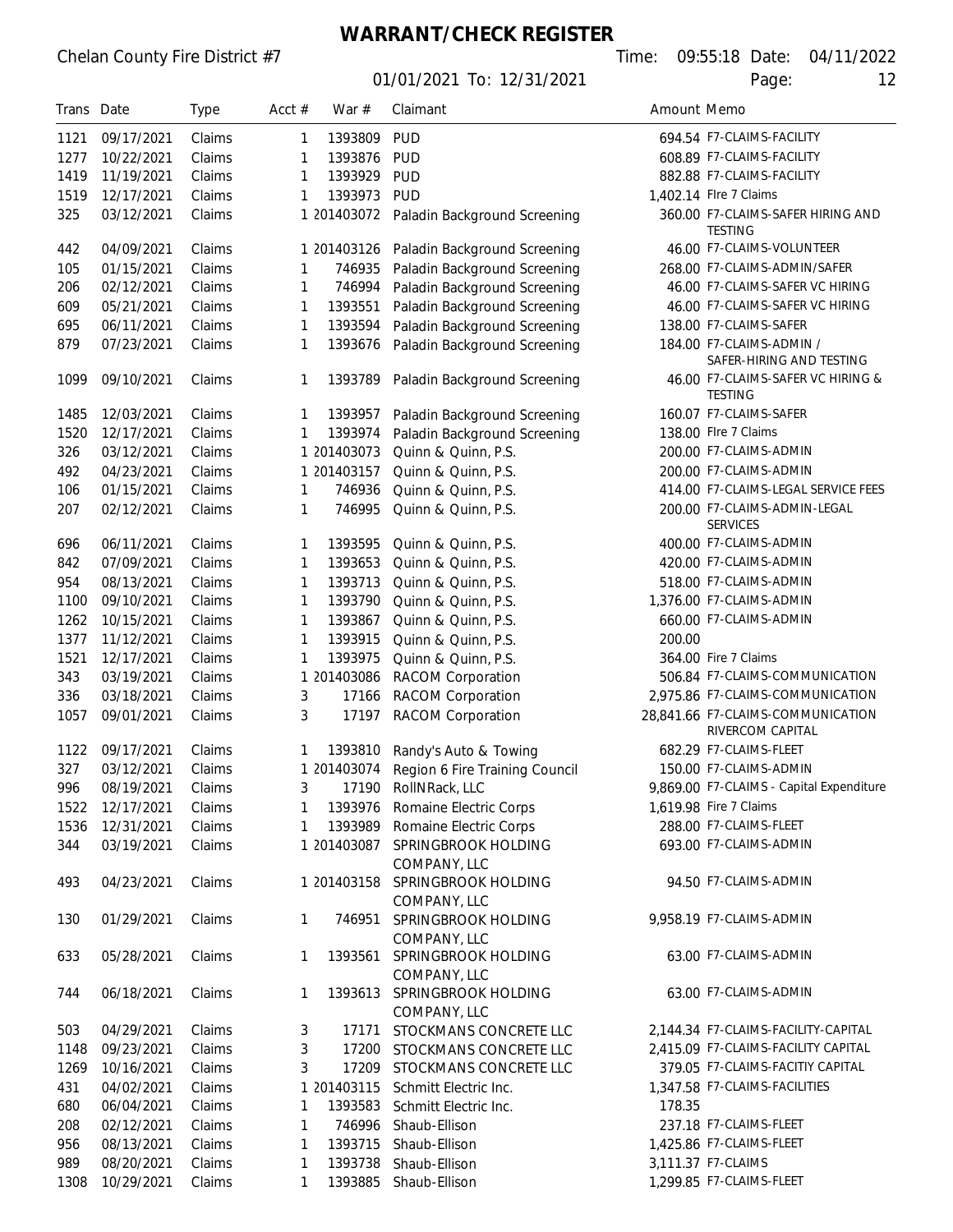01/01/2021 To: 12/31/2021 Page: 12

Chelan County Fire District #7 Time: 09:55:18 Date: 04/11/2022

| Trans Date |            | Type   | Acct $#$     | War $#$     | Claimant                                 | Amount Memo               |                                                       |  |
|------------|------------|--------|--------------|-------------|------------------------------------------|---------------------------|-------------------------------------------------------|--|
| 1121       | 09/17/2021 | Claims | 1            | 1393809     | <b>PUD</b>                               | 694.54 F7-CLAIMS-FACILITY |                                                       |  |
| 1277       | 10/22/2021 | Claims | 1            | 1393876     | <b>PUD</b>                               |                           | 608.89 F7-CLAIMS-FACILITY                             |  |
| 1419       | 11/19/2021 | Claims | 1            | 1393929     | <b>PUD</b>                               |                           | 882.88 F7-CLAIMS-FACILITY                             |  |
| 1519       | 12/17/2021 | Claims | 1            | 1393973     | PUD                                      |                           | 1,402.14 Flre 7 Claims                                |  |
| 325        | 03/12/2021 | Claims |              |             | 1 201403072 Paladin Background Screening |                           | 360.00 F7-CLAIMS-SAFER HIRING AND<br><b>TESTING</b>   |  |
| 442        | 04/09/2021 | Claims |              | 1 201403126 | Paladin Background Screening             |                           | 46.00 F7-CLAIMS-VOLUNTEER                             |  |
| 105        | 01/15/2021 | Claims | 1            | 746935      | Paladin Background Screening             |                           | 268.00 F7-CLAIMS-ADMIN/SAFER                          |  |
| 206        | 02/12/2021 | Claims | 1            | 746994      | Paladin Background Screening             |                           | 46.00 F7-CLAIMS-SAFER VC HIRING                       |  |
| 609        | 05/21/2021 | Claims | 1            | 1393551     | Paladin Background Screening             |                           | 46.00 F7-CLAIMS-SAFER VC HIRING                       |  |
| 695        | 06/11/2021 | Claims | 1            | 1393594     | Paladin Background Screening             |                           | 138.00 F7-CLAIMS-SAFER                                |  |
| 879        | 07/23/2021 | Claims | 1            | 1393676     | Paladin Background Screening             |                           | 184.00 F7-CLAIMS-ADMIN /<br>SAFER-HIRING AND TESTING  |  |
| 1099       | 09/10/2021 | Claims | 1            | 1393789     | Paladin Background Screening             |                           | 46.00 F7-CLAIMS-SAFER VC HIRING &<br><b>TESTING</b>   |  |
| 1485       | 12/03/2021 | Claims | 1            | 1393957     | Paladin Background Screening             |                           | 160.07 F7-CLAIMS-SAFER                                |  |
| 1520       | 12/17/2021 | Claims | 1            | 1393974     | Paladin Background Screening             |                           | 138.00 Flre 7 Claims                                  |  |
| 326        | 03/12/2021 | Claims |              | 1 201403073 | Quinn & Quinn, P.S.                      |                           | 200.00 F7-CLAIMS-ADMIN                                |  |
| 492        | 04/23/2021 | Claims |              | 1 201403157 | Quinn & Quinn, P.S.                      |                           | 200.00 F7-CLAIMS-ADMIN                                |  |
| 106        | 01/15/2021 | Claims | 1            | 746936      | Quinn & Quinn, P.S.                      |                           | 414.00 F7-CLAIMS-LEGAL SERVICE FEES                   |  |
| 207        | 02/12/2021 | Claims | 1            | 746995      | Quinn & Quinn, P.S.                      |                           | 200.00 F7-CLAIMS-ADMIN-LEGAL<br><b>SERVICES</b>       |  |
| 696        | 06/11/2021 | Claims | 1            | 1393595     | Quinn & Quinn, P.S.                      |                           | 400.00 F7-CLAIMS-ADMIN                                |  |
| 842        | 07/09/2021 | Claims | 1            | 1393653     | Quinn & Quinn, P.S.                      |                           | 420.00 F7-CLAIMS-ADMIN                                |  |
| 954        | 08/13/2021 | Claims | 1            | 1393713     | Quinn & Quinn, P.S.                      |                           | 518.00 F7-CLAIMS-ADMIN                                |  |
| 1100       | 09/10/2021 | Claims | 1            | 1393790     | Quinn & Quinn, P.S.                      |                           | 1,376.00 F7-CLAIMS-ADMIN                              |  |
| 1262       | 10/15/2021 | Claims | $\mathbf{1}$ | 1393867     | Quinn & Quinn, P.S.                      |                           | 660.00 F7-CLAIMS-ADMIN                                |  |
| 1377       | 11/12/2021 | Claims | $\mathbf{1}$ | 1393915     | Quinn & Quinn, P.S.                      | 200.00                    |                                                       |  |
| 1521       | 12/17/2021 | Claims | 1            | 1393975     | Quinn & Quinn, P.S.                      |                           | 364.00 Fire 7 Claims                                  |  |
| 343        | 03/19/2021 | Claims |              | 1 201403086 | <b>RACOM Corporation</b>                 |                           | 506.84 F7-CLAIMS-COMMUNICATION                        |  |
| 336        | 03/18/2021 | Claims | 3            | 17166       | <b>RACOM Corporation</b>                 |                           | 2,975.86 F7-CLAIMS-COMMUNICATION                      |  |
| 1057       | 09/01/2021 | Claims | 3            | 17197       | <b>RACOM Corporation</b>                 |                           | 28,841.66 F7-CLAIMS-COMMUNICATION<br>RIVERCOM CAPITAL |  |
| 1122       | 09/17/2021 | Claims | 1            | 1393810     | Randy's Auto & Towing                    |                           | 682.29 F7-CLAIMS-FLEET                                |  |
| 327        | 03/12/2021 | Claims |              | 1 201403074 | Region 6 Fire Training Council           |                           | 150.00 F7-CLAIMS-ADMIN                                |  |
| 996        | 08/19/2021 | Claims | 3            |             | 17190 RollNRack, LLC                     |                           | 9,869.00 F7-CLAIMS - Capital Expenditure              |  |
| 1522       | 12/17/2021 | Claims | 1            |             | 1393976 Romaine Electric Corps           |                           | 1,619.98 Fire 7 Claims                                |  |
| 1536       | 12/31/2021 | Claims | $\mathbf{1}$ |             | 1393989 Romaine Electric Corps           |                           | 288.00 F7-CLAIMS-FLEET                                |  |
| 344        | 03/19/2021 | Claims |              | 1 201403087 | SPRINGBROOK HOLDING<br>COMPANY, LLC      |                           | 693.00 F7-CLAIMS-ADMIN                                |  |
| 493        | 04/23/2021 | Claims |              | 1 201403158 | SPRINGBROOK HOLDING<br>COMPANY, LLC      |                           | 94.50 F7-CLAIMS-ADMIN                                 |  |
| 130        | 01/29/2021 | Claims | 1            | 746951      | SPRINGBROOK HOLDING<br>COMPANY, LLC      |                           | 9,958.19 F7-CLAIMS-ADMIN                              |  |
| 633        | 05/28/2021 | Claims | 1            | 1393561     | SPRINGBROOK HOLDING<br>COMPANY, LLC      |                           | 63.00 F7-CLAIMS-ADMIN                                 |  |
| 744        | 06/18/2021 | Claims | 1            | 1393613     | SPRINGBROOK HOLDING<br>COMPANY, LLC      |                           | 63.00 F7-CLAIMS-ADMIN                                 |  |
| 503        | 04/29/2021 | Claims | 3            | 17171       | STOCKMANS CONCRETE LLC                   |                           | 2,144.34 F7-CLAIMS-FACILITY-CAPITAL                   |  |
| 1148       | 09/23/2021 | Claims | 3            | 17200       | STOCKMANS CONCRETE LLC                   |                           | 2,415.09 F7-CLAIMS-FACILITY CAPITAL                   |  |
| 1269       | 10/16/2021 | Claims | 3            |             | 17209 STOCKMANS CONCRETE LLC             |                           | 379.05 F7-CLAIMS-FACITIY CAPITAL                      |  |
| 431        | 04/02/2021 | Claims |              | 1 201403115 | Schmitt Electric Inc.                    |                           | 1,347.58 F7-CLAIMS-FACILITIES                         |  |
| 680        | 06/04/2021 | Claims | 1            | 1393583     | Schmitt Electric Inc.                    | 178.35                    |                                                       |  |
| 208        | 02/12/2021 | Claims | 1            |             | 746996 Shaub-Ellison                     |                           | 237.18 F7-CLAIMS-FLEET                                |  |
| 956        | 08/13/2021 | Claims | 1            |             | 1393715 Shaub-Ellison                    |                           | 1,425.86 F7-CLAIMS-FLEET                              |  |
| 989        | 08/20/2021 | Claims | 1            |             | 1393738 Shaub-Ellison                    |                           | 3,111.37 F7-CLAIMS                                    |  |
| 1308       | 10/29/2021 | Claims | 1            |             | 1393885 Shaub-Ellison                    |                           | 1,299.85 F7-CLAIMS-FLEET                              |  |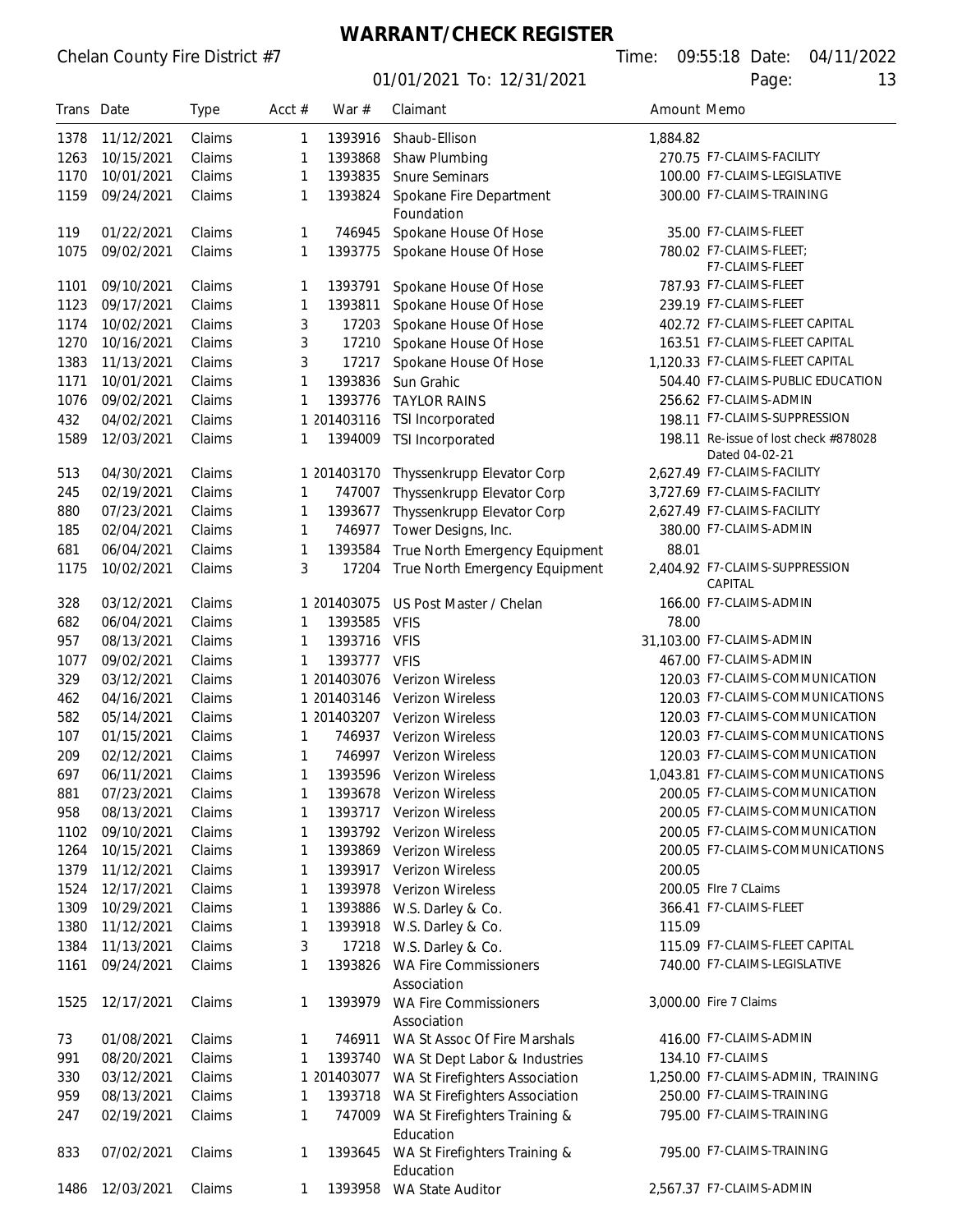# **WARRANT/CHECK REGISTER**

| Trans Date |            | <b>Type</b> | Acct $#$ | War #       | Claimant<br>Amount Memo                     |        |                                       |  |
|------------|------------|-------------|----------|-------------|---------------------------------------------|--------|---------------------------------------|--|
| 1378       | 11/12/2021 | Claims      | 1        | 1393916     | Shaub-Ellison<br>1,884.82                   |        |                                       |  |
| 1263       | 10/15/2021 | Claims      | 1        | 1393868     | 270.75 F7-CLAIMS-FACILITY<br>Shaw Plumbing  |        |                                       |  |
| 1170       | 10/01/2021 | Claims      | 1        | 1393835     | <b>Snure Seminars</b>                       |        | 100.00 F7-CLAIMS-LEGISLATIVE          |  |
| 1159       | 09/24/2021 | Claims      | 1        | 1393824     | Spokane Fire Department                     |        | 300.00 F7-CLAIMS-TRAINING             |  |
|            |            |             |          |             | Foundation                                  |        |                                       |  |
| 119        | 01/22/2021 | Claims      | 1        | 746945      | Spokane House Of Hose                       |        | 35.00 F7-CLAIMS-FLEET                 |  |
| 1075       | 09/02/2021 | Claims      | 1        | 1393775     | Spokane House Of Hose                       |        | 780.02 F7-CLAIMS-FLEET;               |  |
|            |            |             |          |             |                                             |        | F7-CLAIMS-FLEET                       |  |
| 1101       | 09/10/2021 | Claims      | 1        | 1393791     | Spokane House Of Hose                       |        | 787.93 F7-CLAIMS-FLEET                |  |
| 1123       | 09/17/2021 | Claims      | 1        | 1393811     | Spokane House Of Hose                       |        | 239.19 F7-CLAIMS-FLEET                |  |
| 1174       | 10/02/2021 | Claims      | 3        | 17203       | Spokane House Of Hose                       |        | 402.72 F7-CLAIMS-FLEET CAPITAL        |  |
| 1270       | 10/16/2021 | Claims      | 3        | 17210       | Spokane House Of Hose                       |        | 163.51 F7-CLAIMS-FLEET CAPITAL        |  |
| 1383       | 11/13/2021 | Claims      | 3        | 17217       | Spokane House Of Hose                       |        | 1,120.33 F7-CLAIMS-FLEET CAPITAL      |  |
| 1171       | 10/01/2021 | Claims      | 1        | 1393836     | Sun Grahic                                  |        | 504.40 F7-CLAIMS-PUBLIC EDUCATION     |  |
| 1076       | 09/02/2021 | Claims      | 1        | 1393776     | <b>TAYLOR RAINS</b>                         |        | 256.62 F7-CLAIMS-ADMIN                |  |
| 432        | 04/02/2021 | Claims      |          | 1 201403116 | TSI Incorporated                            |        | 198.11 F7-CLAIMS-SUPPRESSION          |  |
| 1589       | 12/03/2021 | Claims      | 1        | 1394009     | TSI Incorporated                            |        | 198.11 Re-issue of lost check #878028 |  |
|            |            |             |          |             |                                             |        | Dated 04-02-21                        |  |
| 513        | 04/30/2021 | Claims      |          | 1 201403170 | Thyssenkrupp Elevator Corp                  |        | 2,627.49 F7-CLAIMS-FACILITY           |  |
| 245        | 02/19/2021 | Claims      | 1        | 747007      | Thyssenkrupp Elevator Corp                  |        | 3,727.69 F7-CLAIMS-FACILITY           |  |
| 880        | 07/23/2021 | Claims      | 1        | 1393677     | Thyssenkrupp Elevator Corp                  |        | 2,627.49 F7-CLAIMS-FACILITY           |  |
| 185        | 02/04/2021 | Claims      | 1        | 746977      | Tower Designs, Inc.                         |        | 380.00 F7-CLAIMS-ADMIN                |  |
| 681        | 06/04/2021 | Claims      | 1        | 1393584     | True North Emergency Equipment              | 88.01  |                                       |  |
| 1175       | 10/02/2021 | Claims      | 3        | 17204       | True North Emergency Equipment              |        | 2,404.92 F7-CLAIMS-SUPPRESSION        |  |
|            |            |             |          |             |                                             |        | CAPITAL                               |  |
| 328        | 03/12/2021 | Claims      |          | 1 201403075 | US Post Master / Chelan                     |        | 166.00 F7-CLAIMS-ADMIN                |  |
| 682        | 06/04/2021 | Claims      | 1        | 1393585     | <b>VFIS</b>                                 | 78.00  |                                       |  |
| 957        | 08/13/2021 | Claims      | 1        | 1393716     | <b>VFIS</b>                                 |        | 31,103.00 F7-CLAIMS-ADMIN             |  |
| 1077       | 09/02/2021 | Claims      | 1        | 1393777     | <b>VFIS</b>                                 |        | 467.00 F7-CLAIMS-ADMIN                |  |
| 329        | 03/12/2021 | Claims      |          | 1 201403076 | Verizon Wireless                            |        | 120.03 F7-CLAIMS-COMMUNICATION        |  |
| 462        | 04/16/2021 | Claims      |          | 1 201403146 | <b>Verizon Wireless</b>                     |        | 120.03 F7-CLAIMS-COMMUNICATIONS       |  |
| 582        | 05/14/2021 | Claims      |          |             | 1 201403207 Verizon Wireless                |        | 120.03 F7-CLAIMS-COMMUNICATION        |  |
| 107        | 01/15/2021 | Claims      | 1        | 746937      | <b>Verizon Wireless</b>                     |        | 120.03 F7-CLAIMS-COMMUNICATIONS       |  |
| 209        | 02/12/2021 | Claims      | 1        |             | 746997 Verizon Wireless                     |        | 120.03 F7-CLAIMS-COMMUNICATION        |  |
| 697        | 06/11/2021 | Claims      | 1        |             | 1393596 Verizon Wireless                    |        | 1,043.81 F7-CLAIMS-COMMUNICATIONS     |  |
| 881        | 07/23/2021 | Claims      |          |             | 1393678 Verizon Wireless                    |        | 200.05 F7-CLAIMS-COMMUNICATION        |  |
| 958        | 08/13/2021 | Claims      | 1        |             | 1393717 Verizon Wireless                    |        | 200.05 F7-CLAIMS-COMMUNICATION        |  |
| 1102       | 09/10/2021 | Claims      | 1        |             | 1393792 Verizon Wireless                    |        | 200.05 F7-CLAIMS-COMMUNICATION        |  |
| 1264       | 10/15/2021 | Claims      | 1        |             | 1393869 Verizon Wireless                    |        | 200.05 F7-CLAIMS-COMMUNICATIONS       |  |
| 1379       | 11/12/2021 | Claims      | 1        |             | 1393917 Verizon Wireless                    | 200.05 |                                       |  |
| 1524       | 12/17/2021 | Claims      | 1        | 1393978     | <b>Verizon Wireless</b>                     |        | 200.05 Flre 7 CLaims                  |  |
| 1309       | 10/29/2021 | Claims      | 1        | 1393886     | W.S. Darley & Co.                           |        | 366.41 F7-CLAIMS-FLEET                |  |
|            | 11/12/2021 | Claims      |          | 1393918     | W.S. Darley & Co.                           |        |                                       |  |
| 1380       |            |             | 1        |             |                                             | 115.09 |                                       |  |
| 1384       | 11/13/2021 | Claims      | 3        | 17218       | W.S. Darley & Co.                           |        | 115.09 F7-CLAIMS-FLEET CAPITAL        |  |
| 1161       | 09/24/2021 | Claims      | 1        | 1393826     | <b>WA Fire Commissioners</b><br>Association |        | 740.00 F7-CLAIMS-LEGISLATIVE          |  |
| 1525       | 12/17/2021 | Claims      | 1        | 1393979     | <b>WA Fire Commissioners</b>                |        | 3,000.00 Fire 7 Claims                |  |
|            |            |             |          |             | Association                                 |        |                                       |  |
| 73         | 01/08/2021 | Claims      | 1        | 746911      | WA St Assoc Of Fire Marshals                |        | 416.00 F7-CLAIMS-ADMIN                |  |
| 991        | 08/20/2021 | Claims      | 1        | 1393740     | WA St Dept Labor & Industries               |        | 134.10 F7-CLAIMS                      |  |
| 330        | 03/12/2021 | Claims      |          | 1 201403077 |                                             |        | 1,250.00 F7-CLAIMS-ADMIN, TRAINING    |  |
|            |            |             |          |             | WA St Firefighters Association              |        | 250.00 F7-CLAIMS-TRAINING             |  |
| 959        | 08/13/2021 | Claims      | 1        | 1393718     | WA St Firefighters Association              |        |                                       |  |
| 247        | 02/19/2021 | Claims      | 1        | 747009      | WA St Firefighters Training &               |        | 795.00 F7-CLAIMS-TRAINING             |  |
|            |            |             |          |             | Education                                   |        | 795.00 F7-CLAIMS-TRAINING             |  |
| 833        | 07/02/2021 | Claims      | 1        | 1393645     | WA St Firefighters Training &<br>Education  |        |                                       |  |
| 1486       | 12/03/2021 | Claims      | 1        | 1393958     | WA State Auditor                            |        | 2,567.37 F7-CLAIMS-ADMIN              |  |
|            |            |             |          |             |                                             |        |                                       |  |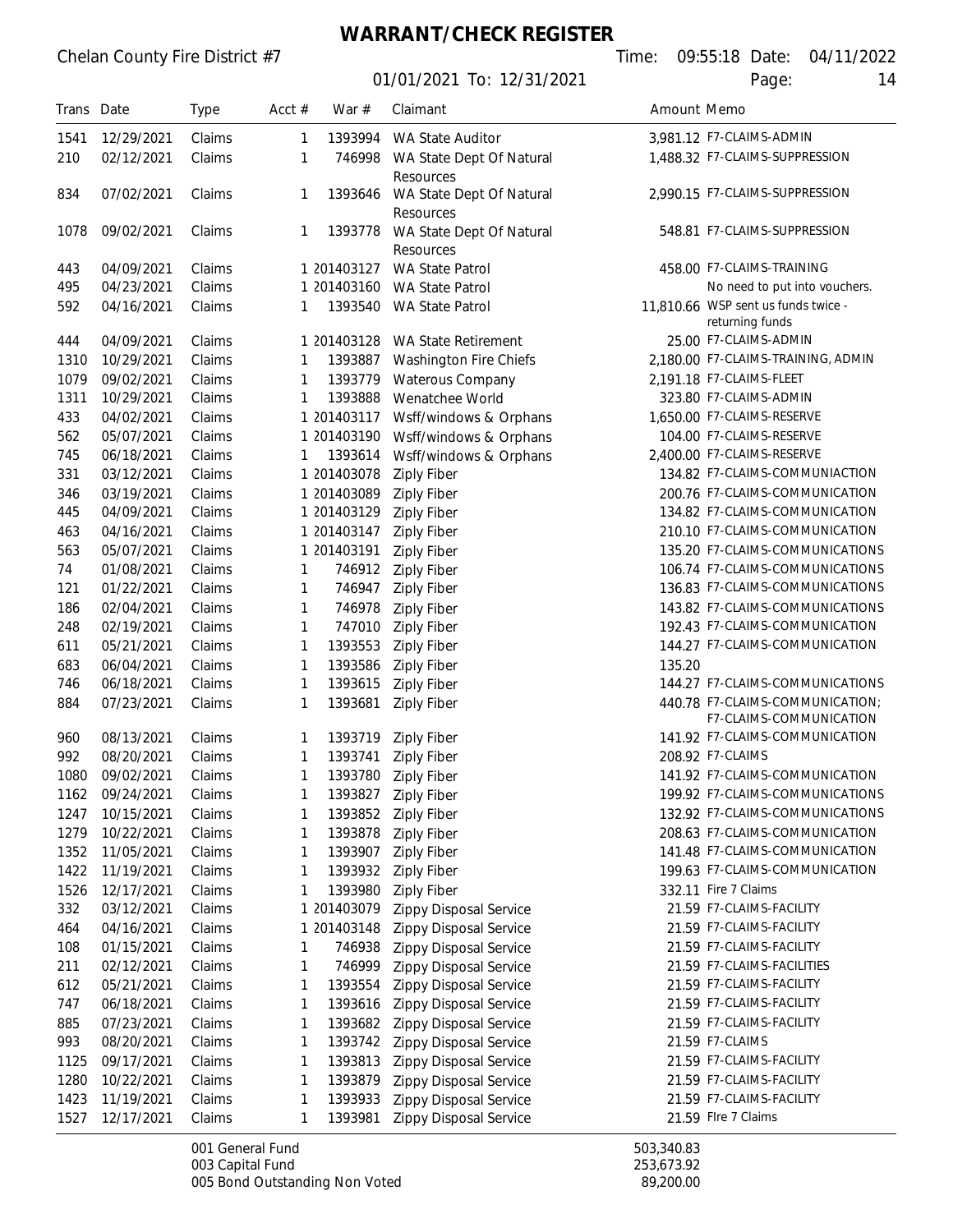01/01/2021 To: 12/31/2021 Page: 14

Chelan County Fire District #7 Time: 09:55:18 Date: 04/11/2022

| Trans Date  |                          | <b>Type</b>      | Acct $#$ | War $#$                | Claimant                                           |                 | Amount Memo                                          |  |
|-------------|--------------------------|------------------|----------|------------------------|----------------------------------------------------|-----------------|------------------------------------------------------|--|
| 1541        | 12/29/2021               | Claims           | 1        | 1393994                | WA State Auditor                                   |                 | 3,981.12 F7-CLAIMS-ADMIN                             |  |
| 210         | 02/12/2021               | Claims           | 1        | 746998                 | WA State Dept Of Natural                           |                 | 1,488.32 F7-CLAIMS-SUPPRESSION                       |  |
|             |                          |                  |          |                        | Resources                                          |                 |                                                      |  |
| 834         | 07/02/2021               | Claims           | 1        | 1393646                | WA State Dept Of Natural<br>Resources              |                 | 2.990.15 F7-CLAIMS-SUPPRESSION                       |  |
| 1078        | 09/02/2021               | Claims           | 1        | 1393778                | WA State Dept Of Natural                           |                 | 548.81 F7-CLAIMS-SUPPRESSION                         |  |
|             |                          |                  |          |                        | Resources                                          |                 |                                                      |  |
| 443         | 04/09/2021               | Claims           |          | 1 201403127            | <b>WA State Patrol</b>                             |                 | 458.00 F7-CLAIMS-TRAINING                            |  |
| 495         | 04/23/2021               | Claims           |          | 1 201403160            | <b>WA State Patrol</b>                             |                 | No need to put into vouchers.                        |  |
| 592         | 04/16/2021               | Claims           | 1        | 1393540                | WA State Patrol                                    |                 | 11,810.66 WSP sent us funds twice -                  |  |
|             |                          |                  |          |                        |                                                    |                 | returning funds                                      |  |
| 444         | 04/09/2021               | Claims           |          | 1 201403128            | WA State Retirement                                |                 | 25.00 F7-CLAIMS-ADMIN                                |  |
| 1310        | 10/29/2021               | Claims           | 1        | 1393887                | Washington Fire Chiefs                             |                 | 2,180.00 F7-CLAIMS-TRAINING, ADMIN                   |  |
| 1079        | 09/02/2021               | Claims           | 1        | 1393779                | Waterous Company                                   |                 | 2,191.18 F7-CLAIMS-FLEET                             |  |
| 1311<br>433 | 10/29/2021<br>04/02/2021 | Claims<br>Claims | 1        | 1393888<br>1 201403117 | Wenatchee World<br>Wsff/windows & Orphans          |                 | 323.80 F7-CLAIMS-ADMIN<br>1,650.00 F7-CLAIMS-RESERVE |  |
| 562         | 05/07/2021               | Claims           |          | 1 201403190            |                                                    |                 | 104.00 F7-CLAIMS-RESERVE                             |  |
| 745         | 06/18/2021               | Claims           | 1        | 1393614                | Wsff/windows & Orphans<br>Wsff/windows & Orphans   |                 | 2.400.00 F7-CLAIMS-RESERVE                           |  |
| 331         | 03/12/2021               | Claims           |          | 1 201403078            | <b>Ziply Fiber</b>                                 |                 | 134.82 F7-CLAIMS-COMMUNIACTION                       |  |
| 346         | 03/19/2021               | Claims           |          | 1 201403089            | <b>Ziply Fiber</b>                                 |                 | 200.76 F7-CLAIMS-COMMUNICATION                       |  |
| 445         | 04/09/2021               | Claims           |          | 1 201403129            | <b>Ziply Fiber</b>                                 |                 | 134.82 F7-CLAIMS-COMMUNICATION                       |  |
| 463         | 04/16/2021               | Claims           |          | 1 201403147            | <b>Ziply Fiber</b>                                 |                 | 210.10 F7-CLAIMS-COMMUNICATION                       |  |
| 563         | 05/07/2021               | Claims           |          | 1 201403191            | <b>Ziply Fiber</b>                                 |                 | 135.20 F7-CLAIMS-COMMUNICATIONS                      |  |
| 74          | 01/08/2021               | Claims           | 1        | 746912                 | <b>Ziply Fiber</b>                                 |                 | 106.74 F7-CLAIMS-COMMUNICATIONS                      |  |
| 121         | 01/22/2021               | Claims           | 1        | 746947                 | <b>Ziply Fiber</b>                                 |                 | 136.83 F7-CLAIMS-COMMUNICATIONS                      |  |
| 186         | 02/04/2021               | Claims           | 1        | 746978                 | <b>Ziply Fiber</b>                                 |                 | 143.82 F7-CLAIMS-COMMUNICATIONS                      |  |
| 248         | 02/19/2021               | Claims           | 1        | 747010                 | <b>Ziply Fiber</b>                                 |                 | 192.43 F7-CLAIMS-COMMUNICATION                       |  |
| 611         | 05/21/2021               | Claims           | 1        | 1393553                | <b>Ziply Fiber</b>                                 |                 | 144.27 F7-CLAIMS-COMMUNICATION                       |  |
| 683         | 06/04/2021               | Claims           | 1        | 1393586                | <b>Ziply Fiber</b>                                 | 135.20          |                                                      |  |
| 746         | 06/18/2021               | Claims           | 1        | 1393615                | <b>Ziply Fiber</b>                                 |                 | 144.27 F7-CLAIMS-COMMUNICATIONS                      |  |
| 884         | 07/23/2021               | Claims           | 1        | 1393681                | <b>Ziply Fiber</b>                                 |                 | 440.78 F7-CLAIMS-COMMUNICATION:                      |  |
|             |                          |                  |          |                        |                                                    |                 | F7-CLAIMS-COMMUNICATION                              |  |
| 960<br>992  | 08/13/2021<br>08/20/2021 | Claims<br>Claims | 1        | 1393719<br>1393741     | <b>Ziply Fiber</b>                                 |                 | 141.92 F7-CLAIMS-COMMUNICATION<br>208.92 F7-CLAIMS   |  |
| 1080        | 09/02/2021               | Claims           | 1<br>1   | 1393780                | <b>Ziply Fiber</b>                                 |                 | 141.92 F7-CLAIMS-COMMUNICATION                       |  |
| 1162        | 09/24/2021               | Claims           | 1        |                        | <b>Ziply Fiber</b><br>1393827 Ziply Fiber          |                 | 199.92 F7-CLAIMS-COMMUNICATIONS                      |  |
| 1247        | 10/15/2021               | Claims           | 1        |                        | 1393852 Ziply Fiber                                |                 | 132.92 F7-CLAIMS-COMMUNICATIONS                      |  |
| 1279        | 10/22/2021               | Claims           | 1        |                        | 1393878 Ziply Fiber                                |                 | 208.63 F7-CLAIMS-COMMUNICATION                       |  |
| 1352        | 11/05/2021               | Claims           | 1        | 1393907                | <b>Ziply Fiber</b>                                 |                 | 141.48 F7-CLAIMS-COMMUNICATION                       |  |
| 1422        | 11/19/2021               | Claims           | 1        |                        | 1393932 Ziply Fiber                                |                 | 199.63 F7-CLAIMS-COMMUNICATION                       |  |
| 1526        | 12/17/2021               | Claims           | 1        |                        | 1393980 Ziply Fiber                                |                 | 332.11 Fire 7 Claims                                 |  |
| 332         | 03/12/2021               | Claims           |          | 1 201403079            | <b>Zippy Disposal Service</b>                      |                 | 21.59 F7-CLAIMS-FACILITY                             |  |
| 464         | 04/16/2021               | Claims           |          | 1 201403148            | Zippy Disposal Service                             |                 | 21.59 F7-CLAIMS-FACILITY                             |  |
| 108         | 01/15/2021               | Claims           | 1        | 746938                 | <b>Zippy Disposal Service</b>                      |                 | 21.59 F7-CLAIMS-FACILITY                             |  |
| 211         | 02/12/2021               | Claims           | 1        | 746999                 | Zippy Disposal Service                             |                 | 21.59 F7-CLAIMS-FACILITIES                           |  |
| 612         | 05/21/2021               | Claims           | 1        | 1393554                | Zippy Disposal Service                             |                 | 21.59 F7-CLAIMS-FACILITY                             |  |
| 747         | 06/18/2021               | Claims           | 1        | 1393616                | Zippy Disposal Service                             |                 | 21.59 F7-CLAIMS-FACILITY                             |  |
| 885         | 07/23/2021               | Claims           | 1        | 1393682                | 21.59 F7-CLAIMS-FACILITY<br>Zippy Disposal Service |                 |                                                      |  |
| 993         | 08/20/2021               | Claims           | 1        | 1393742                | Zippy Disposal Service                             | 21.59 F7-CLAIMS |                                                      |  |
| 1125        | 09/17/2021               | Claims           | 1        | 1393813                | Zippy Disposal Service                             |                 | 21.59 F7-CLAIMS-FACILITY                             |  |
| 1280        | 10/22/2021               | Claims           | 1        | 1393879                | Zippy Disposal Service                             |                 | 21.59 F7-CLAIMS-FACILITY                             |  |
| 1423        | 11/19/2021               | Claims           | 1        | 1393933                | Zippy Disposal Service                             |                 | 21.59 F7-CLAIMS-FACILITY                             |  |
| 1527        | 12/17/2021               | Claims           | 1        | 1393981                | Zippy Disposal Service                             |                 | 21.59 Flre 7 Claims                                  |  |

001 General Fund<br>
003 Capital Fund<br>
503,340.83<br>
253,673.92 003 Capital Fund<br>
005 Bond Outstanding Non Voted<br>
253,673.92<br>
89,200.00 005 Bond Outstanding Non Voted